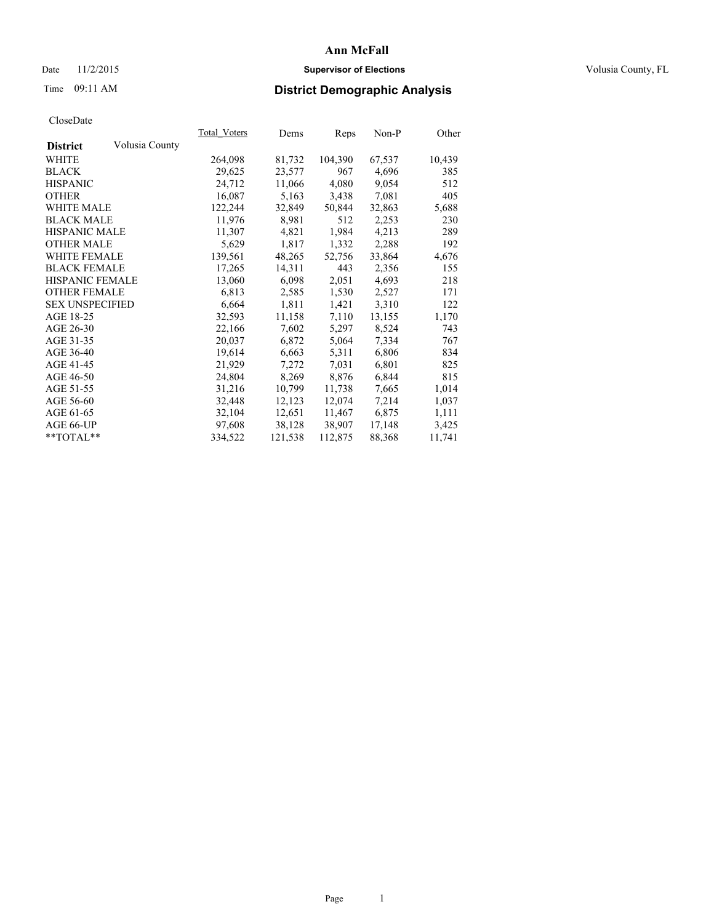# Date 11/2/2015 **Supervisor of Elections Supervisor of Elections** Volusia County, FL

# Time 09:11 AM **District Demographic Analysis**

|                        |                | Total Voters | Dems    | <b>Reps</b> | Non-P  | Other  |
|------------------------|----------------|--------------|---------|-------------|--------|--------|
| <b>District</b>        | Volusia County |              |         |             |        |        |
| WHITE                  |                | 264,098      | 81,732  | 104,390     | 67,537 | 10,439 |
| <b>BLACK</b>           |                | 29,625       | 23,577  | 967         | 4,696  | 385    |
| <b>HISPANIC</b>        |                | 24,712       | 11,066  | 4,080       | 9,054  | 512    |
| <b>OTHER</b>           |                | 16,087       | 5,163   | 3,438       | 7,081  | 405    |
| WHITE MALE             |                | 122,244      | 32,849  | 50,844      | 32,863 | 5,688  |
| <b>BLACK MALE</b>      |                | 11,976       | 8,981   | 512         | 2,253  | 230    |
| <b>HISPANIC MALE</b>   |                | 11,307       | 4,821   | 1,984       | 4,213  | 289    |
| <b>OTHER MALE</b>      |                | 5,629        | 1,817   | 1,332       | 2,288  | 192    |
| <b>WHITE FEMALE</b>    |                | 139,561      | 48,265  | 52,756      | 33,864 | 4,676  |
| <b>BLACK FEMALE</b>    |                | 17,265       | 14,311  | 443         | 2,356  | 155    |
| HISPANIC FEMALE        |                | 13,060       | 6,098   | 2,051       | 4,693  | 218    |
| <b>OTHER FEMALE</b>    |                | 6,813        | 2,585   | 1,530       | 2,527  | 171    |
| <b>SEX UNSPECIFIED</b> |                | 6,664        | 1,811   | 1,421       | 3,310  | 122    |
| AGE 18-25              |                | 32,593       | 11,158  | 7,110       | 13,155 | 1,170  |
| AGE 26-30              |                | 22,166       | 7,602   | 5,297       | 8,524  | 743    |
| AGE 31-35              |                | 20,037       | 6,872   | 5,064       | 7.334  | 767    |
| AGE 36-40              |                | 19,614       | 6,663   | 5,311       | 6,806  | 834    |
| AGE 41-45              |                | 21,929       | 7,272   | 7,031       | 6,801  | 825    |
| AGE 46-50              |                | 24,804       | 8,269   | 8,876       | 6,844  | 815    |
| AGE 51-55              |                | 31,216       | 10,799  | 11,738      | 7,665  | 1,014  |
| AGE 56-60              |                | 32,448       | 12,123  | 12,074      | 7,214  | 1,037  |
| AGE 61-65              |                | 32,104       | 12,651  | 11,467      | 6,875  | 1,111  |
| AGE 66-UP              |                | 97,608       | 38,128  | 38,907      | 17,148 | 3,425  |
| $*$ $TOTAL**$          |                | 334,522      | 121,538 | 112,875     | 88,368 | 11,741 |
|                        |                |              |         |             |        |        |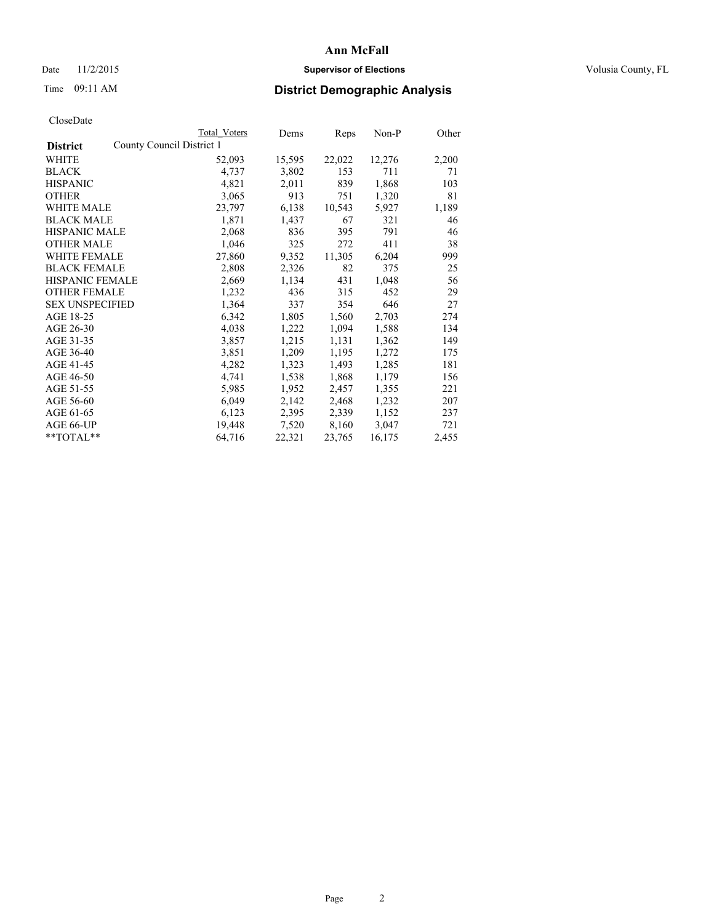# Date 11/2/2015 **Supervisor of Elections Supervisor of Elections** Volusia County, FL

|                                              | Total Voters | Dems   | Reps   | $Non-P$ | Other |
|----------------------------------------------|--------------|--------|--------|---------|-------|
| County Council District 1<br><b>District</b> |              |        |        |         |       |
| WHITE                                        | 52,093       | 15,595 | 22,022 | 12,276  | 2,200 |
| <b>BLACK</b>                                 | 4,737        | 3,802  | 153    | 711     | 71    |
| <b>HISPANIC</b>                              | 4,821        | 2,011  | 839    | 1,868   | 103   |
| <b>OTHER</b>                                 | 3,065        | 913    | 751    | 1,320   | 81    |
| WHITE MALE                                   | 23,797       | 6,138  | 10,543 | 5,927   | 1,189 |
| <b>BLACK MALE</b>                            | 1,871        | 1,437  | 67     | 321     | 46    |
| <b>HISPANIC MALE</b>                         | 2,068        | 836    | 395    | 791     | 46    |
| <b>OTHER MALE</b>                            | 1,046        | 325    | 272    | 411     | 38    |
| <b>WHITE FEMALE</b>                          | 27,860       | 9,352  | 11,305 | 6,204   | 999   |
| <b>BLACK FEMALE</b>                          | 2,808        | 2,326  | 82     | 375     | 25    |
| HISPANIC FEMALE                              | 2,669        | 1,134  | 431    | 1,048   | 56    |
| <b>OTHER FEMALE</b>                          | 1,232        | 436    | 315    | 452     | 29    |
| <b>SEX UNSPECIFIED</b>                       | 1,364        | 337    | 354    | 646     | 27    |
| AGE 18-25                                    | 6,342        | 1,805  | 1,560  | 2,703   | 274   |
| AGE 26-30                                    | 4,038        | 1,222  | 1,094  | 1,588   | 134   |
| AGE 31-35                                    | 3,857        | 1,215  | 1,131  | 1,362   | 149   |
| AGE 36-40                                    | 3,851        | 1,209  | 1,195  | 1,272   | 175   |
| AGE 41-45                                    | 4,282        | 1,323  | 1,493  | 1,285   | 181   |
| AGE 46-50                                    | 4,741        | 1,538  | 1,868  | 1,179   | 156   |
| AGE 51-55                                    | 5,985        | 1,952  | 2,457  | 1,355   | 221   |
| AGE 56-60                                    | 6,049        | 2,142  | 2,468  | 1,232   | 207   |
| AGE 61-65                                    | 6,123        | 2,395  | 2,339  | 1,152   | 237   |
| AGE 66-UP                                    | 19,448       | 7,520  | 8,160  | 3,047   | 721   |
| **TOTAL**                                    | 64,716       | 22,321 | 23,765 | 16,175  | 2,455 |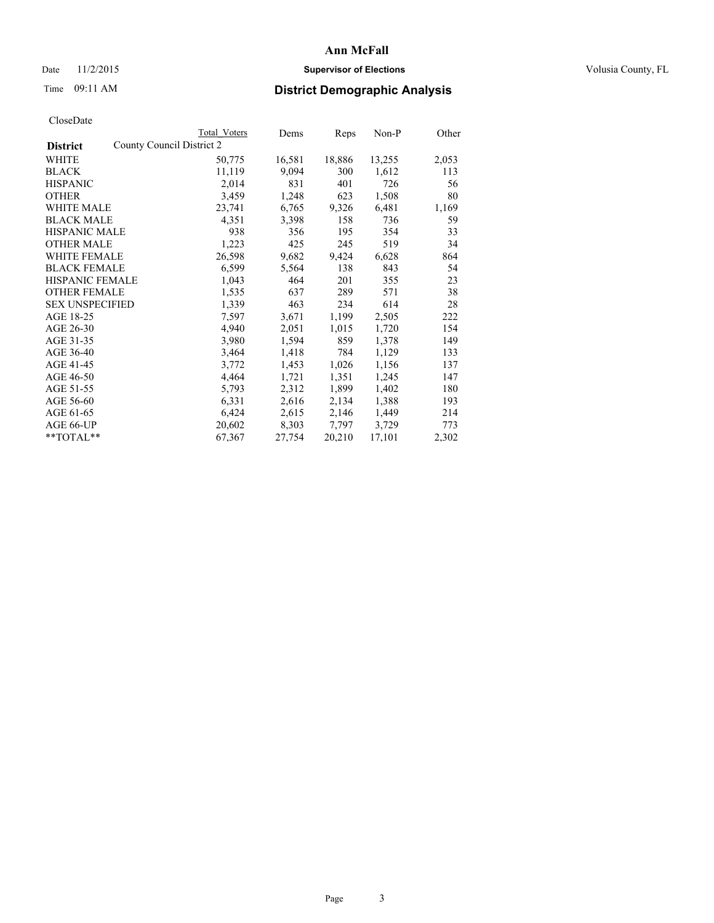# Date 11/2/2015 **Supervisor of Elections Supervisor of Elections** Volusia County, FL

|                                              | Total Voters | Dems   | Reps   | Non-P  | Other |
|----------------------------------------------|--------------|--------|--------|--------|-------|
| County Council District 2<br><b>District</b> |              |        |        |        |       |
| WHITE                                        | 50,775       | 16,581 | 18,886 | 13,255 | 2,053 |
| <b>BLACK</b>                                 | 11,119       | 9,094  | 300    | 1,612  | 113   |
| <b>HISPANIC</b>                              | 2,014        | 831    | 401    | 726    | 56    |
| <b>OTHER</b>                                 | 3,459        | 1,248  | 623    | 1,508  | 80    |
| WHITE MALE                                   | 23,741       | 6,765  | 9,326  | 6,481  | 1,169 |
| <b>BLACK MALE</b>                            | 4,351        | 3,398  | 158    | 736    | 59    |
| <b>HISPANIC MALE</b>                         | 938          | 356    | 195    | 354    | 33    |
| <b>OTHER MALE</b>                            | 1,223        | 425    | 245    | 519    | 34    |
| WHITE FEMALE                                 | 26,598       | 9,682  | 9,424  | 6,628  | 864   |
| <b>BLACK FEMALE</b>                          | 6,599        | 5,564  | 138    | 843    | 54    |
| HISPANIC FEMALE                              | 1,043        | 464    | 201    | 355    | 23    |
| <b>OTHER FEMALE</b>                          | 1,535        | 637    | 289    | 571    | 38    |
| <b>SEX UNSPECIFIED</b>                       | 1,339        | 463    | 234    | 614    | 28    |
| AGE 18-25                                    | 7,597        | 3,671  | 1,199  | 2,505  | 222   |
| AGE 26-30                                    | 4,940        | 2,051  | 1,015  | 1,720  | 154   |
| AGE 31-35                                    | 3,980        | 1,594  | 859    | 1,378  | 149   |
| AGE 36-40                                    | 3,464        | 1,418  | 784    | 1,129  | 133   |
| AGE 41-45                                    | 3,772        | 1,453  | 1,026  | 1,156  | 137   |
| AGE 46-50                                    | 4,464        | 1,721  | 1,351  | 1,245  | 147   |
| AGE 51-55                                    | 5,793        | 2,312  | 1,899  | 1,402  | 180   |
| AGE 56-60                                    | 6,331        | 2,616  | 2,134  | 1,388  | 193   |
| AGE 61-65                                    | 6,424        | 2,615  | 2,146  | 1,449  | 214   |
| AGE 66-UP                                    | 20,602       | 8,303  | 7.797  | 3,729  | 773   |
| **TOTAL**                                    | 67,367       | 27,754 | 20,210 | 17,101 | 2,302 |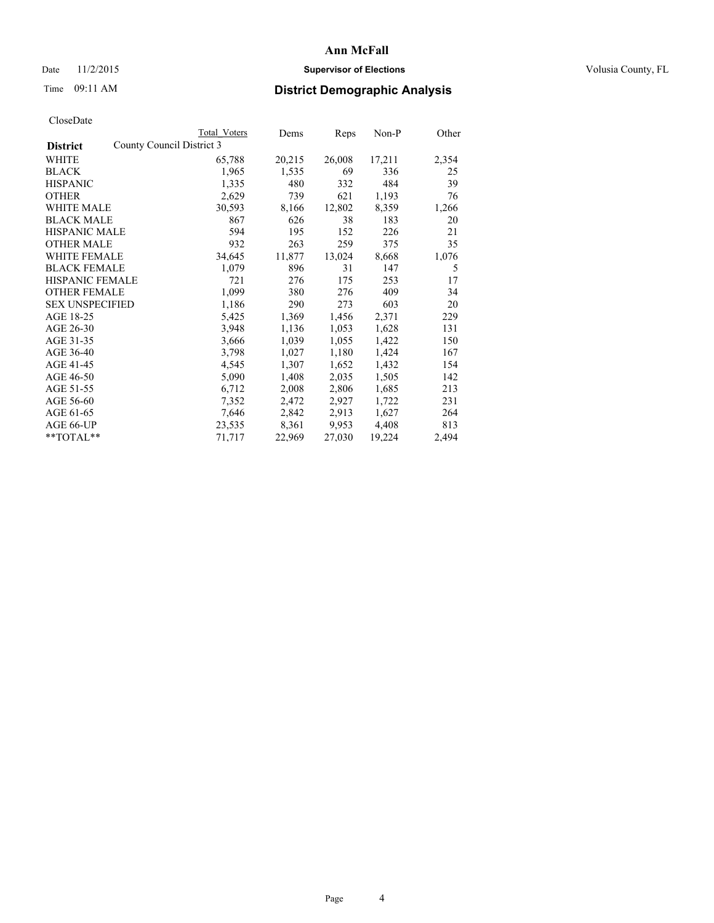# Date 11/2/2015 **Supervisor of Elections Supervisor of Elections** Volusia County, FL

|                        |                           | <b>Total Voters</b> | Dems   | Reps   | $Non-P$ | Other |
|------------------------|---------------------------|---------------------|--------|--------|---------|-------|
| <b>District</b>        | County Council District 3 |                     |        |        |         |       |
| WHITE                  |                           | 65,788              | 20,215 | 26,008 | 17,211  | 2,354 |
| <b>BLACK</b>           |                           | 1,965               | 1,535  | 69     | 336     | 25    |
| <b>HISPANIC</b>        |                           | 1,335               | 480    | 332    | 484     | 39    |
| <b>OTHER</b>           |                           | 2,629               | 739    | 621    | 1,193   | 76    |
| <b>WHITE MALE</b>      |                           | 30,593              | 8,166  | 12,802 | 8,359   | 1,266 |
| <b>BLACK MALE</b>      |                           | 867                 | 626    | 38     | 183     | 20    |
| <b>HISPANIC MALE</b>   |                           | 594                 | 195    | 152    | 226     | 21    |
| <b>OTHER MALE</b>      |                           | 932                 | 263    | 259    | 375     | 35    |
| <b>WHITE FEMALE</b>    |                           | 34,645              | 11,877 | 13,024 | 8,668   | 1,076 |
| <b>BLACK FEMALE</b>    |                           | 1,079               | 896    | 31     | 147     | 5     |
| <b>HISPANIC FEMALE</b> |                           | 721                 | 276    | 175    | 253     | 17    |
| <b>OTHER FEMALE</b>    |                           | 1,099               | 380    | 276    | 409     | 34    |
| <b>SEX UNSPECIFIED</b> |                           | 1,186               | 290    | 273    | 603     | 20    |
| AGE 18-25              |                           | 5,425               | 1,369  | 1,456  | 2,371   | 229   |
| AGE 26-30              |                           | 3,948               | 1,136  | 1,053  | 1,628   | 131   |
| AGE 31-35              |                           | 3,666               | 1,039  | 1,055  | 1,422   | 150   |
| AGE 36-40              |                           | 3,798               | 1,027  | 1,180  | 1,424   | 167   |
| AGE 41-45              |                           | 4,545               | 1,307  | 1,652  | 1,432   | 154   |
| AGE 46-50              |                           | 5,090               | 1,408  | 2,035  | 1,505   | 142   |
| AGE 51-55              |                           | 6,712               | 2,008  | 2,806  | 1,685   | 213   |
| AGE 56-60              |                           | 7,352               | 2,472  | 2,927  | 1,722   | 231   |
| AGE 61-65              |                           | 7,646               | 2,842  | 2,913  | 1,627   | 264   |
| AGE 66-UP              |                           | 23,535              | 8,361  | 9,953  | 4,408   | 813   |
| **TOTAL**              |                           | 71,717              | 22,969 | 27,030 | 19,224  | 2,494 |
|                        |                           |                     |        |        |         |       |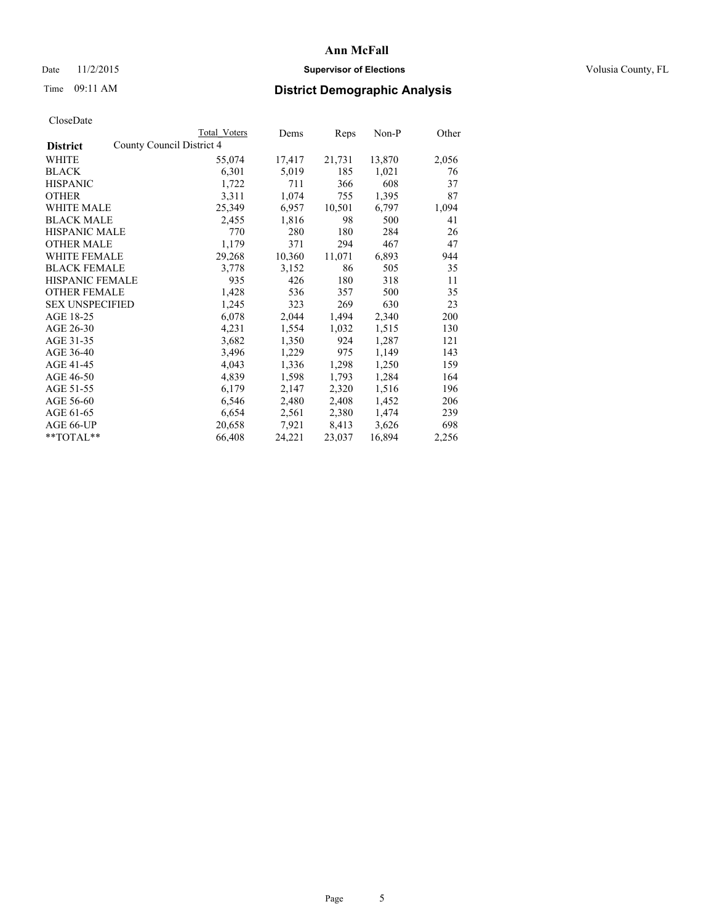# Date 11/2/2015 **Supervisor of Elections Supervisor of Elections** Volusia County, FL

|                                              | Total Voters | Dems   | Reps   | $Non-P$ | Other |
|----------------------------------------------|--------------|--------|--------|---------|-------|
| County Council District 4<br><b>District</b> |              |        |        |         |       |
| WHITE                                        | 55,074       | 17,417 | 21,731 | 13,870  | 2,056 |
| <b>BLACK</b>                                 | 6,301        | 5,019  | 185    | 1,021   | 76    |
| <b>HISPANIC</b>                              | 1,722        | 711    | 366    | 608     | 37    |
| <b>OTHER</b>                                 | 3,311        | 1,074  | 755    | 1,395   | 87    |
| WHITE MALE                                   | 25,349       | 6,957  | 10,501 | 6,797   | 1,094 |
| <b>BLACK MALE</b>                            | 2,455        | 1,816  | 98     | 500     | 41    |
| <b>HISPANIC MALE</b>                         | 770          | 280    | 180    | 284     | 26    |
| <b>OTHER MALE</b>                            | 1,179        | 371    | 294    | 467     | 47    |
| <b>WHITE FEMALE</b>                          | 29,268       | 10,360 | 11,071 | 6,893   | 944   |
| <b>BLACK FEMALE</b>                          | 3,778        | 3,152  | 86     | 505     | 35    |
| HISPANIC FEMALE                              | 935          | 426    | 180    | 318     | 11    |
| <b>OTHER FEMALE</b>                          | 1,428        | 536    | 357    | 500     | 35    |
| <b>SEX UNSPECIFIED</b>                       | 1,245        | 323    | 269    | 630     | 23    |
| AGE 18-25                                    | 6,078        | 2,044  | 1,494  | 2,340   | 200   |
| AGE 26-30                                    | 4,231        | 1,554  | 1,032  | 1,515   | 130   |
| AGE 31-35                                    | 3,682        | 1,350  | 924    | 1,287   | 121   |
| AGE 36-40                                    | 3,496        | 1,229  | 975    | 1,149   | 143   |
| AGE 41-45                                    | 4,043        | 1,336  | 1,298  | 1,250   | 159   |
| AGE 46-50                                    | 4,839        | 1,598  | 1,793  | 1,284   | 164   |
| AGE 51-55                                    | 6,179        | 2,147  | 2,320  | 1,516   | 196   |
| AGE 56-60                                    | 6,546        | 2,480  | 2,408  | 1,452   | 206   |
| AGE 61-65                                    | 6,654        | 2,561  | 2,380  | 1,474   | 239   |
| AGE 66-UP                                    | 20,658       | 7.921  | 8,413  | 3,626   | 698   |
| $*$ TOTAL $*$                                | 66,408       | 24,221 | 23,037 | 16,894  | 2,256 |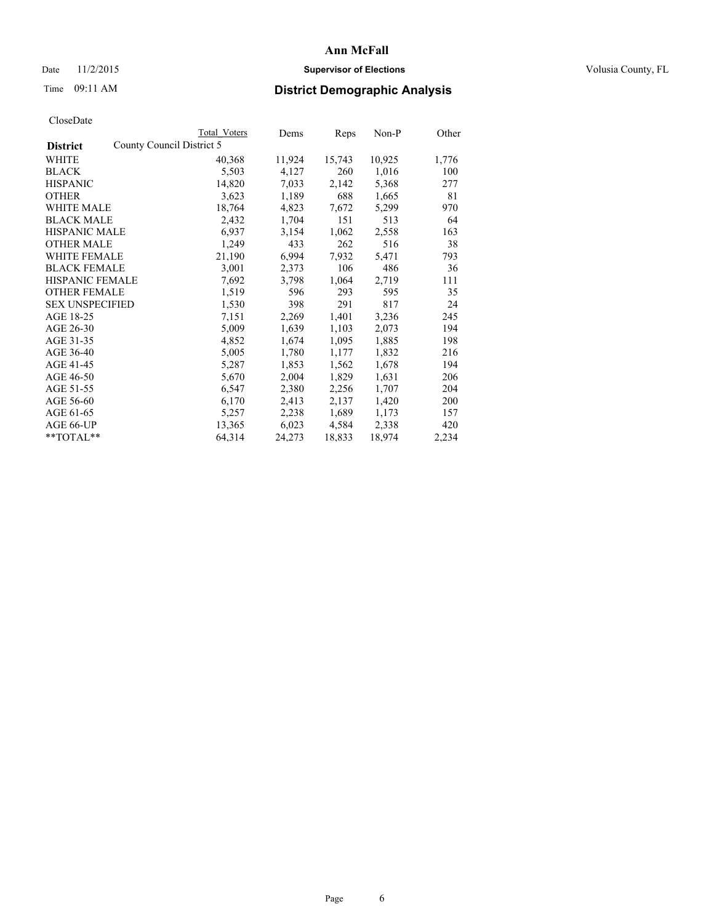# Date 11/2/2015 **Supervisor of Elections Supervisor of Elections** Volusia County, FL

|                        |                           | Total Voters | Dems   | Reps   | $Non-P$ | Other |
|------------------------|---------------------------|--------------|--------|--------|---------|-------|
| <b>District</b>        | County Council District 5 |              |        |        |         |       |
| WHITE                  |                           | 40,368       | 11,924 | 15,743 | 10,925  | 1,776 |
| <b>BLACK</b>           |                           | 5,503        | 4,127  | 260    | 1,016   | 100   |
| <b>HISPANIC</b>        |                           | 14,820       | 7,033  | 2,142  | 5,368   | 277   |
| <b>OTHER</b>           |                           | 3,623        | 1,189  | 688    | 1,665   | 81    |
| <b>WHITE MALE</b>      |                           | 18,764       | 4,823  | 7,672  | 5,299   | 970   |
| <b>BLACK MALE</b>      |                           | 2,432        | 1,704  | 151    | 513     | 64    |
| <b>HISPANIC MALE</b>   |                           | 6,937        | 3,154  | 1,062  | 2,558   | 163   |
| <b>OTHER MALE</b>      |                           | 1,249        | 433    | 262    | 516     | 38    |
| WHITE FEMALE           |                           | 21,190       | 6,994  | 7,932  | 5,471   | 793   |
| <b>BLACK FEMALE</b>    |                           | 3,001        | 2,373  | 106    | 486     | 36    |
| HISPANIC FEMALE        |                           | 7,692        | 3,798  | 1,064  | 2,719   | 111   |
| <b>OTHER FEMALE</b>    |                           | 1,519        | 596    | 293    | 595     | 35    |
| <b>SEX UNSPECIFIED</b> |                           | 1,530        | 398    | 291    | 817     | 24    |
| AGE 18-25              |                           | 7,151        | 2,269  | 1,401  | 3,236   | 245   |
| AGE 26-30              |                           | 5,009        | 1,639  | 1,103  | 2,073   | 194   |
| AGE 31-35              |                           | 4,852        | 1,674  | 1,095  | 1,885   | 198   |
| AGE 36-40              |                           | 5,005        | 1,780  | 1,177  | 1,832   | 216   |
| AGE 41-45              |                           | 5,287        | 1,853  | 1,562  | 1,678   | 194   |
| AGE 46-50              |                           | 5,670        | 2,004  | 1,829  | 1,631   | 206   |
| AGE 51-55              |                           | 6,547        | 2,380  | 2,256  | 1,707   | 204   |
| AGE 56-60              |                           | 6,170        | 2,413  | 2,137  | 1,420   | 200   |
| AGE 61-65              |                           | 5,257        | 2,238  | 1,689  | 1,173   | 157   |
| AGE 66-UP              |                           | 13,365       | 6,023  | 4,584  | 2,338   | 420   |
| **TOTAL**              |                           | 64,314       | 24,273 | 18,833 | 18,974  | 2,234 |
|                        |                           |              |        |        |         |       |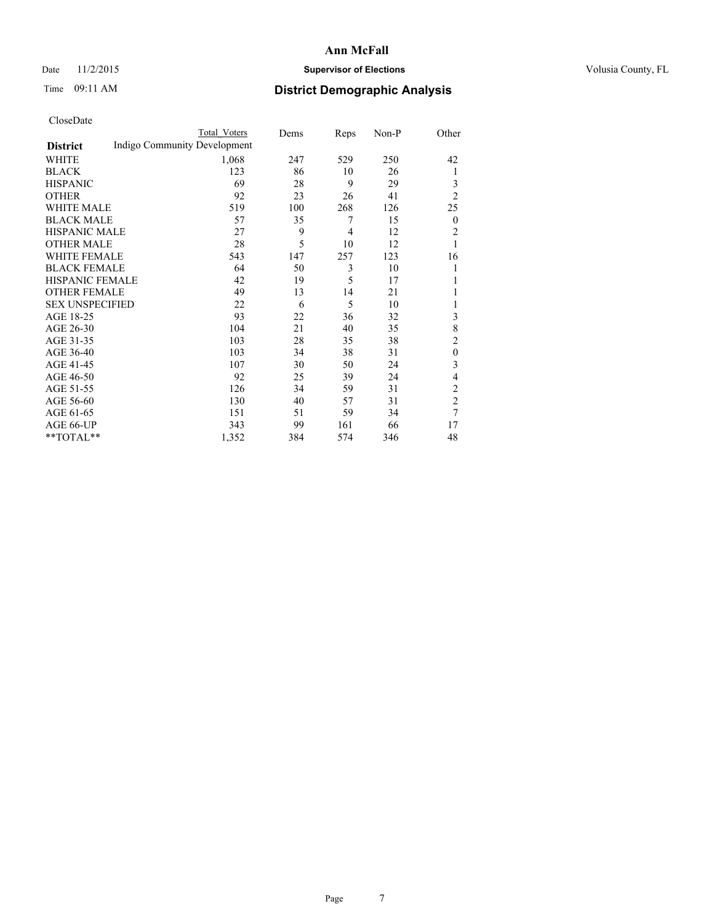# Date 11/2/2015 **Supervisor of Elections Supervisor of Elections** Volusia County, FL

# Time 09:11 AM **District Demographic Analysis**

|                        |                              | <b>Total Voters</b> | Dems | Reps | Non-P | Other            |
|------------------------|------------------------------|---------------------|------|------|-------|------------------|
| <b>District</b>        | Indigo Community Development |                     |      |      |       |                  |
| WHITE                  |                              | 1,068               | 247  | 529  | 250   | 42               |
| <b>BLACK</b>           |                              | 123                 | 86   | 10   | 26    | 1                |
| <b>HISPANIC</b>        |                              | 69                  | 28   | 9    | 29    | 3                |
| <b>OTHER</b>           |                              | 92                  | 23   | 26   | 41    | $\overline{2}$   |
| WHITE MALE             |                              | 519                 | 100  | 268  | 126   | 25               |
| <b>BLACK MALE</b>      |                              | 57                  | 35   | 7    | 15    | $\boldsymbol{0}$ |
| <b>HISPANIC MALE</b>   |                              | 27                  | 9    | 4    | 12    | 2                |
| <b>OTHER MALE</b>      |                              | 28                  | 5    | 10   | 12    | 1                |
| WHITE FEMALE           |                              | 543                 | 147  | 257  | 123   | 16               |
| <b>BLACK FEMALE</b>    |                              | 64                  | 50   | 3    | 10    |                  |
| <b>HISPANIC FEMALE</b> |                              | 42                  | 19   | 5    | 17    |                  |
| <b>OTHER FEMALE</b>    |                              | 49                  | 13   | 14   | 21    |                  |
| <b>SEX UNSPECIFIED</b> |                              | 22                  | 6    | 5    | 10    |                  |
| AGE 18-25              |                              | 93                  | 22   | 36   | 32    | 3                |
| AGE 26-30              |                              | 104                 | 21   | 40   | 35    | 8                |
| AGE 31-35              |                              | 103                 | 28   | 35   | 38    | $\overline{c}$   |
| AGE 36-40              |                              | 103                 | 34   | 38   | 31    | $\theta$         |
| AGE 41-45              |                              | 107                 | 30   | 50   | 24    | 3                |
| AGE 46-50              |                              | 92                  | 25   | 39   | 24    | 4                |
| AGE 51-55              |                              | 126                 | 34   | 59   | 31    | $\overline{c}$   |
| AGE 56-60              |                              | 130                 | 40   | 57   | 31    | $\overline{2}$   |
| AGE 61-65              |                              | 151                 | 51   | 59   | 34    | 7                |
| AGE 66-UP              |                              | 343                 | 99   | 161  | 66    | 17               |
| **TOTAL**              |                              | 1,352               | 384  | 574  | 346   | 48               |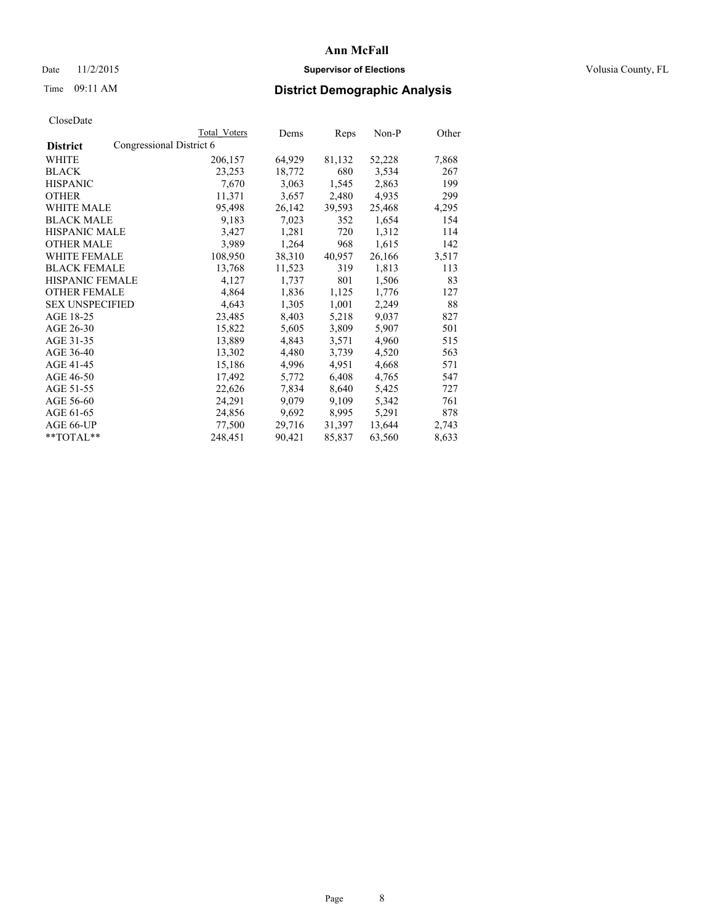# Date 11/2/2015 **Supervisor of Elections Supervisor of Elections** Volusia County, FL

# Time 09:11 AM **District Demographic Analysis**

|                        |                          | Total Voters | Dems   | Reps   | $Non-P$ | Other |
|------------------------|--------------------------|--------------|--------|--------|---------|-------|
| <b>District</b>        | Congressional District 6 |              |        |        |         |       |
| <b>WHITE</b>           |                          | 206,157      | 64,929 | 81,132 | 52,228  | 7,868 |
| <b>BLACK</b>           |                          | 23,253       | 18,772 | 680    | 3,534   | 267   |
| <b>HISPANIC</b>        |                          | 7,670        | 3,063  | 1,545  | 2,863   | 199   |
| <b>OTHER</b>           |                          | 11,371       | 3,657  | 2,480  | 4,935   | 299   |
| WHITE MALE             |                          | 95,498       | 26,142 | 39,593 | 25,468  | 4,295 |
| <b>BLACK MALE</b>      |                          | 9,183        | 7,023  | 352    | 1,654   | 154   |
| <b>HISPANIC MALE</b>   |                          | 3,427        | 1,281  | 720    | 1,312   | 114   |
| <b>OTHER MALE</b>      |                          | 3,989        | 1,264  | 968    | 1,615   | 142   |
| <b>WHITE FEMALE</b>    |                          | 108,950      | 38,310 | 40,957 | 26,166  | 3,517 |
| <b>BLACK FEMALE</b>    |                          | 13,768       | 11,523 | 319    | 1,813   | 113   |
| HISPANIC FEMALE        |                          | 4,127        | 1,737  | 801    | 1,506   | 83    |
| <b>OTHER FEMALE</b>    |                          | 4,864        | 1,836  | 1,125  | 1,776   | 127   |
| <b>SEX UNSPECIFIED</b> |                          | 4,643        | 1,305  | 1,001  | 2,249   | 88    |
| AGE 18-25              |                          | 23,485       | 8,403  | 5,218  | 9,037   | 827   |
| AGE 26-30              |                          | 15,822       | 5,605  | 3,809  | 5,907   | 501   |
| AGE 31-35              |                          | 13,889       | 4,843  | 3,571  | 4,960   | 515   |
| AGE 36-40              |                          | 13,302       | 4,480  | 3,739  | 4,520   | 563   |
| AGE 41-45              |                          | 15,186       | 4,996  | 4,951  | 4,668   | 571   |
| AGE 46-50              |                          | 17,492       | 5,772  | 6,408  | 4,765   | 547   |
| AGE 51-55              |                          | 22,626       | 7,834  | 8,640  | 5,425   | 727   |
| AGE 56-60              |                          | 24,291       | 9,079  | 9,109  | 5,342   | 761   |
| AGE 61-65              |                          | 24,856       | 9,692  | 8,995  | 5,291   | 878   |
| AGE 66-UP              |                          | 77,500       | 29,716 | 31,397 | 13,644  | 2,743 |
| $*$ TOTAL $*$          |                          | 248,451      | 90,421 | 85,837 | 63,560  | 8,633 |
|                        |                          |              |        |        |         |       |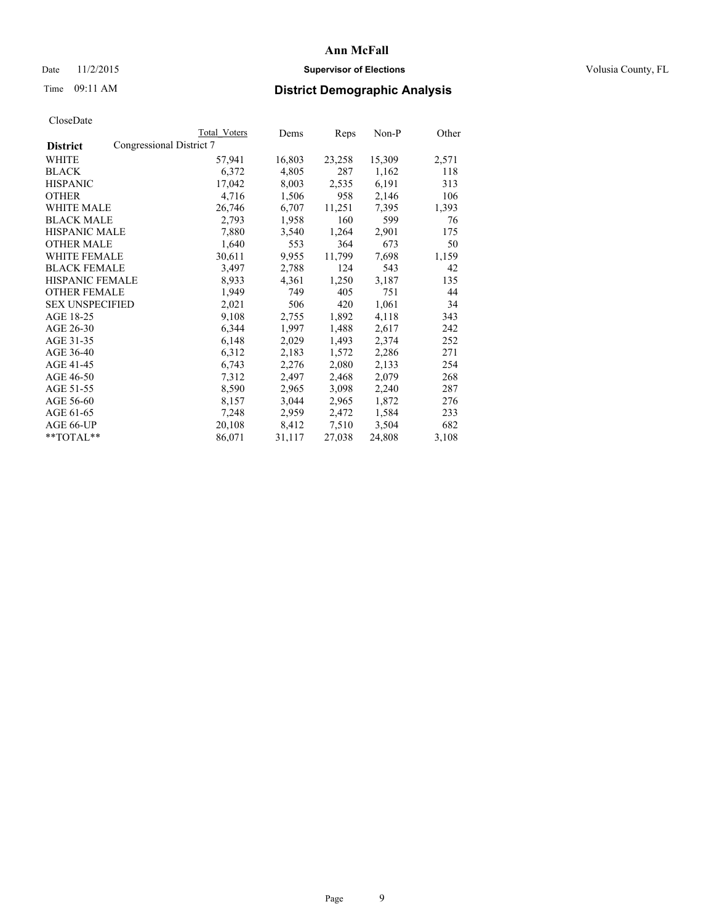# Date 11/2/2015 **Supervisor of Elections Supervisor of Elections** Volusia County, FL

|                        |                          | Total Voters | Dems   | Reps   | Non-P  | Other |
|------------------------|--------------------------|--------------|--------|--------|--------|-------|
| <b>District</b>        | Congressional District 7 |              |        |        |        |       |
| WHITE                  |                          | 57,941       | 16,803 | 23,258 | 15,309 | 2,571 |
| <b>BLACK</b>           |                          | 6,372        | 4,805  | 287    | 1,162  | 118   |
| <b>HISPANIC</b>        |                          | 17,042       | 8,003  | 2,535  | 6,191  | 313   |
| <b>OTHER</b>           |                          | 4,716        | 1,506  | 958    | 2,146  | 106   |
| WHITE MALE             |                          | 26,746       | 6,707  | 11,251 | 7,395  | 1,393 |
| <b>BLACK MALE</b>      |                          | 2,793        | 1,958  | 160    | 599    | 76    |
| <b>HISPANIC MALE</b>   |                          | 7,880        | 3,540  | 1,264  | 2,901  | 175   |
| <b>OTHER MALE</b>      |                          | 1,640        | 553    | 364    | 673    | 50    |
| WHITE FEMALE           |                          | 30,611       | 9,955  | 11,799 | 7,698  | 1,159 |
| <b>BLACK FEMALE</b>    |                          | 3,497        | 2,788  | 124    | 543    | 42    |
| HISPANIC FEMALE        |                          | 8,933        | 4,361  | 1,250  | 3,187  | 135   |
| <b>OTHER FEMALE</b>    |                          | 1,949        | 749    | 405    | 751    | 44    |
| <b>SEX UNSPECIFIED</b> |                          | 2,021        | 506    | 420    | 1,061  | 34    |
| AGE 18-25              |                          | 9,108        | 2,755  | 1,892  | 4,118  | 343   |
| AGE 26-30              |                          | 6,344        | 1,997  | 1,488  | 2,617  | 242   |
| AGE 31-35              |                          | 6,148        | 2,029  | 1,493  | 2,374  | 252   |
| AGE 36-40              |                          | 6,312        | 2,183  | 1,572  | 2,286  | 271   |
| AGE 41-45              |                          | 6,743        | 2,276  | 2,080  | 2,133  | 254   |
| AGE 46-50              |                          | 7,312        | 2,497  | 2,468  | 2,079  | 268   |
| AGE 51-55              |                          | 8,590        | 2,965  | 3,098  | 2,240  | 287   |
| AGE 56-60              |                          | 8,157        | 3,044  | 2,965  | 1,872  | 276   |
| AGE 61-65              |                          | 7,248        | 2,959  | 2,472  | 1,584  | 233   |
| AGE 66-UP              |                          | 20,108       | 8,412  | 7,510  | 3,504  | 682   |
| **TOTAL**              |                          | 86,071       | 31,117 | 27,038 | 24,808 | 3,108 |
|                        |                          |              |        |        |        |       |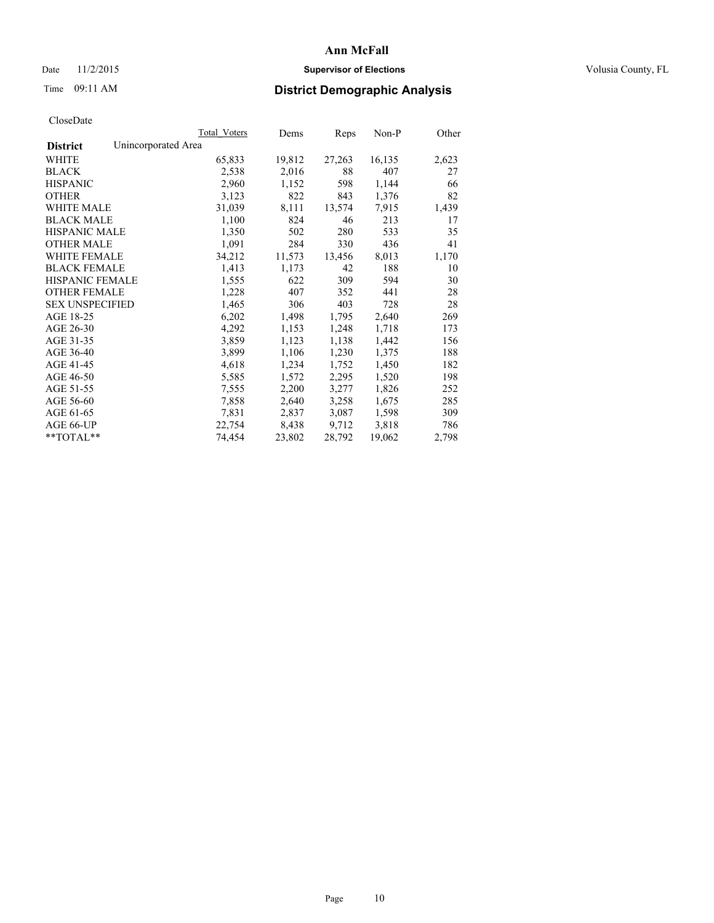# Date 11/2/2015 **Supervisor of Elections Supervisor of Elections** Volusia County, FL

# Time 09:11 AM **District Demographic Analysis**

|                                        | Total Voters | Dems   | <b>Reps</b> | Non-P  | Other |
|----------------------------------------|--------------|--------|-------------|--------|-------|
| Unincorporated Area<br><b>District</b> |              |        |             |        |       |
| WHITE                                  | 65,833       | 19,812 | 27,263      | 16,135 | 2,623 |
| <b>BLACK</b>                           | 2,538        | 2,016  | 88          | 407    | 27    |
| <b>HISPANIC</b>                        | 2,960        | 1,152  | 598         | 1,144  | 66    |
| <b>OTHER</b>                           | 3,123        | 822    | 843         | 1,376  | 82    |
| <b>WHITE MALE</b>                      | 31,039       | 8,111  | 13,574      | 7,915  | 1,439 |
| <b>BLACK MALE</b>                      | 1,100        | 824    | 46          | 213    | 17    |
| <b>HISPANIC MALE</b>                   | 1,350        | 502    | 280         | 533    | 35    |
| <b>OTHER MALE</b>                      | 1,091        | 284    | 330         | 436    | 41    |
| <b>WHITE FEMALE</b>                    | 34,212       | 11,573 | 13,456      | 8,013  | 1,170 |
| <b>BLACK FEMALE</b>                    | 1,413        | 1,173  | 42          | 188    | 10    |
| HISPANIC FEMALE                        | 1,555        | 622    | 309         | 594    | 30    |
| <b>OTHER FEMALE</b>                    | 1,228        | 407    | 352         | 441    | 28    |
| <b>SEX UNSPECIFIED</b>                 | 1,465        | 306    | 403         | 728    | 28    |
| AGE 18-25                              | 6,202        | 1,498  | 1,795       | 2,640  | 269   |
| AGE 26-30                              | 4,292        | 1,153  | 1,248       | 1,718  | 173   |
| AGE 31-35                              | 3,859        | 1,123  | 1,138       | 1,442  | 156   |
| AGE 36-40                              | 3,899        | 1,106  | 1,230       | 1,375  | 188   |
| AGE 41-45                              | 4,618        | 1,234  | 1,752       | 1,450  | 182   |
| AGE 46-50                              | 5,585        | 1,572  | 2,295       | 1,520  | 198   |
| AGE 51-55                              | 7,555        | 2,200  | 3,277       | 1,826  | 252   |
| AGE 56-60                              | 7,858        | 2,640  | 3,258       | 1,675  | 285   |
| AGE 61-65                              | 7,831        | 2,837  | 3,087       | 1,598  | 309   |
| AGE 66-UP                              | 22,754       | 8,438  | 9,712       | 3,818  | 786   |
| $*$ $TOTAI.**$                         | 74,454       | 23,802 | 28,792      | 19,062 | 2,798 |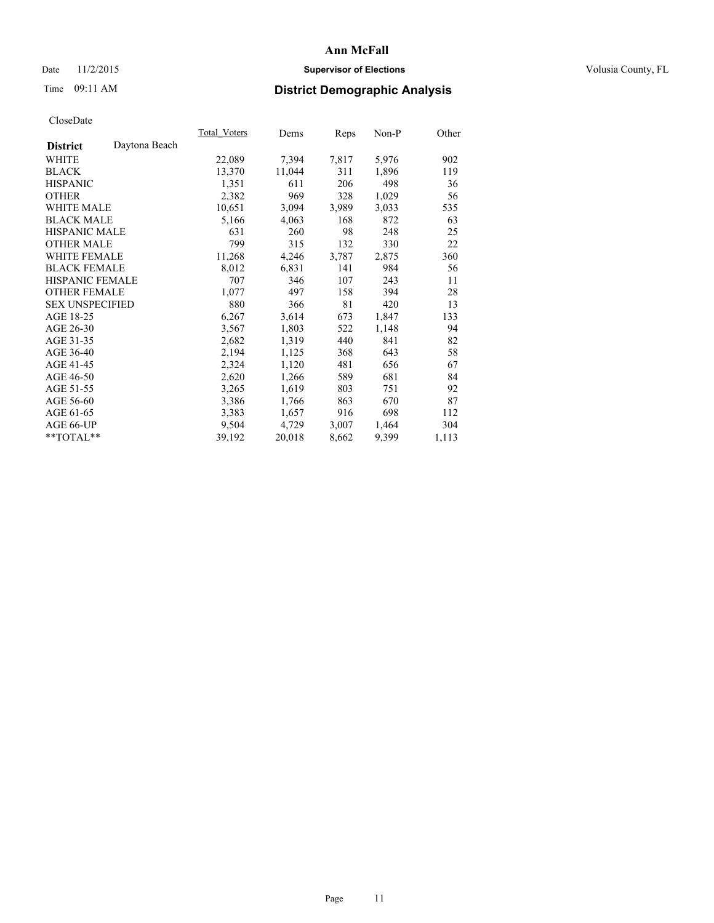# Date 11/2/2015 **Supervisor of Elections Supervisor of Elections** Volusia County, FL

# Time 09:11 AM **District Demographic Analysis**

|                                  | Total Voters | Dems   | Reps  | Non-P | Other |
|----------------------------------|--------------|--------|-------|-------|-------|
| Daytona Beach<br><b>District</b> |              |        |       |       |       |
| WHITE                            | 22,089       | 7,394  | 7,817 | 5,976 | 902   |
| <b>BLACK</b>                     | 13,370       | 11,044 | 311   | 1,896 | 119   |
| <b>HISPANIC</b>                  | 1,351        | 611    | 206   | 498   | 36    |
| <b>OTHER</b>                     | 2,382        | 969    | 328   | 1,029 | 56    |
| WHITE MALE                       | 10,651       | 3,094  | 3,989 | 3,033 | 535   |
| <b>BLACK MALE</b>                | 5,166        | 4,063  | 168   | 872   | 63    |
| <b>HISPANIC MALE</b>             | 631          | 260    | 98    | 248   | 25    |
| <b>OTHER MALE</b>                | 799          | 315    | 132   | 330   | 22    |
| <b>WHITE FEMALE</b>              | 11,268       | 4,246  | 3,787 | 2,875 | 360   |
| <b>BLACK FEMALE</b>              | 8,012        | 6,831  | 141   | 984   | 56    |
| <b>HISPANIC FEMALE</b>           | 707          | 346    | 107   | 243   | 11    |
| <b>OTHER FEMALE</b>              | 1,077        | 497    | 158   | 394   | 28    |
| <b>SEX UNSPECIFIED</b>           | 880          | 366    | 81    | 420   | 13    |
| AGE 18-25                        | 6,267        | 3,614  | 673   | 1,847 | 133   |
| AGE 26-30                        | 3,567        | 1,803  | 522   | 1,148 | 94    |
| AGE 31-35                        | 2,682        | 1,319  | 440   | 841   | 82    |
| AGE 36-40                        | 2,194        | 1,125  | 368   | 643   | 58    |
| AGE 41-45                        | 2,324        | 1,120  | 481   | 656   | 67    |
| AGE 46-50                        | 2,620        | 1,266  | 589   | 681   | 84    |
| AGE 51-55                        | 3,265        | 1,619  | 803   | 751   | 92    |
| AGE 56-60                        | 3,386        | 1,766  | 863   | 670   | 87    |
| AGE 61-65                        | 3,383        | 1,657  | 916   | 698   | 112   |
| AGE 66-UP                        | 9,504        | 4,729  | 3,007 | 1,464 | 304   |
| $*$ TOTAL $*$                    | 39,192       | 20,018 | 8,662 | 9,399 | 1,113 |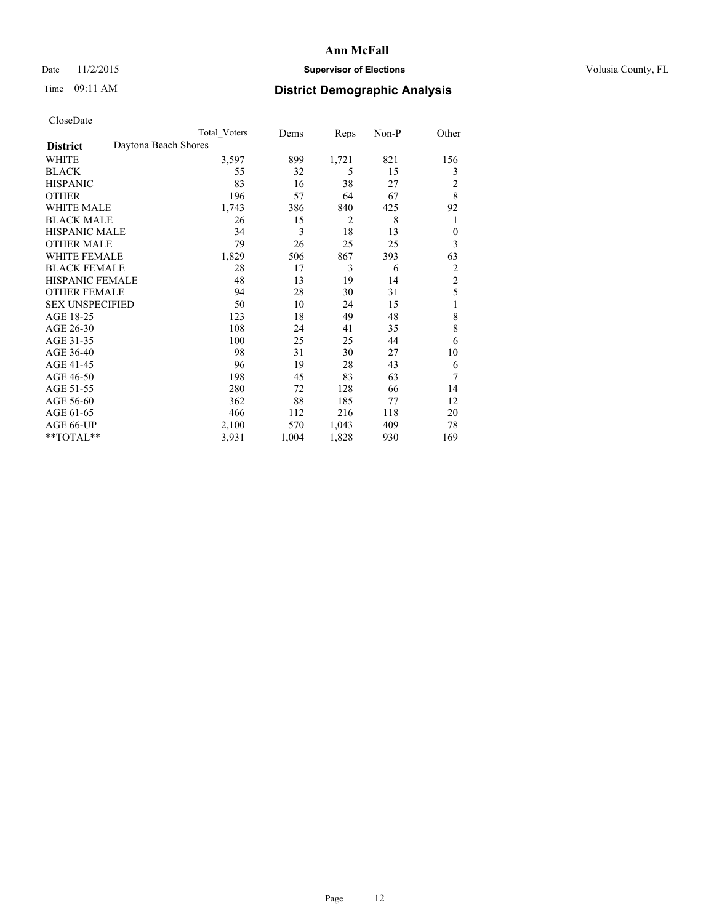# Date 11/2/2015 **Supervisor of Elections Supervisor of Elections** Volusia County, FL

# Time 09:11 AM **District Demographic Analysis**

|                        |                      | Total Voters | Dems  | Reps           | Non-P | Other          |
|------------------------|----------------------|--------------|-------|----------------|-------|----------------|
| <b>District</b>        | Daytona Beach Shores |              |       |                |       |                |
| WHITE                  |                      | 3,597        | 899   | 1,721          | 821   | 156            |
| <b>BLACK</b>           |                      | 55           | 32    | 5              | 15    | 3              |
| <b>HISPANIC</b>        |                      | 83           | 16    | 38             | 27    | 2              |
| <b>OTHER</b>           |                      | 196          | 57    | 64             | 67    | 8              |
| WHITE MALE             |                      | 1,743        | 386   | 840            | 425   | 92             |
| <b>BLACK MALE</b>      |                      | 26           | 15    | $\overline{2}$ | 8     | 1              |
| <b>HISPANIC MALE</b>   |                      | 34           | 3     | 18             | 13    | $\mathbf{0}$   |
| <b>OTHER MALE</b>      |                      | 79           | 26    | 25             | 25    | 3              |
| <b>WHITE FEMALE</b>    |                      | 1,829        | 506   | 867            | 393   | 63             |
| <b>BLACK FEMALE</b>    |                      | 28           | 17    | 3              | 6     | 2              |
| <b>HISPANIC FEMALE</b> |                      | 48           | 13    | 19             | 14    | $\overline{2}$ |
| <b>OTHER FEMALE</b>    |                      | 94           | 28    | 30             | 31    | 5              |
| <b>SEX UNSPECIFIED</b> |                      | 50           | 10    | 24             | 15    | 1              |
| AGE 18-25              |                      | 123          | 18    | 49             | 48    | 8              |
| AGE 26-30              |                      | 108          | 24    | 41             | 35    | 8              |
| AGE 31-35              |                      | 100          | 25    | 25             | 44    | 6              |
| AGE 36-40              |                      | 98           | 31    | 30             | 27    | 10             |
| AGE 41-45              |                      | 96           | 19    | 28             | 43    | 6              |
| AGE 46-50              |                      | 198          | 45    | 83             | 63    | 7              |
| AGE 51-55              |                      | 280          | 72    | 128            | 66    | 14             |
| AGE 56-60              |                      | 362          | 88    | 185            | 77    | 12             |
| AGE 61-65              |                      | 466          | 112   | 216            | 118   | 20             |
| AGE 66-UP              |                      | 2,100        | 570   | 1,043          | 409   | 78             |
| **TOTAL**              |                      | 3,931        | 1,004 | 1,828          | 930   | 169            |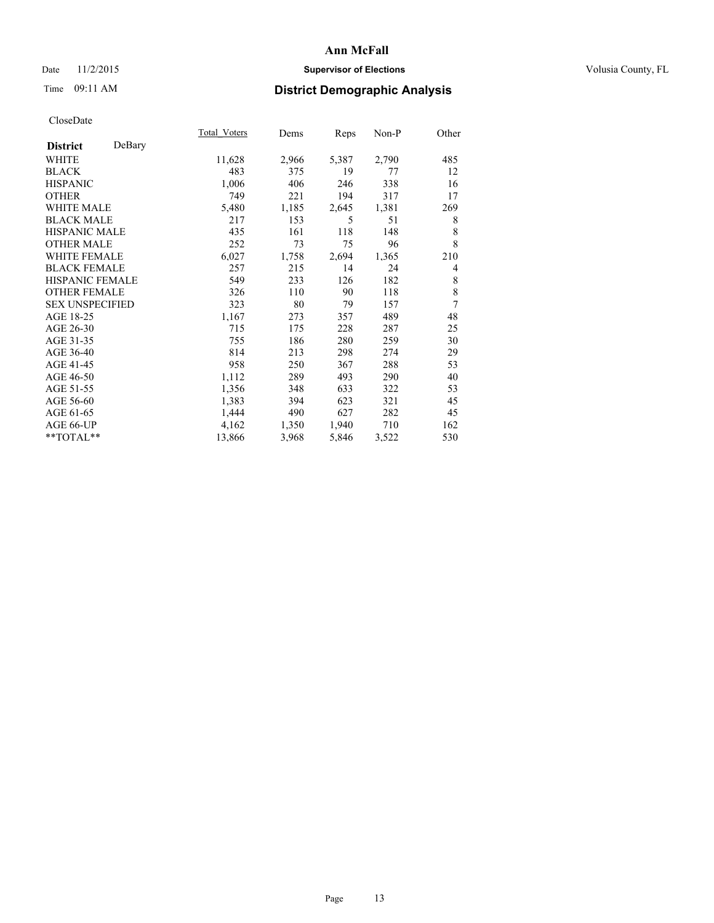# Date 11/2/2015 **Supervisor of Elections Supervisor of Elections** Volusia County, FL

# Time 09:11 AM **District Demographic Analysis**

|                        |        | Total Voters | Dems  | Reps  | $Non-P$ | Other          |
|------------------------|--------|--------------|-------|-------|---------|----------------|
| <b>District</b>        | DeBary |              |       |       |         |                |
| WHITE                  |        | 11,628       | 2,966 | 5,387 | 2,790   | 485            |
| <b>BLACK</b>           |        | 483          | 375   | 19    | 77      | 12             |
| <b>HISPANIC</b>        |        | 1,006        | 406   | 246   | 338     | 16             |
| <b>OTHER</b>           |        | 749          | 221   | 194   | 317     | 17             |
| WHITE MALE             |        | 5,480        | 1,185 | 2,645 | 1,381   | 269            |
| <b>BLACK MALE</b>      |        | 217          | 153   | 5     | 51      | 8              |
| <b>HISPANIC MALE</b>   |        | 435          | 161   | 118   | 148     | 8              |
| <b>OTHER MALE</b>      |        | 252          | 73    | 75    | 96      | 8              |
| WHITE FEMALE           |        | 6,027        | 1,758 | 2,694 | 1,365   | 210            |
| <b>BLACK FEMALE</b>    |        | 257          | 215   | 14    | 24      | $\overline{4}$ |
| <b>HISPANIC FEMALE</b> |        | 549          | 233   | 126   | 182     | 8              |
| <b>OTHER FEMALE</b>    |        | 326          | 110   | 90    | 118     | 8              |
| <b>SEX UNSPECIFIED</b> |        | 323          | 80    | 79    | 157     | 7              |
| AGE 18-25              |        | 1,167        | 273   | 357   | 489     | 48             |
| AGE 26-30              |        | 715          | 175   | 228   | 287     | 25             |
| AGE 31-35              |        | 755          | 186   | 280   | 259     | 30             |
| AGE 36-40              |        | 814          | 213   | 298   | 274     | 29             |
| AGE 41-45              |        | 958          | 250   | 367   | 288     | 53             |
| AGE 46-50              |        | 1,112        | 289   | 493   | 290     | 40             |
| AGE 51-55              |        | 1,356        | 348   | 633   | 322     | 53             |
| AGE 56-60              |        | 1,383        | 394   | 623   | 321     | 45             |
| AGE 61-65              |        | 1,444        | 490   | 627   | 282     | 45             |
| AGE 66-UP              |        | 4,162        | 1,350 | 1,940 | 710     | 162            |
| **TOTAL**              |        | 13,866       | 3,968 | 5,846 | 3,522   | 530            |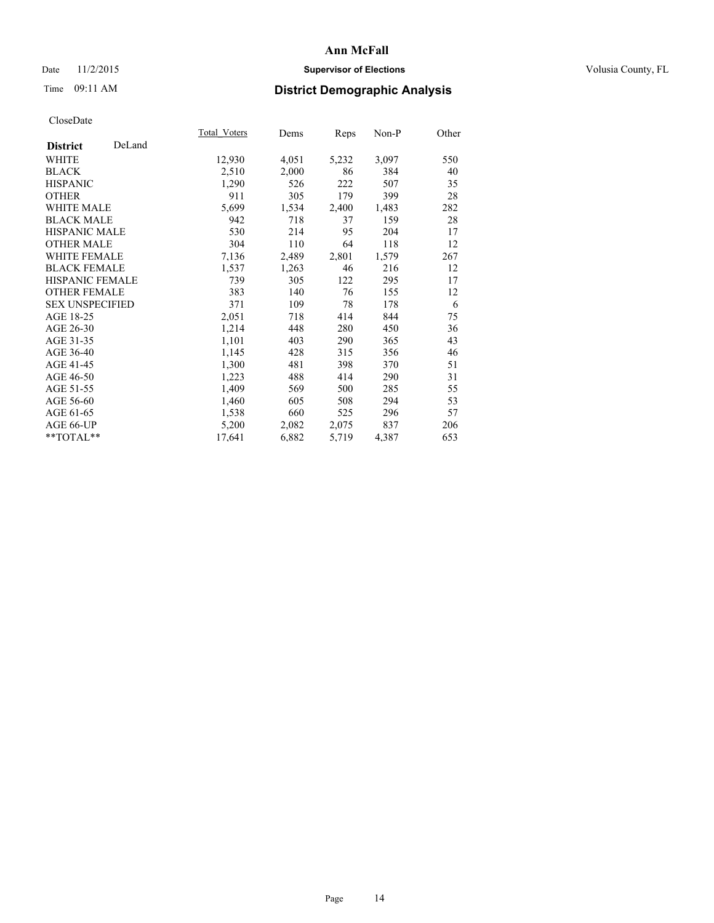# Date 11/2/2015 **Supervisor of Elections Supervisor of Elections** Volusia County, FL

# Time 09:11 AM **District Demographic Analysis**

|                        |        | Total Voters | Dems  | <b>Reps</b> | Non-P | Other |
|------------------------|--------|--------------|-------|-------------|-------|-------|
| <b>District</b>        | DeLand |              |       |             |       |       |
| WHITE                  |        | 12,930       | 4,051 | 5,232       | 3,097 | 550   |
| <b>BLACK</b>           |        | 2,510        | 2,000 | 86          | 384   | 40    |
| <b>HISPANIC</b>        |        | 1,290        | 526   | 222         | 507   | 35    |
| <b>OTHER</b>           |        | 911          | 305   | 179         | 399   | 28    |
| <b>WHITE MALE</b>      |        | 5,699        | 1,534 | 2,400       | 1,483 | 282   |
| <b>BLACK MALE</b>      |        | 942          | 718   | 37          | 159   | 28    |
| <b>HISPANIC MALE</b>   |        | 530          | 214   | 95          | 204   | 17    |
| <b>OTHER MALE</b>      |        | 304          | 110   | 64          | 118   | 12    |
| <b>WHITE FEMALE</b>    |        | 7,136        | 2,489 | 2,801       | 1,579 | 267   |
| <b>BLACK FEMALE</b>    |        | 1,537        | 1,263 | 46          | 216   | 12    |
| <b>HISPANIC FEMALE</b> |        | 739          | 305   | 122         | 295   | 17    |
| <b>OTHER FEMALE</b>    |        | 383          | 140   | 76          | 155   | 12    |
| <b>SEX UNSPECIFIED</b> |        | 371          | 109   | 78          | 178   | 6     |
| AGE 18-25              |        | 2,051        | 718   | 414         | 844   | 75    |
| AGE 26-30              |        | 1,214        | 448   | 280         | 450   | 36    |
| AGE 31-35              |        | 1,101        | 403   | 290         | 365   | 43    |
| AGE 36-40              |        | 1,145        | 428   | 315         | 356   | 46    |
| AGE 41-45              |        | 1,300        | 481   | 398         | 370   | 51    |
| AGE 46-50              |        | 1,223        | 488   | 414         | 290   | 31    |
| AGE 51-55              |        | 1,409        | 569   | 500         | 285   | 55    |
| AGE 56-60              |        | 1,460        | 605   | 508         | 294   | 53    |
| AGE 61-65              |        | 1,538        | 660   | 525         | 296   | 57    |
| AGE 66-UP              |        | 5,200        | 2,082 | 2,075       | 837   | 206   |
| $*$ $TOTAL**$          |        | 17,641       | 6,882 | 5,719       | 4,387 | 653   |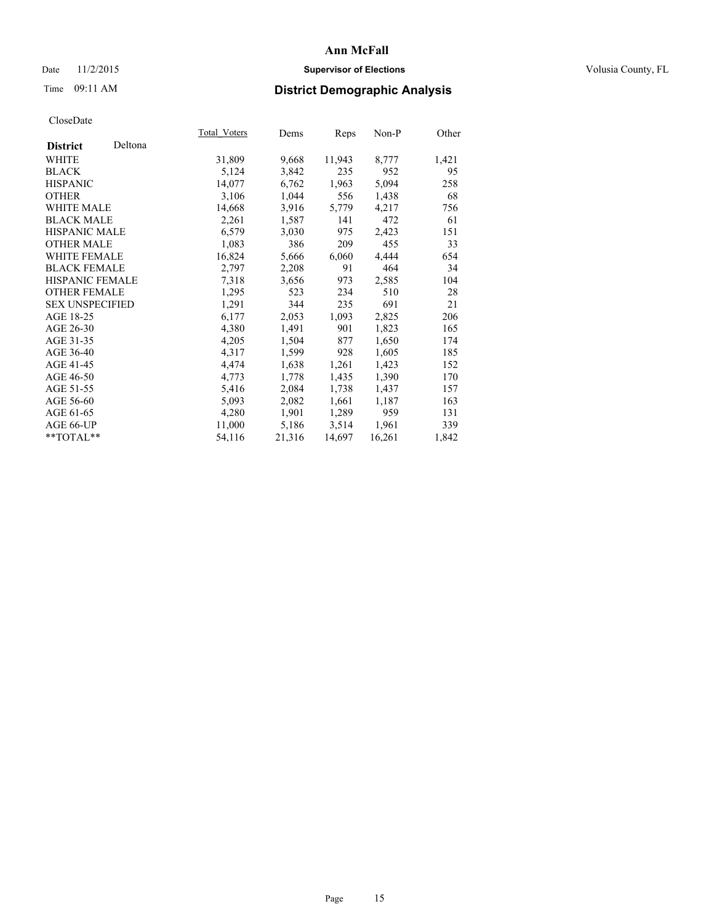# Date 11/2/2015 **Supervisor of Elections Supervisor of Elections** Volusia County, FL

# Time 09:11 AM **District Demographic Analysis**

|                        |         | Total Voters | Dems   | Reps   | $Non-P$ | Other |
|------------------------|---------|--------------|--------|--------|---------|-------|
| <b>District</b>        | Deltona |              |        |        |         |       |
| WHITE                  |         | 31,809       | 9,668  | 11,943 | 8,777   | 1,421 |
| <b>BLACK</b>           |         | 5,124        | 3,842  | 235    | 952     | 95    |
| <b>HISPANIC</b>        |         | 14,077       | 6,762  | 1,963  | 5,094   | 258   |
| <b>OTHER</b>           |         | 3,106        | 1,044  | 556    | 1,438   | 68    |
| <b>WHITE MALE</b>      |         | 14,668       | 3,916  | 5,779  | 4,217   | 756   |
| <b>BLACK MALE</b>      |         | 2,261        | 1,587  | 141    | 472     | 61    |
| <b>HISPANIC MALE</b>   |         | 6,579        | 3,030  | 975    | 2,423   | 151   |
| <b>OTHER MALE</b>      |         | 1,083        | 386    | 209    | 455     | 33    |
| WHITE FEMALE           |         | 16,824       | 5,666  | 6,060  | 4,444   | 654   |
| <b>BLACK FEMALE</b>    |         | 2,797        | 2,208  | 91     | 464     | 34    |
| HISPANIC FEMALE        |         | 7,318        | 3,656  | 973    | 2,585   | 104   |
| <b>OTHER FEMALE</b>    |         | 1,295        | 523    | 234    | 510     | 28    |
| <b>SEX UNSPECIFIED</b> |         | 1,291        | 344    | 235    | 691     | 21    |
| AGE 18-25              |         | 6,177        | 2,053  | 1,093  | 2,825   | 206   |
| AGE 26-30              |         | 4,380        | 1,491  | 901    | 1,823   | 165   |
| AGE 31-35              |         | 4,205        | 1,504  | 877    | 1,650   | 174   |
| AGE 36-40              |         | 4,317        | 1,599  | 928    | 1,605   | 185   |
| AGE 41-45              |         | 4,474        | 1,638  | 1,261  | 1,423   | 152   |
| AGE 46-50              |         | 4,773        | 1,778  | 1,435  | 1,390   | 170   |
| AGE 51-55              |         | 5,416        | 2,084  | 1,738  | 1,437   | 157   |
| AGE 56-60              |         | 5,093        | 2,082  | 1,661  | 1,187   | 163   |
| AGE 61-65              |         | 4,280        | 1,901  | 1,289  | 959     | 131   |
| AGE 66-UP              |         | 11,000       | 5,186  | 3,514  | 1,961   | 339   |
| **TOTAL**              |         | 54,116       | 21,316 | 14,697 | 16,261  | 1,842 |
|                        |         |              |        |        |         |       |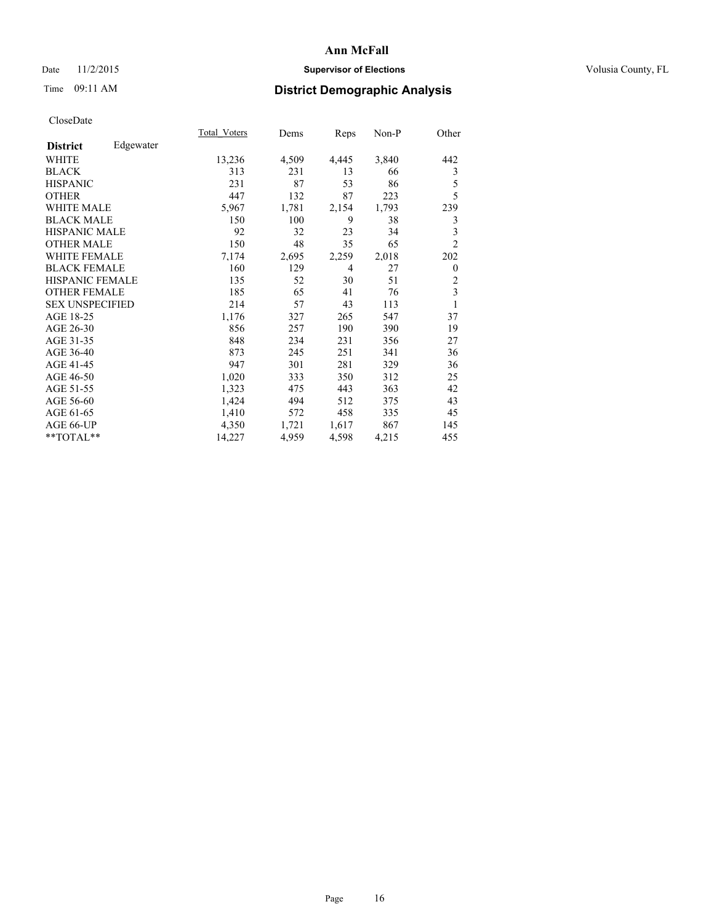# Date 11/2/2015 **Supervisor of Elections Supervisor of Elections** Volusia County, FL

# Time 09:11 AM **District Demographic Analysis**

|                        |           | Total Voters | Dems  | <b>Reps</b>    | Non-P | Other          |
|------------------------|-----------|--------------|-------|----------------|-------|----------------|
| <b>District</b>        | Edgewater |              |       |                |       |                |
| WHITE                  |           | 13,236       | 4,509 | 4,445          | 3,840 | 442            |
| <b>BLACK</b>           |           | 313          | 231   | 13             | 66    | 3              |
| <b>HISPANIC</b>        |           | 231          | 87    | 53             | 86    | 5              |
| <b>OTHER</b>           |           | 447          | 132   | 87             | 223   | 5              |
| <b>WHITE MALE</b>      |           | 5,967        | 1,781 | 2,154          | 1,793 | 239            |
| <b>BLACK MALE</b>      |           | 150          | 100   | 9              | 38    | 3              |
| <b>HISPANIC MALE</b>   |           | 92           | 32    | 23             | 34    | 3              |
| <b>OTHER MALE</b>      |           | 150          | 48    | 35             | 65    | $\overline{c}$ |
| <b>WHITE FEMALE</b>    |           | 7,174        | 2,695 | 2,259          | 2,018 | 202            |
| <b>BLACK FEMALE</b>    |           | 160          | 129   | $\overline{4}$ | 27    | $\mathbf{0}$   |
| <b>HISPANIC FEMALE</b> |           | 135          | 52    | 30             | 51    | $\overline{c}$ |
| <b>OTHER FEMALE</b>    |           | 185          | 65    | 41             | 76    | 3              |
| <b>SEX UNSPECIFIED</b> |           | 214          | 57    | 43             | 113   | 1              |
| AGE 18-25              |           | 1,176        | 327   | 265            | 547   | 37             |
| AGE 26-30              |           | 856          | 257   | 190            | 390   | 19             |
| AGE 31-35              |           | 848          | 234   | 231            | 356   | 27             |
| AGE 36-40              |           | 873          | 245   | 251            | 341   | 36             |
| AGE 41-45              |           | 947          | 301   | 281            | 329   | 36             |
| AGE 46-50              |           | 1,020        | 333   | 350            | 312   | 25             |
| AGE 51-55              |           | 1,323        | 475   | 443            | 363   | 42             |
| AGE 56-60              |           | 1,424        | 494   | 512            | 375   | 43             |
| AGE 61-65              |           | 1,410        | 572   | 458            | 335   | 45             |
| AGE 66-UP              |           | 4,350        | 1,721 | 1,617          | 867   | 145            |
| **TOTAL**              |           | 14,227       | 4,959 | 4,598          | 4,215 | 455            |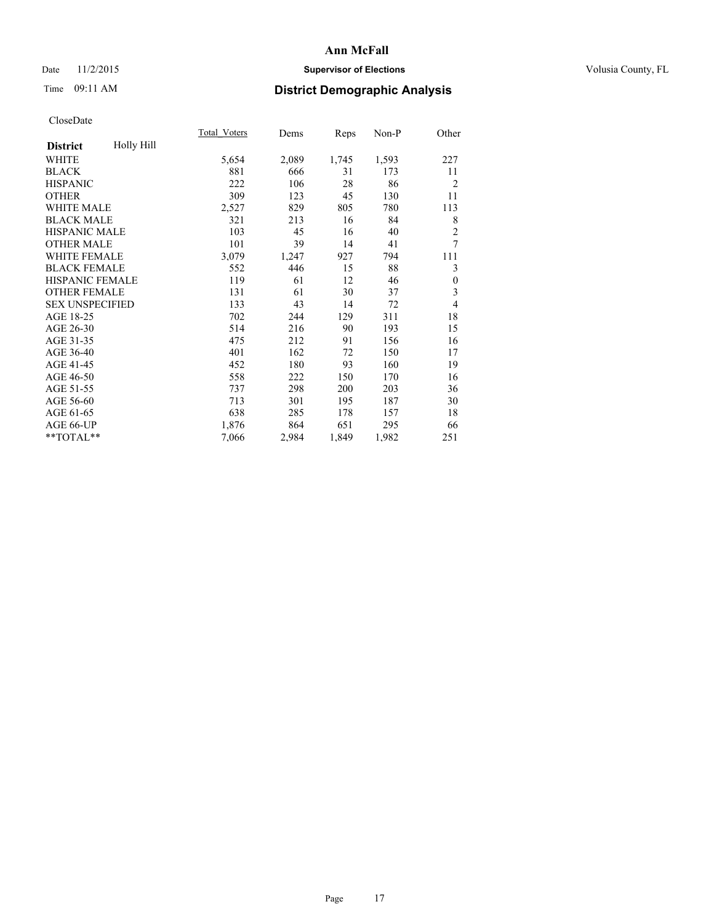# Date 11/2/2015 **Supervisor of Elections Supervisor of Elections** Volusia County, FL

# Time 09:11 AM **District Demographic Analysis**

|                        |            | <b>Total Voters</b> | Dems  | Reps  | Non-P | Other            |
|------------------------|------------|---------------------|-------|-------|-------|------------------|
| <b>District</b>        | Holly Hill |                     |       |       |       |                  |
| <b>WHITE</b>           |            | 5,654               | 2,089 | 1,745 | 1,593 | 227              |
| <b>BLACK</b>           |            | 881                 | 666   | 31    | 173   | 11               |
| <b>HISPANIC</b>        |            | 222                 | 106   | 28    | 86    | $\overline{2}$   |
| <b>OTHER</b>           |            | 309                 | 123   | 45    | 130   | 11               |
| WHITE MALE             |            | 2,527               | 829   | 805   | 780   | 113              |
| <b>BLACK MALE</b>      |            | 321                 | 213   | 16    | 84    | 8                |
| <b>HISPANIC MALE</b>   |            | 103                 | 45    | 16    | 40    | $\overline{2}$   |
| <b>OTHER MALE</b>      |            | 101                 | 39    | 14    | 41    | 7                |
| <b>WHITE FEMALE</b>    |            | 3,079               | 1,247 | 927   | 794   | 111              |
| <b>BLACK FEMALE</b>    |            | 552                 | 446   | 15    | 88    | 3                |
| <b>HISPANIC FEMALE</b> |            | 119                 | 61    | 12    | 46    | $\boldsymbol{0}$ |
| <b>OTHER FEMALE</b>    |            | 131                 | 61    | 30    | 37    | 3                |
| <b>SEX UNSPECIFIED</b> |            | 133                 | 43    | 14    | 72    | 4                |
| AGE 18-25              |            | 702                 | 244   | 129   | 311   | 18               |
| AGE 26-30              |            | 514                 | 216   | 90    | 193   | 15               |
| AGE 31-35              |            | 475                 | 212   | 91    | 156   | 16               |
| AGE 36-40              |            | 401                 | 162   | 72    | 150   | 17               |
| AGE 41-45              |            | 452                 | 180   | 93    | 160   | 19               |
| AGE 46-50              |            | 558                 | 222   | 150   | 170   | 16               |
| AGE 51-55              |            | 737                 | 298   | 200   | 203   | 36               |
| AGE 56-60              |            | 713                 | 301   | 195   | 187   | 30               |
| AGE 61-65              |            | 638                 | 285   | 178   | 157   | 18               |
| AGE 66-UP              |            | 1,876               | 864   | 651   | 295   | 66               |
| **TOTAL**              |            | 7,066               | 2,984 | 1,849 | 1,982 | 251              |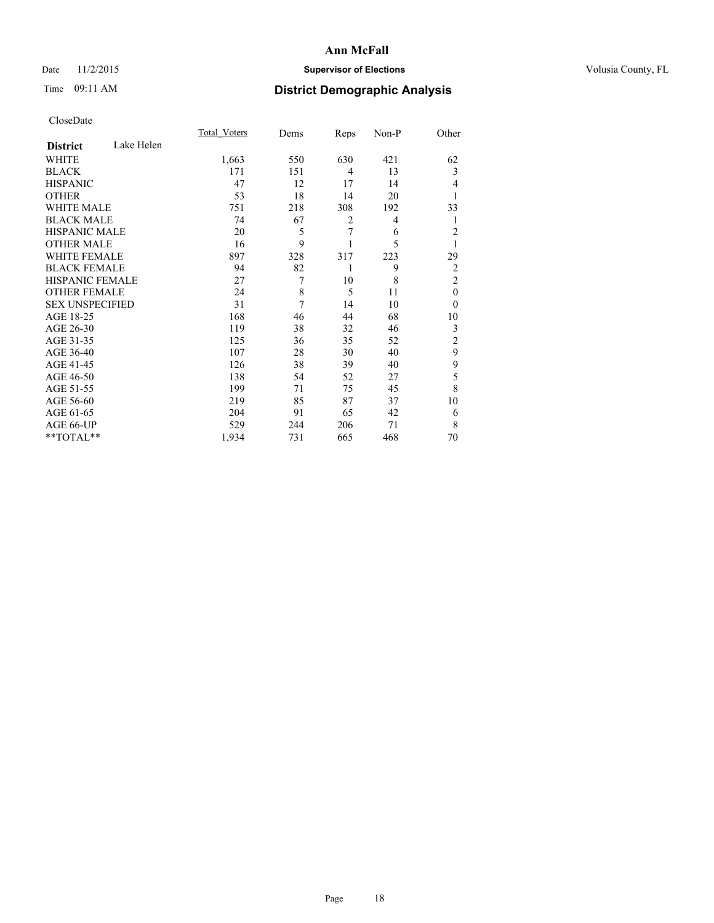# Date 11/2/2015 **Supervisor of Elections Supervisor of Elections** Volusia County, FL

# Time 09:11 AM **District Demographic Analysis**

|                        |            | <b>Total Voters</b> | Dems | Reps | Non-P | Other          |
|------------------------|------------|---------------------|------|------|-------|----------------|
| <b>District</b>        | Lake Helen |                     |      |      |       |                |
| WHITE                  |            | 1,663               | 550  | 630  | 421   | 62             |
| <b>BLACK</b>           |            | 171                 | 151  | 4    | 13    | 3              |
| <b>HISPANIC</b>        |            | 47                  | 12   | 17   | 14    | 4              |
| <b>OTHER</b>           |            | 53                  | 18   | 14   | 20    |                |
| WHITE MALE             |            | 751                 | 218  | 308  | 192   | 33             |
| <b>BLACK MALE</b>      |            | 74                  | 67   | 2    | 4     | 1              |
| <b>HISPANIC MALE</b>   |            | 20                  | 5    | 7    | 6     | $\overline{c}$ |
| <b>OTHER MALE</b>      |            | 16                  | 9    |      | 5     | 1              |
| <b>WHITE FEMALE</b>    |            | 897                 | 328  | 317  | 223   | 29             |
| <b>BLACK FEMALE</b>    |            | 94                  | 82   | 1    | 9     | $\overline{2}$ |
| <b>HISPANIC FEMALE</b> |            | 27                  | 7    | 10   | 8     | $\overline{2}$ |
| <b>OTHER FEMALE</b>    |            | 24                  | 8    | 5    | 11    | $\theta$       |
| <b>SEX UNSPECIFIED</b> |            | 31                  | 7    | 14   | 10    | $\theta$       |
| AGE 18-25              |            | 168                 | 46   | 44   | 68    | 10             |
| AGE 26-30              |            | 119                 | 38   | 32   | 46    | 3              |
| AGE 31-35              |            | 125                 | 36   | 35   | 52    | $\overline{c}$ |
| AGE 36-40              |            | 107                 | 28   | 30   | 40    | 9              |
| AGE 41-45              |            | 126                 | 38   | 39   | 40    | 9              |
| AGE 46-50              |            | 138                 | 54   | 52   | 27    | 5              |
| AGE 51-55              |            | 199                 | 71   | 75   | 45    | 8              |
| AGE 56-60              |            | 219                 | 85   | 87   | 37    | 10             |
| AGE 61-65              |            | 204                 | 91   | 65   | 42    | 6              |
| AGE 66-UP              |            | 529                 | 244  | 206  | 71    | 8              |
| **TOTAL**              |            | 1,934               | 731  | 665  | 468   | 70             |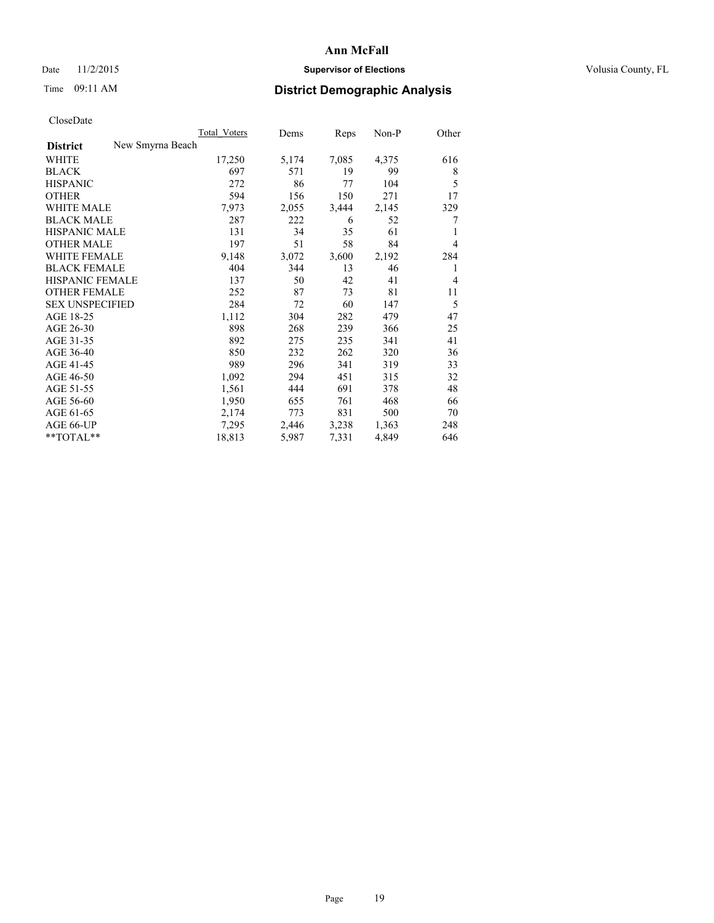# Date 11/2/2015 **Supervisor of Elections Supervisor of Elections** Volusia County, FL

# Time 09:11 AM **District Demographic Analysis**

|                        |                  | Total Voters | Dems  | Reps  | Non-P | Other |
|------------------------|------------------|--------------|-------|-------|-------|-------|
| <b>District</b>        | New Smyrna Beach |              |       |       |       |       |
| WHITE                  |                  | 17,250       | 5,174 | 7,085 | 4,375 | 616   |
| <b>BLACK</b>           |                  | 697          | 571   | 19    | 99    | 8     |
| <b>HISPANIC</b>        |                  | 272          | 86    | 77    | 104   | 5     |
| <b>OTHER</b>           |                  | 594          | 156   | 150   | 271   | 17    |
| WHITE MALE             |                  | 7,973        | 2,055 | 3,444 | 2,145 | 329   |
| <b>BLACK MALE</b>      |                  | 287          | 222   | 6     | 52    | 7     |
| <b>HISPANIC MALE</b>   |                  | 131          | 34    | 35    | 61    | 1     |
| <b>OTHER MALE</b>      |                  | 197          | 51    | 58    | 84    | 4     |
| WHITE FEMALE           |                  | 9,148        | 3,072 | 3,600 | 2,192 | 284   |
| <b>BLACK FEMALE</b>    |                  | 404          | 344   | 13    | 46    | 1     |
| HISPANIC FEMALE        |                  | 137          | 50    | 42    | 41    | 4     |
| <b>OTHER FEMALE</b>    |                  | 252          | 87    | 73    | 81    | 11    |
| <b>SEX UNSPECIFIED</b> |                  | 284          | 72    | 60    | 147   | 5     |
| AGE 18-25              |                  | 1,112        | 304   | 282   | 479   | 47    |
| AGE 26-30              |                  | 898          | 268   | 239   | 366   | 25    |
| AGE 31-35              |                  | 892          | 275   | 235   | 341   | 41    |
| AGE 36-40              |                  | 850          | 232   | 262   | 320   | 36    |
| AGE 41-45              |                  | 989          | 296   | 341   | 319   | 33    |
| AGE 46-50              |                  | 1,092        | 294   | 451   | 315   | 32    |
| AGE 51-55              |                  | 1,561        | 444   | 691   | 378   | 48    |
| AGE 56-60              |                  | 1,950        | 655   | 761   | 468   | 66    |
| AGE 61-65              |                  | 2,174        | 773   | 831   | 500   | 70    |
| AGE 66-UP              |                  | 7,295        | 2,446 | 3,238 | 1,363 | 248   |
| $*$ TOTAL $*$          |                  | 18,813       | 5,987 | 7,331 | 4,849 | 646   |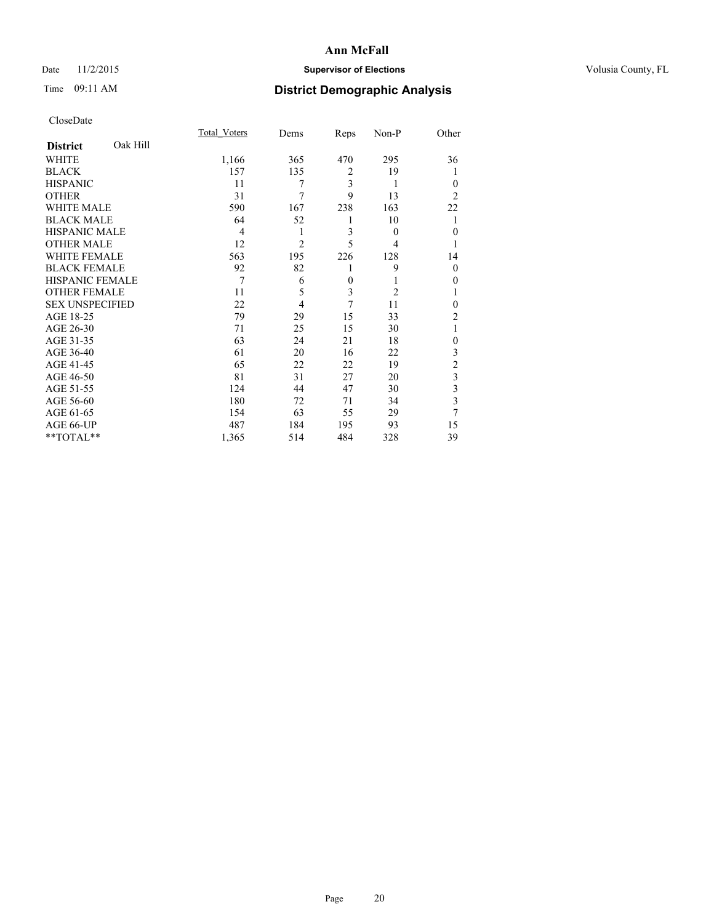# Date 11/2/2015 **Supervisor of Elections Supervisor of Elections** Volusia County, FL

# Time 09:11 AM **District Demographic Analysis**

|                             | Total Voters | Dems           | Reps     | Non-P          | Other                   |
|-----------------------------|--------------|----------------|----------|----------------|-------------------------|
| Oak Hill<br><b>District</b> |              |                |          |                |                         |
| WHITE                       | 1,166        | 365            | 470      | 295            | 36                      |
| <b>BLACK</b>                | 157          | 135            | 2        | 19             | 1                       |
| <b>HISPANIC</b>             | 11           | 7              | 3        | 1              | $\Omega$                |
| <b>OTHER</b>                | 31           | 7              | 9        | 13             | 2                       |
| <b>WHITE MALE</b>           | 590          | 167            | 238      | 163            | 22                      |
| <b>BLACK MALE</b>           | 64           | 52             | 1        | 10             | 1                       |
| <b>HISPANIC MALE</b>        | 4            | 1              | 3        | $\theta$       | $\Omega$                |
| <b>OTHER MALE</b>           | 12           | $\overline{2}$ | 5        | 4              | 1                       |
| <b>WHITE FEMALE</b>         | 563          | 195            | 226      | 128            | 14                      |
| <b>BLACK FEMALE</b>         | 92           | 82             | 1        | 9              | $\Omega$                |
| <b>HISPANIC FEMALE</b>      | 7            | 6              | $\theta$ | 1              | $\Omega$                |
| <b>OTHER FEMALE</b>         | 11           | 5              | 3        | $\overline{2}$ | 1                       |
| <b>SEX UNSPECIFIED</b>      | 22           | $\overline{4}$ | 7        | 11             | $\Omega$                |
| AGE 18-25                   | 79           | 29             | 15       | 33             | $\overline{2}$          |
| AGE 26-30                   | 71           | 25             | 15       | 30             | 1                       |
| AGE 31-35                   | 63           | 24             | 21       | 18             | $\theta$                |
| AGE 36-40                   | 61           | 20             | 16       | 22             | 3                       |
| AGE 41-45                   | 65           | 22             | 22       | 19             | $\overline{c}$          |
| AGE 46-50                   | 81           | 31             | 27       | 20             | $\overline{\mathbf{3}}$ |
| AGE 51-55                   | 124          | 44             | 47       | 30             | $\mathfrak{Z}$          |
| AGE 56-60                   | 180          | 72             | 71       | 34             | 3                       |
| AGE 61-65                   | 154          | 63             | 55       | 29             | 7                       |
| AGE 66-UP                   | 487          | 184            | 195      | 93             | 15                      |
| **TOTAL**                   | 1,365        | 514            | 484      | 328            | 39                      |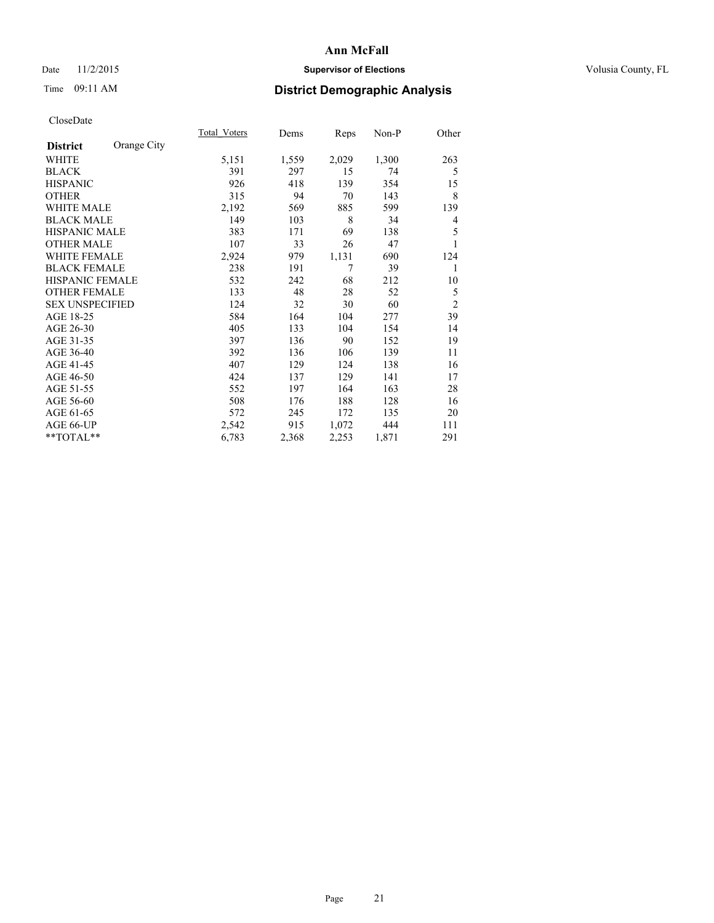# Date 11/2/2015 **Supervisor of Elections Supervisor of Elections** Volusia County, FL

# Time 09:11 AM **District Demographic Analysis**

|                        |             | <b>Total Voters</b> | Dems  | Reps  | Non-P | Other          |
|------------------------|-------------|---------------------|-------|-------|-------|----------------|
| <b>District</b>        | Orange City |                     |       |       |       |                |
| WHITE                  |             | 5,151               | 1,559 | 2,029 | 1,300 | 263            |
| <b>BLACK</b>           |             | 391                 | 297   | 15    | 74    | 5              |
| <b>HISPANIC</b>        |             | 926                 | 418   | 139   | 354   | 15             |
| <b>OTHER</b>           |             | 315                 | 94    | 70    | 143   | 8              |
| <b>WHITE MALE</b>      |             | 2,192               | 569   | 885   | 599   | 139            |
| <b>BLACK MALE</b>      |             | 149                 | 103   | 8     | 34    | 4              |
| HISPANIC MALE          |             | 383                 | 171   | 69    | 138   | 5              |
| <b>OTHER MALE</b>      |             | 107                 | 33    | 26    | 47    |                |
| <b>WHITE FEMALE</b>    |             | 2,924               | 979   | 1,131 | 690   | 124            |
| <b>BLACK FEMALE</b>    |             | 238                 | 191   | 7     | 39    | 1              |
| <b>HISPANIC FEMALE</b> |             | 532                 | 242   | 68    | 212   | 10             |
| <b>OTHER FEMALE</b>    |             | 133                 | 48    | 28    | 52    | 5              |
| <b>SEX UNSPECIFIED</b> |             | 124                 | 32    | 30    | 60    | $\overline{c}$ |
| AGE 18-25              |             | 584                 | 164   | 104   | 277   | 39             |
| AGE 26-30              |             | 405                 | 133   | 104   | 154   | 14             |
| AGE 31-35              |             | 397                 | 136   | 90    | 152   | 19             |
| AGE 36-40              |             | 392                 | 136   | 106   | 139   | 11             |
| AGE 41-45              |             | 407                 | 129   | 124   | 138   | 16             |
| AGE 46-50              |             | 424                 | 137   | 129   | 141   | 17             |
| AGE 51-55              |             | 552                 | 197   | 164   | 163   | 28             |
| AGE 56-60              |             | 508                 | 176   | 188   | 128   | 16             |
| AGE 61-65              |             | 572                 | 245   | 172   | 135   | 20             |
| AGE 66-UP              |             | 2,542               | 915   | 1,072 | 444   | 111            |
| **TOTAL**              |             | 6,783               | 2,368 | 2,253 | 1,871 | 291            |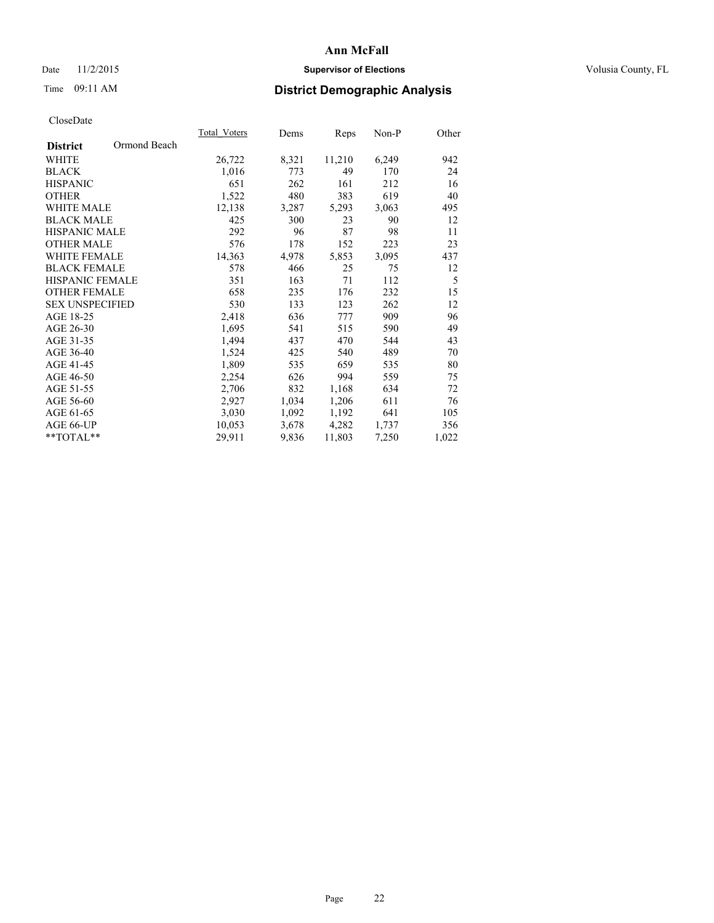# Date 11/2/2015 **Supervisor of Elections Supervisor of Elections** Volusia County, FL

# Time 09:11 AM **District Demographic Analysis**

|                        |              | Total Voters | Dems  | Reps   | Non-P | Other |
|------------------------|--------------|--------------|-------|--------|-------|-------|
| <b>District</b>        | Ormond Beach |              |       |        |       |       |
| WHITE                  |              | 26,722       | 8,321 | 11,210 | 6,249 | 942   |
| <b>BLACK</b>           |              | 1,016        | 773   | 49     | 170   | 24    |
| <b>HISPANIC</b>        |              | 651          | 262   | 161    | 212   | 16    |
| <b>OTHER</b>           |              | 1,522        | 480   | 383    | 619   | 40    |
| <b>WHITE MALE</b>      |              | 12,138       | 3,287 | 5,293  | 3,063 | 495   |
| <b>BLACK MALE</b>      |              | 425          | 300   | 23     | 90    | 12    |
| <b>HISPANIC MALE</b>   |              | 292          | 96    | 87     | 98    | 11    |
| <b>OTHER MALE</b>      |              | 576          | 178   | 152    | 223   | 23    |
| <b>WHITE FEMALE</b>    |              | 14,363       | 4,978 | 5,853  | 3,095 | 437   |
| <b>BLACK FEMALE</b>    |              | 578          | 466   | 25     | 75    | 12    |
| <b>HISPANIC FEMALE</b> |              | 351          | 163   | 71     | 112   | 5     |
| <b>OTHER FEMALE</b>    |              | 658          | 235   | 176    | 232   | 15    |
| <b>SEX UNSPECIFIED</b> |              | 530          | 133   | 123    | 262   | 12    |
| AGE 18-25              |              | 2,418        | 636   | 777    | 909   | 96    |
| AGE 26-30              |              | 1,695        | 541   | 515    | 590   | 49    |
| AGE 31-35              |              | 1,494        | 437   | 470    | 544   | 43    |
| AGE 36-40              |              | 1,524        | 425   | 540    | 489   | 70    |
| AGE 41-45              |              | 1,809        | 535   | 659    | 535   | 80    |
| AGE 46-50              |              | 2,254        | 626   | 994    | 559   | 75    |
| AGE 51-55              |              | 2,706        | 832   | 1,168  | 634   | 72    |
| AGE 56-60              |              | 2,927        | 1,034 | 1,206  | 611   | 76    |
| AGE 61-65              |              | 3,030        | 1,092 | 1,192  | 641   | 105   |
| AGE 66-UP              |              | 10,053       | 3,678 | 4,282  | 1,737 | 356   |
| $*$ TOTAL $*$          |              | 29.911       | 9,836 | 11,803 | 7,250 | 1,022 |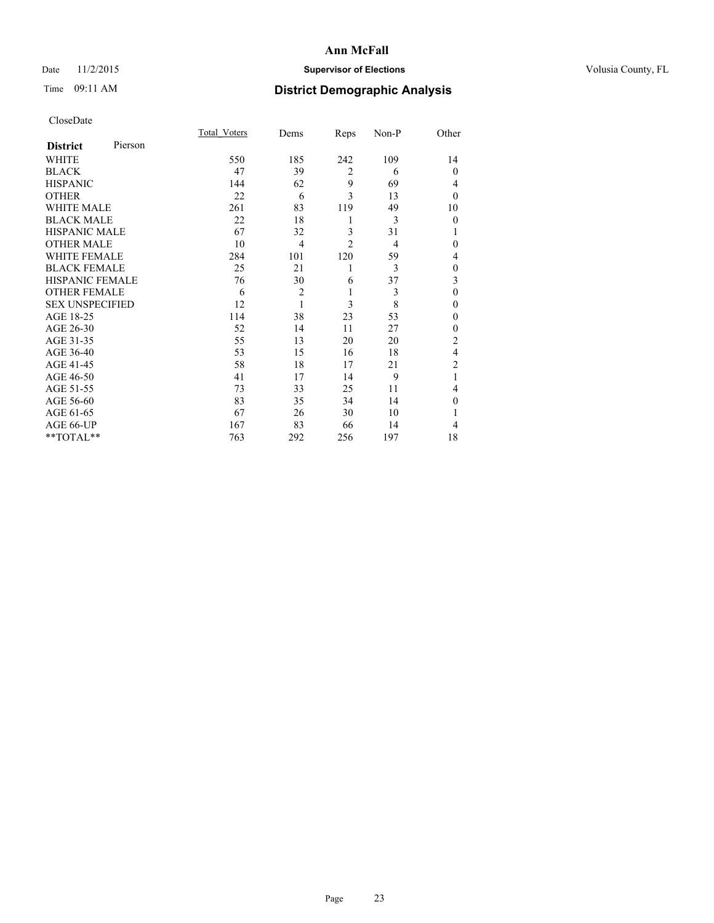# Date 11/2/2015 **Supervisor of Elections Supervisor of Elections** Volusia County, FL

# Time 09:11 AM **District Demographic Analysis**

|                        |         | <b>Total Voters</b> | Dems           | Reps           | Non-P | Other          |
|------------------------|---------|---------------------|----------------|----------------|-------|----------------|
| <b>District</b>        | Pierson |                     |                |                |       |                |
| WHITE                  |         | 550                 | 185            | 242            | 109   | 14             |
| <b>BLACK</b>           |         | 47                  | 39             | $\overline{2}$ | 6     | $\Omega$       |
| <b>HISPANIC</b>        |         | 144                 | 62             | 9              | 69    | 4              |
| <b>OTHER</b>           |         | 22                  | 6              | 3              | 13    | $\Omega$       |
| WHITE MALE             |         | 261                 | 83             | 119            | 49    | 10             |
| <b>BLACK MALE</b>      |         | 22                  | 18             | 1              | 3     | $\theta$       |
| <b>HISPANIC MALE</b>   |         | 67                  | 32             | 3              | 31    | 1              |
| <b>OTHER MALE</b>      |         | 10                  | $\overline{4}$ | $\overline{2}$ | 4     | $\Omega$       |
| WHITE FEMALE           |         | 284                 | 101            | 120            | 59    | 4              |
| <b>BLACK FEMALE</b>    |         | 25                  | 21             | 1              | 3     | $\mathbf{0}$   |
| <b>HISPANIC FEMALE</b> |         | 76                  | 30             | 6              | 37    | 3              |
| <b>OTHER FEMALE</b>    |         | 6                   | $\overline{c}$ | 1              | 3     | $\theta$       |
| <b>SEX UNSPECIFIED</b> |         | 12                  | $\mathbf{1}$   | 3              | 8     | $\theta$       |
| AGE 18-25              |         | 114                 | 38             | 23             | 53    | $\Omega$       |
| AGE 26-30              |         | 52                  | 14             | 11             | 27    | $\theta$       |
| AGE 31-35              |         | 55                  | 13             | 20             | 20    | $\overline{2}$ |
| AGE 36-40              |         | 53                  | 15             | 16             | 18    | $\overline{4}$ |
| AGE 41-45              |         | 58                  | 18             | 17             | 21    | $\overline{c}$ |
| AGE 46-50              |         | 41                  | 17             | 14             | 9     | 1              |
| AGE 51-55              |         | 73                  | 33             | 25             | 11    | 4              |
| AGE 56-60              |         | 83                  | 35             | 34             | 14    | $\theta$       |
| AGE 61-65              |         | 67                  | 26             | 30             | 10    |                |
| AGE 66-UP              |         | 167                 | 83             | 66             | 14    | 4              |
| **TOTAL**              |         | 763                 | 292            | 256            | 197   | 18             |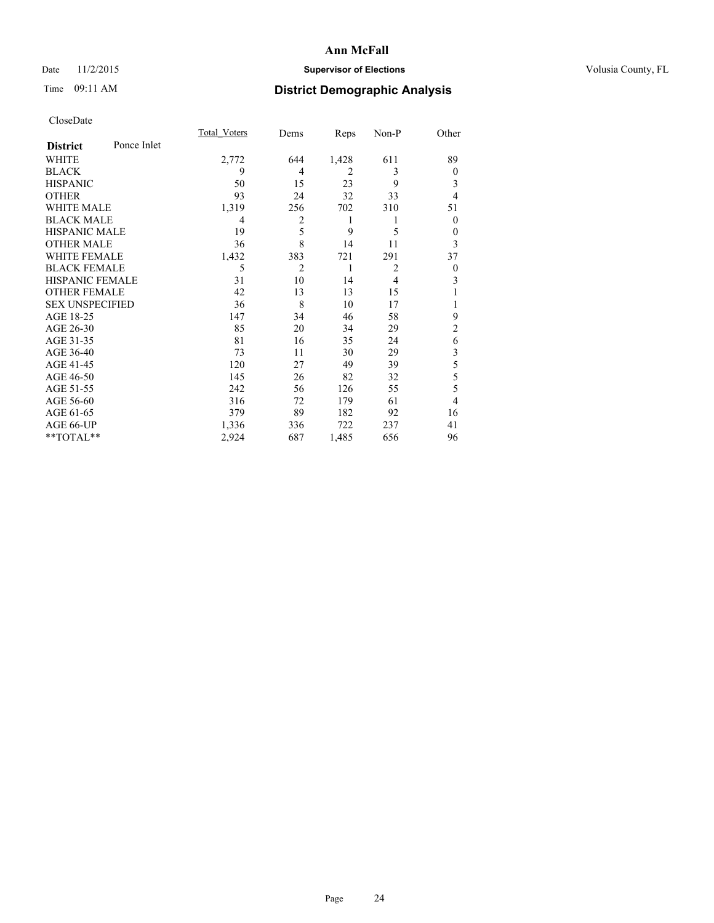# Date 11/2/2015 **Supervisor of Elections Supervisor of Elections** Volusia County, FL

# Time 09:11 AM **District Demographic Analysis**

|                        |             | <b>Total Voters</b> | Dems           | Reps           | Non-P          | Other          |
|------------------------|-------------|---------------------|----------------|----------------|----------------|----------------|
| <b>District</b>        | Ponce Inlet |                     |                |                |                |                |
| WHITE                  |             | 2,772               | 644            | 1,428          | 611            | 89             |
| <b>BLACK</b>           |             | 9                   | $\overline{4}$ | $\overline{2}$ | 3              | $\mathbf{0}$   |
| <b>HISPANIC</b>        |             | 50                  | 15             | 23             | 9              | 3              |
| <b>OTHER</b>           |             | 93                  | 24             | 32             | 33             | 4              |
| WHITE MALE             |             | 1,319               | 256            | 702            | 310            | 51             |
| <b>BLACK MALE</b>      |             | 4                   | 2              | 1              | 1              | $\mathbf{0}$   |
| <b>HISPANIC MALE</b>   |             | 19                  | 5              | 9              | 5              | $\theta$       |
| <b>OTHER MALE</b>      |             | 36                  | 8              | 14             | 11             | 3              |
| <b>WHITE FEMALE</b>    |             | 1,432               | 383            | 721            | 291            | 37             |
| <b>BLACK FEMALE</b>    |             | 5                   | $\overline{2}$ | 1              | $\overline{2}$ | $\theta$       |
| <b>HISPANIC FEMALE</b> |             | 31                  | 10             | 14             | 4              | 3              |
| <b>OTHER FEMALE</b>    |             | 42                  | 13             | 13             | 15             |                |
| <b>SEX UNSPECIFIED</b> |             | 36                  | 8              | 10             | 17             | 1              |
| AGE 18-25              |             | 147                 | 34             | 46             | 58             | 9              |
| AGE 26-30              |             | 85                  | 20             | 34             | 29             | $\overline{2}$ |
| AGE 31-35              |             | 81                  | 16             | 35             | 24             | 6              |
| AGE 36-40              |             | 73                  | 11             | 30             | 29             | 3              |
| AGE 41-45              |             | 120                 | 27             | 49             | 39             | 5              |
| AGE 46-50              |             | 145                 | 26             | 82             | 32             | 5              |
| AGE 51-55              |             | 242                 | 56             | 126            | 55             | 5              |
| AGE 56-60              |             | 316                 | 72             | 179            | 61             | $\overline{4}$ |
| AGE 61-65              |             | 379                 | 89             | 182            | 92             | 16             |
| AGE 66-UP              |             | 1,336               | 336            | 722            | 237            | 41             |
| **TOTAL**              |             | 2,924               | 687            | 1,485          | 656            | 96             |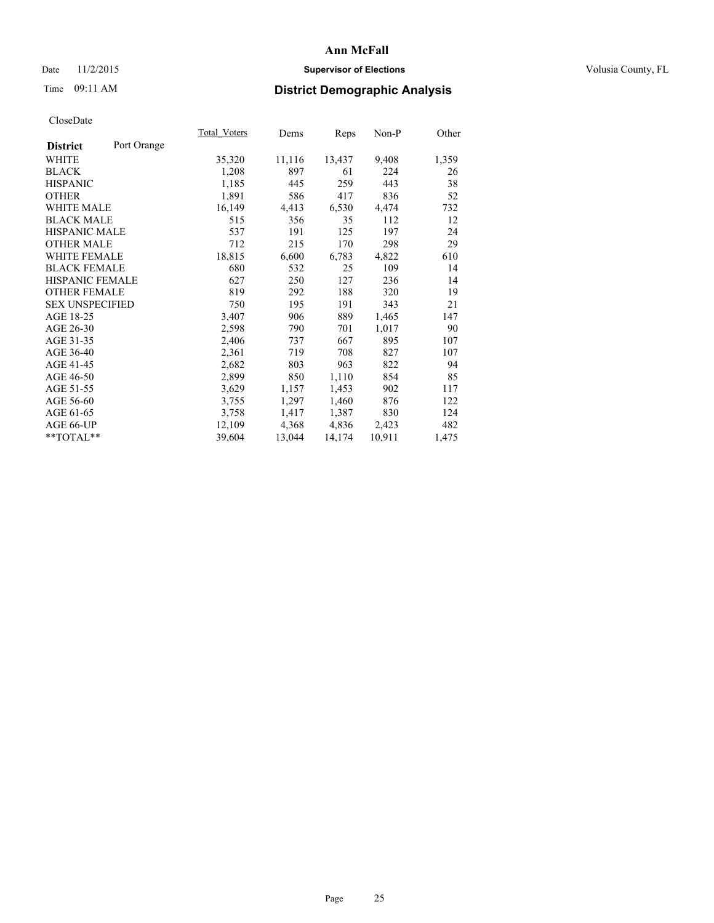# Date 11/2/2015 **Supervisor of Elections Supervisor of Elections** Volusia County, FL

# Time 09:11 AM **District Demographic Analysis**

|                        |             | Total Voters | Dems   | Reps   | Non-P  | Other |
|------------------------|-------------|--------------|--------|--------|--------|-------|
| <b>District</b>        | Port Orange |              |        |        |        |       |
| WHITE                  |             | 35,320       | 11,116 | 13,437 | 9,408  | 1,359 |
| <b>BLACK</b>           |             | 1,208        | 897    | 61     | 224    | 26    |
| <b>HISPANIC</b>        |             | 1,185        | 445    | 259    | 443    | 38    |
| <b>OTHER</b>           |             | 1,891        | 586    | 417    | 836    | 52    |
| WHITE MALE             |             | 16,149       | 4,413  | 6,530  | 4,474  | 732   |
| <b>BLACK MALE</b>      |             | 515          | 356    | 35     | 112    | 12    |
| <b>HISPANIC MALE</b>   |             | 537          | 191    | 125    | 197    | 24    |
| <b>OTHER MALE</b>      |             | 712          | 215    | 170    | 298    | 29    |
| <b>WHITE FEMALE</b>    |             | 18,815       | 6,600  | 6,783  | 4,822  | 610   |
| <b>BLACK FEMALE</b>    |             | 680          | 532    | 25     | 109    | 14    |
| HISPANIC FEMALE        |             | 627          | 250    | 127    | 236    | 14    |
| <b>OTHER FEMALE</b>    |             | 819          | 292    | 188    | 320    | 19    |
| <b>SEX UNSPECIFIED</b> |             | 750          | 195    | 191    | 343    | 21    |
| AGE 18-25              |             | 3,407        | 906    | 889    | 1,465  | 147   |
| AGE 26-30              |             | 2,598        | 790    | 701    | 1,017  | 90    |
| AGE 31-35              |             | 2,406        | 737    | 667    | 895    | 107   |
| AGE 36-40              |             | 2,361        | 719    | 708    | 827    | 107   |
| AGE 41-45              |             | 2,682        | 803    | 963    | 822    | 94    |
| AGE 46-50              |             | 2,899        | 850    | 1,110  | 854    | 85    |
| AGE 51-55              |             | 3,629        | 1,157  | 1,453  | 902    | 117   |
| AGE 56-60              |             | 3,755        | 1,297  | 1,460  | 876    | 122   |
| AGE 61-65              |             | 3,758        | 1,417  | 1,387  | 830    | 124   |
| AGE 66-UP              |             | 12,109       | 4,368  | 4,836  | 2,423  | 482   |
| **TOTAL**              |             | 39,604       | 13,044 | 14,174 | 10,911 | 1,475 |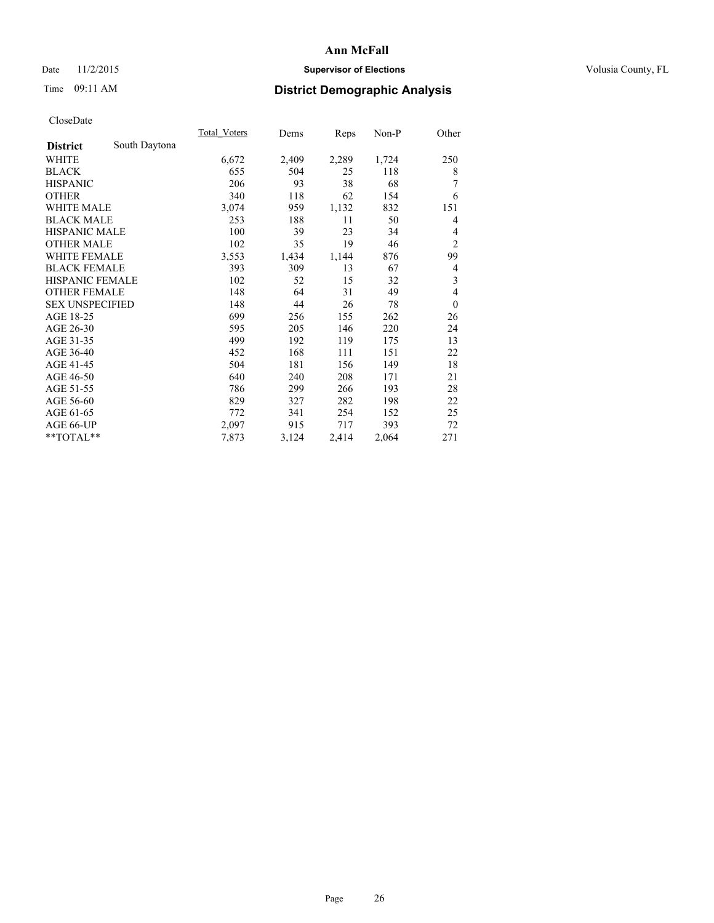# Date 11/2/2015 **Supervisor of Elections Supervisor of Elections** Volusia County, FL

# Time 09:11 AM **District Demographic Analysis**

|                        |               | Total Voters | Dems  | Reps  | Non-P | Other            |
|------------------------|---------------|--------------|-------|-------|-------|------------------|
| <b>District</b>        | South Daytona |              |       |       |       |                  |
| WHITE                  |               | 6,672        | 2,409 | 2,289 | 1,724 | 250              |
| <b>BLACK</b>           |               | 655          | 504   | 25    | 118   | 8                |
| <b>HISPANIC</b>        |               | 206          | 93    | 38    | 68    | 7                |
| <b>OTHER</b>           |               | 340          | 118   | 62    | 154   | 6                |
| <b>WHITE MALE</b>      |               | 3,074        | 959   | 1,132 | 832   | 151              |
| <b>BLACK MALE</b>      |               | 253          | 188   | 11    | 50    | 4                |
| <b>HISPANIC MALE</b>   |               | 100          | 39    | 23    | 34    | 4                |
| <b>OTHER MALE</b>      |               | 102          | 35    | 19    | 46    | $\overline{2}$   |
| <b>WHITE FEMALE</b>    |               | 3,553        | 1,434 | 1,144 | 876   | 99               |
| <b>BLACK FEMALE</b>    |               | 393          | 309   | 13    | 67    | 4                |
| <b>HISPANIC FEMALE</b> |               | 102          | 52    | 15    | 32    | 3                |
| <b>OTHER FEMALE</b>    |               | 148          | 64    | 31    | 49    | $\overline{4}$   |
| <b>SEX UNSPECIFIED</b> |               | 148          | 44    | 26    | 78    | $\boldsymbol{0}$ |
| AGE 18-25              |               | 699          | 256   | 155   | 262   | 26               |
| AGE 26-30              |               | 595          | 205   | 146   | 220   | 24               |
| AGE 31-35              |               | 499          | 192   | 119   | 175   | 13               |
| AGE 36-40              |               | 452          | 168   | 111   | 151   | 22               |
| AGE 41-45              |               | 504          | 181   | 156   | 149   | 18               |
| AGE 46-50              |               | 640          | 240   | 208   | 171   | 21               |
| AGE 51-55              |               | 786          | 299   | 266   | 193   | 28               |
| AGE 56-60              |               | 829          | 327   | 282   | 198   | 22               |
| AGE 61-65              |               | 772          | 341   | 254   | 152   | 25               |
| AGE 66-UP              |               | 2,097        | 915   | 717   | 393   | 72               |
| **TOTAL**              |               | 7,873        | 3,124 | 2,414 | 2,064 | 271              |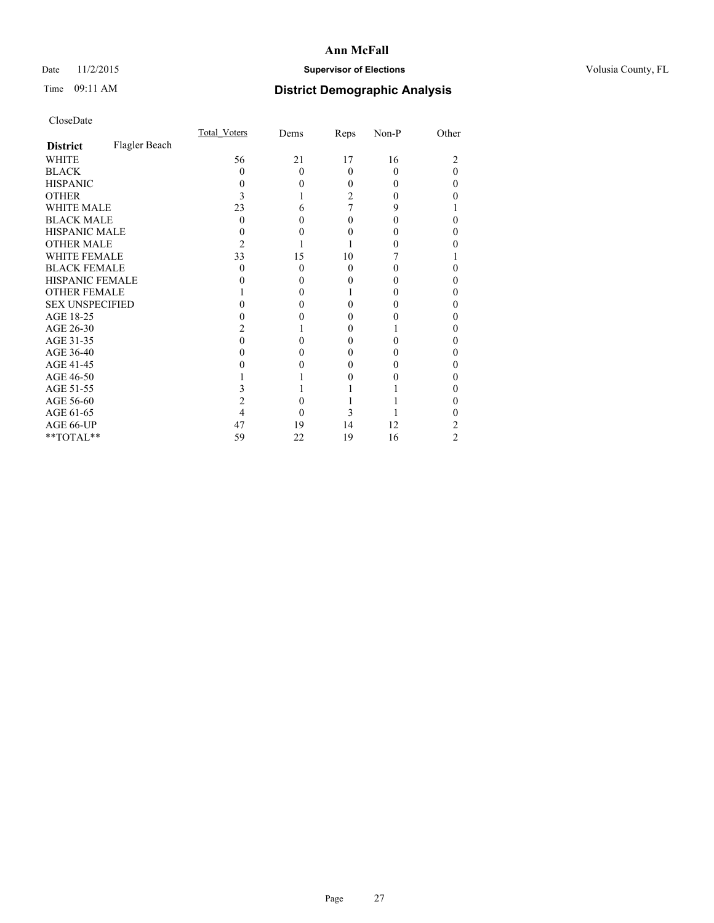# Date 11/2/2015 **Supervisor of Elections Supervisor of Elections** Volusia County, FL

# Time 09:11 AM **District Demographic Analysis**

|                        |               | <b>Total Voters</b> | Dems     | Reps     | Non-P | Other    |
|------------------------|---------------|---------------------|----------|----------|-------|----------|
| <b>District</b>        | Flagler Beach |                     |          |          |       |          |
| WHITE                  |               | 56                  | 21       | 17       | 16    | 2        |
| <b>BLACK</b>           |               | $\Omega$            | $\Omega$ | $\Omega$ | 0     | $\Omega$ |
| <b>HISPANIC</b>        |               | 0                   | $\Omega$ | 0        | 0     | 0        |
| <b>OTHER</b>           |               |                     |          | 2        |       | 0        |
| WHITE MALE             |               | 23                  | 6        |          | 9     |          |
| <b>BLACK MALE</b>      |               | 0                   | 0        | 0        | 0     | 0        |
| <b>HISPANIC MALE</b>   |               |                     | 0        |          |       | 0        |
| <b>OTHER MALE</b>      |               | 2                   |          |          |       | 0        |
| WHITE FEMALE           |               | 33                  | 15       | 10       |       |          |
| <b>BLACK FEMALE</b>    |               | 0                   | $\Omega$ | 0        |       | 0        |
| HISPANIC FEMALE        |               |                     | 0        |          |       | 0        |
| <b>OTHER FEMALE</b>    |               |                     | 0        |          |       | 0        |
| <b>SEX UNSPECIFIED</b> |               |                     | 0        |          |       | 0        |
| AGE 18-25              |               |                     | 0        |          |       | 0        |
| AGE 26-30              |               |                     |          | 0        |       | 0        |
| AGE 31-35              |               |                     | 0        |          |       | 0        |
| AGE 36-40              |               |                     | 0        | 0        |       | 0        |
| AGE 41-45              |               |                     |          |          |       | 0        |
| AGE 46-50              |               |                     |          |          |       | 0        |
| AGE 51-55              |               |                     |          |          |       | 0        |
| AGE 56-60              |               |                     | 0        |          |       | 0        |
| AGE 61-65              |               |                     | 0        | 3        |       | 0        |
| AGE 66-UP              |               | 47                  | 19       | 14       | 12    | 2        |
| $**TOTAL**$            |               | 59                  | 22       | 19       | 16    | 2        |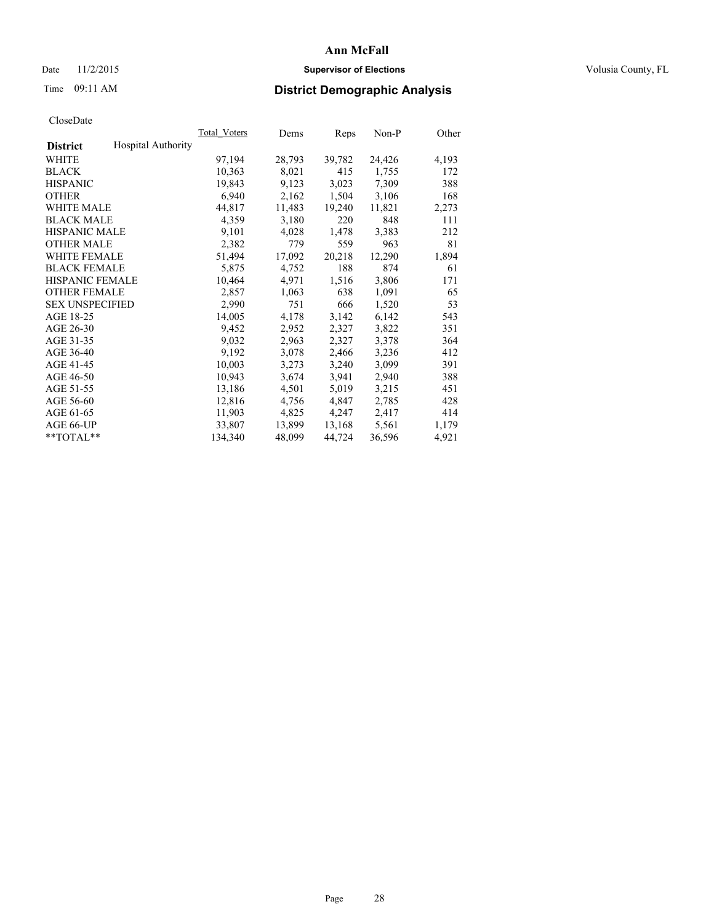# Date 11/2/2015 **Supervisor of Elections Supervisor of Elections** Volusia County, FL

# Time 09:11 AM **District Demographic Analysis**

|                                              | <b>Total Voters</b> | Dems   | Reps   | $Non-P$ | Other |
|----------------------------------------------|---------------------|--------|--------|---------|-------|
| <b>Hospital Authority</b><br><b>District</b> |                     |        |        |         |       |
| WHITE                                        | 97,194              | 28,793 | 39,782 | 24,426  | 4,193 |
| <b>BLACK</b>                                 | 10,363              | 8,021  | 415    | 1,755   | 172   |
| <b>HISPANIC</b>                              | 19,843              | 9,123  | 3,023  | 7,309   | 388   |
| <b>OTHER</b>                                 | 6,940               | 2,162  | 1,504  | 3,106   | 168   |
| WHITE MALE                                   | 44,817              | 11,483 | 19,240 | 11,821  | 2,273 |
| <b>BLACK MALE</b>                            | 4,359               | 3,180  | 220    | 848     | 111   |
| <b>HISPANIC MALE</b>                         | 9,101               | 4,028  | 1,478  | 3,383   | 212   |
| <b>OTHER MALE</b>                            | 2,382               | 779    | 559    | 963     | 81    |
| <b>WHITE FEMALE</b>                          | 51,494              | 17,092 | 20,218 | 12,290  | 1,894 |
| <b>BLACK FEMALE</b>                          | 5,875               | 4,752  | 188    | 874     | 61    |
| HISPANIC FEMALE                              | 10,464              | 4,971  | 1,516  | 3,806   | 171   |
| <b>OTHER FEMALE</b>                          | 2,857               | 1,063  | 638    | 1,091   | 65    |
| <b>SEX UNSPECIFIED</b>                       | 2,990               | 751    | 666    | 1,520   | 53    |
| AGE 18-25                                    | 14,005              | 4,178  | 3,142  | 6,142   | 543   |
| AGE 26-30                                    | 9,452               | 2,952  | 2,327  | 3,822   | 351   |
| AGE 31-35                                    | 9,032               | 2,963  | 2,327  | 3,378   | 364   |
| AGE 36-40                                    | 9,192               | 3,078  | 2,466  | 3,236   | 412   |
| AGE 41-45                                    | 10,003              | 3,273  | 3,240  | 3,099   | 391   |
| AGE 46-50                                    | 10,943              | 3,674  | 3,941  | 2,940   | 388   |
| AGE 51-55                                    | 13,186              | 4,501  | 5,019  | 3,215   | 451   |
| AGE 56-60                                    | 12,816              | 4,756  | 4,847  | 2,785   | 428   |
| AGE 61-65                                    | 11,903              | 4,825  | 4,247  | 2,417   | 414   |
| AGE 66-UP                                    | 33,807              | 13,899 | 13,168 | 5,561   | 1,179 |
| $*$ $TOTAL**$                                | 134,340             | 48,099 | 44,724 | 36,596  | 4,921 |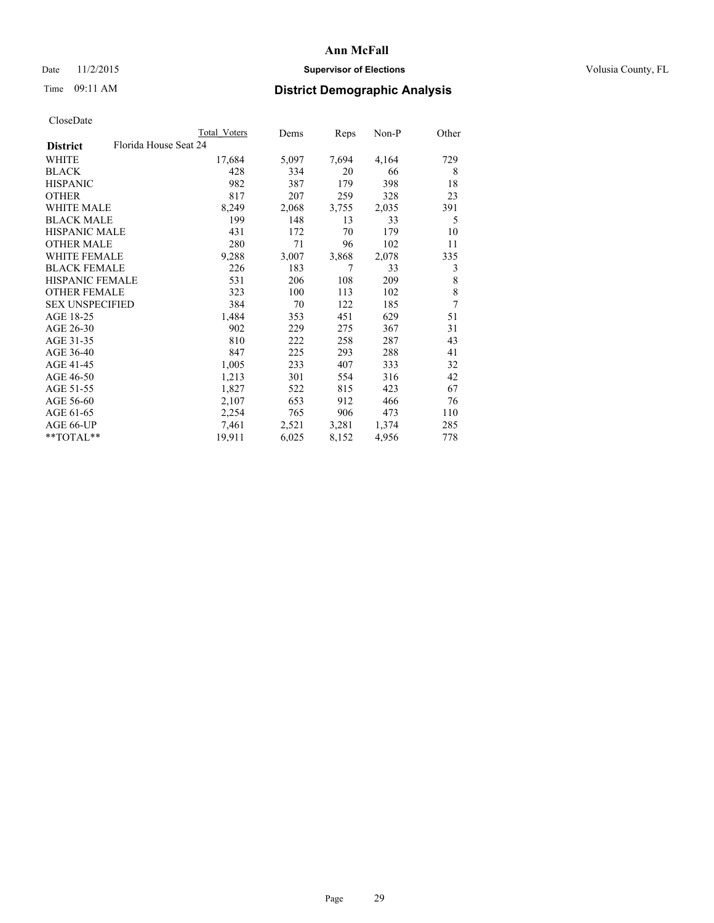# Date 11/2/2015 **Supervisor of Elections Supervisor of Elections** Volusia County, FL

| CloseDate |
|-----------|
|-----------|

|                                          | Total Voters | Dems  | <b>Reps</b> | Non-P | Other |
|------------------------------------------|--------------|-------|-------------|-------|-------|
| Florida House Seat 24<br><b>District</b> |              |       |             |       |       |
| WHITE                                    | 17,684       | 5,097 | 7,694       | 4,164 | 729   |
| <b>BLACK</b>                             | 428          | 334   | 20          | 66    | 8     |
| <b>HISPANIC</b>                          | 982          | 387   | 179         | 398   | 18    |
| <b>OTHER</b>                             | 817          | 207   | 259         | 328   | 23    |
| WHITE MALE                               | 8,249        | 2,068 | 3,755       | 2,035 | 391   |
| <b>BLACK MALE</b>                        | 199          | 148   | 13          | 33    | 5     |
| <b>HISPANIC MALE</b>                     | 431          | 172   | 70          | 179   | 10    |
| <b>OTHER MALE</b>                        | 280          | 71    | 96          | 102   | 11    |
| <b>WHITE FEMALE</b>                      | 9,288        | 3,007 | 3,868       | 2,078 | 335   |
| <b>BLACK FEMALE</b>                      | 226          | 183   | 7           | 33    | 3     |
| <b>HISPANIC FEMALE</b>                   | 531          | 206   | 108         | 209   | 8     |
| <b>OTHER FEMALE</b>                      | 323          | 100   | 113         | 102   | 8     |
| <b>SEX UNSPECIFIED</b>                   | 384          | 70    | 122         | 185   | 7     |
| AGE 18-25                                | 1,484        | 353   | 451         | 629   | 51    |
| AGE 26-30                                | 902          | 229   | 275         | 367   | 31    |
| AGE 31-35                                | 810          | 222   | 258         | 287   | 43    |
| AGE 36-40                                | 847          | 225   | 293         | 288   | 41    |
| AGE 41-45                                | 1,005        | 233   | 407         | 333   | 32    |
| AGE 46-50                                | 1,213        | 301   | 554         | 316   | 42    |
| AGE 51-55                                | 1,827        | 522   | 815         | 423   | 67    |
| AGE 56-60                                | 2,107        | 653   | 912         | 466   | 76    |
| AGE 61-65                                | 2,254        | 765   | 906         | 473   | 110   |
| AGE 66-UP                                | 7,461        | 2,521 | 3,281       | 1,374 | 285   |
| $*$ TOTAL $*$                            | 19,911       | 6,025 | 8,152       | 4,956 | 778   |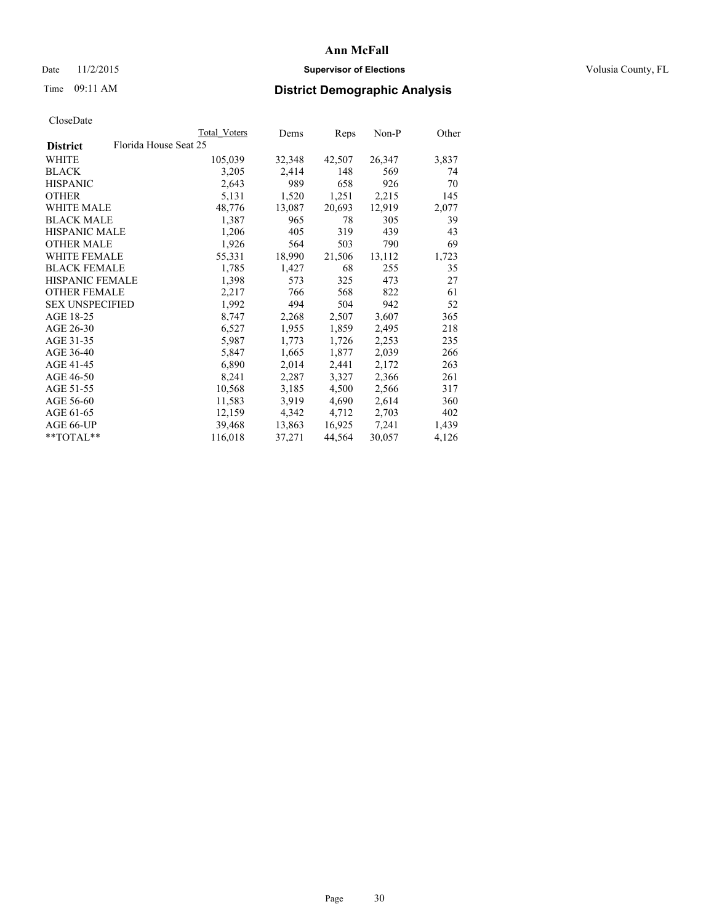# Date 11/2/2015 **Supervisor of Elections Supervisor of Elections** Volusia County, FL

# Time 09:11 AM **District Demographic Analysis**

|                                          | Total Voters | Dems   | <b>Reps</b> | Non-P  | Other |
|------------------------------------------|--------------|--------|-------------|--------|-------|
| Florida House Seat 25<br><b>District</b> |              |        |             |        |       |
| WHITE                                    | 105,039      | 32,348 | 42,507      | 26,347 | 3,837 |
| <b>BLACK</b>                             | 3,205        | 2,414  | 148         | 569    | 74    |
| <b>HISPANIC</b>                          | 2,643        | 989    | 658         | 926    | 70    |
| <b>OTHER</b>                             | 5,131        | 1,520  | 1,251       | 2,215  | 145   |
| WHITE MALE                               | 48,776       | 13,087 | 20,693      | 12,919 | 2,077 |
| <b>BLACK MALE</b>                        | 1,387        | 965    | 78          | 305    | 39    |
| <b>HISPANIC MALE</b>                     | 1,206        | 405    | 319         | 439    | 43    |
| <b>OTHER MALE</b>                        | 1,926        | 564    | 503         | 790    | 69    |
| <b>WHITE FEMALE</b>                      | 55,331       | 18,990 | 21,506      | 13,112 | 1,723 |
| <b>BLACK FEMALE</b>                      | 1,785        | 1,427  | 68          | 255    | 35    |
| HISPANIC FEMALE                          | 1,398        | 573    | 325         | 473    | 27    |
| <b>OTHER FEMALE</b>                      | 2,217        | 766    | 568         | 822    | 61    |
| <b>SEX UNSPECIFIED</b>                   | 1,992        | 494    | 504         | 942    | 52    |
| AGE 18-25                                | 8,747        | 2,268  | 2,507       | 3,607  | 365   |
| AGE 26-30                                | 6,527        | 1,955  | 1,859       | 2,495  | 218   |
| AGE 31-35                                | 5,987        | 1,773  | 1,726       | 2,253  | 235   |
| AGE 36-40                                | 5,847        | 1,665  | 1,877       | 2,039  | 266   |
| AGE 41-45                                | 6,890        | 2,014  | 2,441       | 2,172  | 263   |
| AGE 46-50                                | 8,241        | 2,287  | 3,327       | 2,366  | 261   |
| AGE 51-55                                | 10,568       | 3,185  | 4,500       | 2,566  | 317   |
| AGE 56-60                                | 11,583       | 3.919  | 4,690       | 2,614  | 360   |
| AGE 61-65                                | 12,159       | 4,342  | 4,712       | 2,703  | 402   |
| AGE 66-UP                                | 39,468       | 13,863 | 16,925      | 7,241  | 1,439 |
| $*$ $TOTAI.**$                           | 116,018      | 37,271 | 44,564      | 30,057 | 4,126 |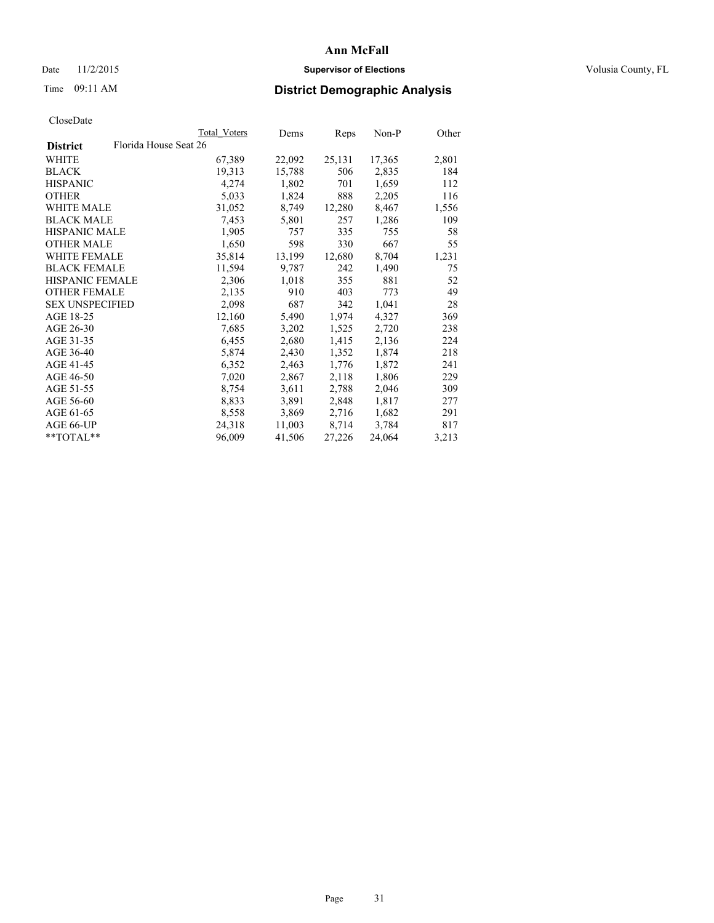# Date 11/2/2015 **Supervisor of Elections Supervisor of Elections** Volusia County, FL

| CloseDate |
|-----------|
|-----------|

|                        |                       | Total Voters | Dems   | Reps   | Non-P  | Other |
|------------------------|-----------------------|--------------|--------|--------|--------|-------|
| <b>District</b>        | Florida House Seat 26 |              |        |        |        |       |
| WHITE                  |                       | 67,389       | 22,092 | 25,131 | 17,365 | 2,801 |
| <b>BLACK</b>           |                       | 19,313       | 15,788 | 506    | 2,835  | 184   |
| <b>HISPANIC</b>        |                       | 4,274        | 1,802  | 701    | 1,659  | 112   |
| <b>OTHER</b>           |                       | 5,033        | 1,824  | 888    | 2,205  | 116   |
| <b>WHITE MALE</b>      |                       | 31,052       | 8,749  | 12,280 | 8,467  | 1,556 |
| <b>BLACK MALE</b>      |                       | 7,453        | 5,801  | 257    | 1,286  | 109   |
| <b>HISPANIC MALE</b>   |                       | 1,905        | 757    | 335    | 755    | 58    |
| <b>OTHER MALE</b>      |                       | 1,650        | 598    | 330    | 667    | 55    |
| WHITE FEMALE           |                       | 35,814       | 13,199 | 12,680 | 8,704  | 1,231 |
| <b>BLACK FEMALE</b>    |                       | 11,594       | 9,787  | 242    | 1,490  | 75    |
| <b>HISPANIC FEMALE</b> |                       | 2,306        | 1,018  | 355    | 881    | 52    |
| <b>OTHER FEMALE</b>    |                       | 2,135        | 910    | 403    | 773    | 49    |
| <b>SEX UNSPECIFIED</b> |                       | 2,098        | 687    | 342    | 1,041  | 28    |
| AGE 18-25              |                       | 12,160       | 5,490  | 1,974  | 4,327  | 369   |
| AGE 26-30              |                       | 7,685        | 3,202  | 1,525  | 2,720  | 238   |
| AGE 31-35              |                       | 6,455        | 2,680  | 1,415  | 2,136  | 224   |
| AGE 36-40              |                       | 5,874        | 2,430  | 1,352  | 1,874  | 218   |
| AGE 41-45              |                       | 6,352        | 2,463  | 1,776  | 1,872  | 241   |
| AGE 46-50              |                       | 7,020        | 2,867  | 2,118  | 1,806  | 229   |
| AGE 51-55              |                       | 8,754        | 3,611  | 2,788  | 2,046  | 309   |
| AGE 56-60              |                       | 8,833        | 3,891  | 2,848  | 1,817  | 277   |
| AGE 61-65              |                       | 8,558        | 3,869  | 2,716  | 1,682  | 291   |
| AGE 66-UP              |                       | 24,318       | 11,003 | 8,714  | 3,784  | 817   |
| $*$ TOTAL $*$          |                       | 96,009       | 41,506 | 27,226 | 24,064 | 3,213 |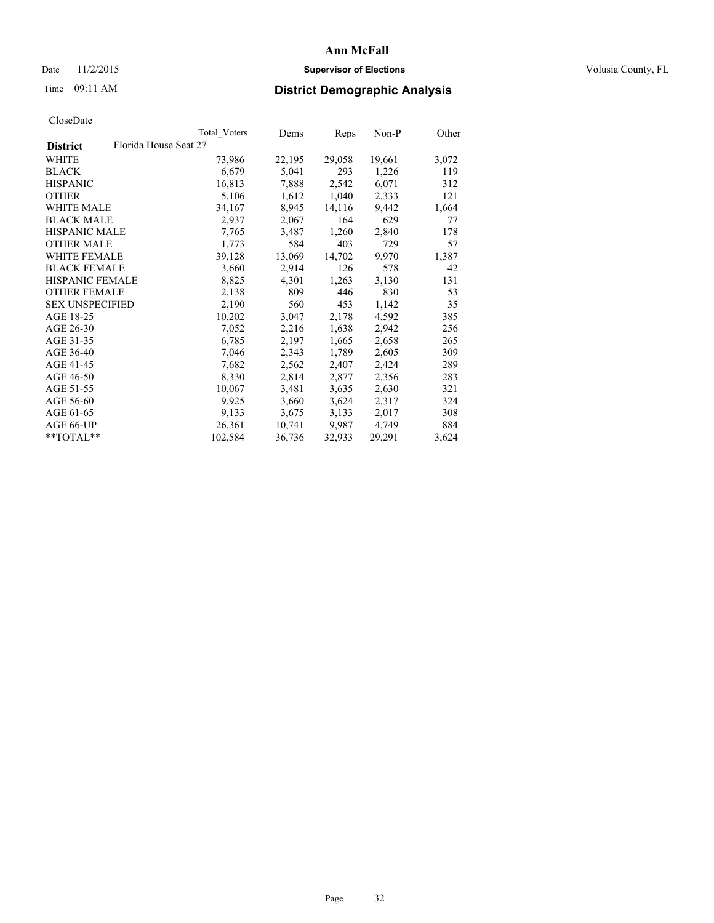# Date 11/2/2015 **Supervisor of Elections Supervisor of Elections** Volusia County, FL

# Time 09:11 AM **District Demographic Analysis**

|                        |                       | Total Voters | Dems   | <b>Reps</b> | Non-P  | Other |
|------------------------|-----------------------|--------------|--------|-------------|--------|-------|
| <b>District</b>        | Florida House Seat 27 |              |        |             |        |       |
| WHITE                  |                       | 73,986       | 22,195 | 29,058      | 19,661 | 3,072 |
| <b>BLACK</b>           |                       | 6,679        | 5,041  | 293         | 1,226  | 119   |
| <b>HISPANIC</b>        |                       | 16,813       | 7,888  | 2,542       | 6,071  | 312   |
| <b>OTHER</b>           |                       | 5,106        | 1,612  | 1,040       | 2,333  | 121   |
| WHITE MALE             |                       | 34,167       | 8,945  | 14,116      | 9,442  | 1,664 |
| <b>BLACK MALE</b>      |                       | 2,937        | 2,067  | 164         | 629    | 77    |
| <b>HISPANIC MALE</b>   |                       | 7,765        | 3,487  | 1,260       | 2,840  | 178   |
| <b>OTHER MALE</b>      |                       | 1,773        | 584    | 403         | 729    | 57    |
| <b>WHITE FEMALE</b>    |                       | 39,128       | 13,069 | 14,702      | 9,970  | 1,387 |
| <b>BLACK FEMALE</b>    |                       | 3,660        | 2,914  | 126         | 578    | 42    |
| <b>HISPANIC FEMALE</b> |                       | 8,825        | 4,301  | 1,263       | 3,130  | 131   |
| <b>OTHER FEMALE</b>    |                       | 2,138        | 809    | 446         | 830    | 53    |
| <b>SEX UNSPECIFIED</b> |                       | 2,190        | 560    | 453         | 1,142  | 35    |
| AGE 18-25              |                       | 10,202       | 3,047  | 2,178       | 4,592  | 385   |
| AGE 26-30              |                       | 7,052        | 2,216  | 1,638       | 2,942  | 256   |
| AGE 31-35              |                       | 6,785        | 2,197  | 1,665       | 2,658  | 265   |
| AGE 36-40              |                       | 7,046        | 2,343  | 1,789       | 2,605  | 309   |
| AGE 41-45              |                       | 7,682        | 2,562  | 2,407       | 2,424  | 289   |
| AGE 46-50              |                       | 8,330        | 2,814  | 2,877       | 2,356  | 283   |
| AGE 51-55              |                       | 10,067       | 3,481  | 3,635       | 2,630  | 321   |
| AGE 56-60              |                       | 9,925        | 3,660  | 3,624       | 2,317  | 324   |
| AGE 61-65              |                       | 9,133        | 3,675  | 3,133       | 2,017  | 308   |
| AGE 66-UP              |                       | 26,361       | 10,741 | 9,987       | 4,749  | 884   |
| **TOTAL**              |                       | 102,584      | 36,736 | 32,933      | 29,291 | 3,624 |
|                        |                       |              |        |             |        |       |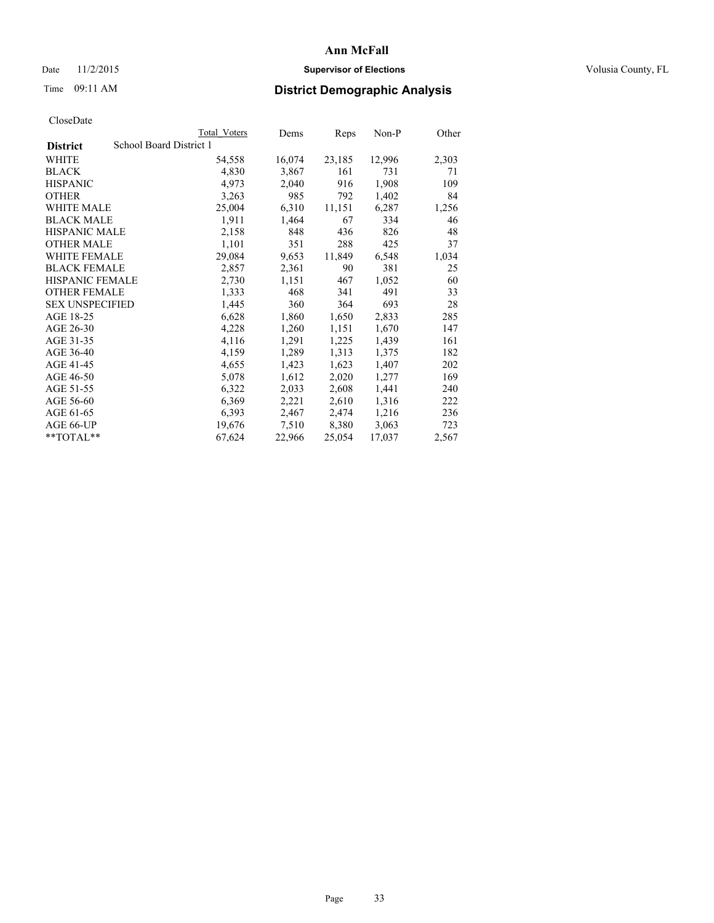# Date 11/2/2015 **Supervisor of Elections Supervisor of Elections** Volusia County, FL

# Time 09:11 AM **District Demographic Analysis**

| School Board District 1<br>54,558<br>4,830<br>4,973<br>3,263 | 16,074<br>3,867<br>2,040 | 23,185<br>161<br>916 | 12,996<br>731<br>1,908 | 2,303<br>71 |
|--------------------------------------------------------------|--------------------------|----------------------|------------------------|-------------|
|                                                              |                          |                      |                        |             |
|                                                              |                          |                      |                        |             |
|                                                              |                          |                      |                        |             |
|                                                              |                          |                      |                        | 109         |
|                                                              |                          |                      | 1,402                  | 84          |
|                                                              | 6,310                    | 11,151               | 6,287                  | 1,256       |
| 1,911                                                        | 1,464                    | 67                   | 334                    | 46          |
| 2,158                                                        | 848                      | 436                  | 826                    | 48          |
| 1,101                                                        | 351                      | 288                  | 425                    | 37          |
| 29,084                                                       | 9,653                    | 11,849               | 6,548                  | 1,034       |
| 2,857                                                        | 2,361                    | 90                   | 381                    | 25          |
| 2,730                                                        | 1,151                    | 467                  | 1,052                  | 60          |
| 1,333                                                        | 468                      | 341                  | 491                    | 33          |
| 1,445                                                        | 360                      | 364                  | 693                    | 28          |
| 6,628                                                        | 1,860                    | 1,650                | 2,833                  | 285         |
| 4,228                                                        | 1,260                    | 1,151                | 1,670                  | 147         |
| 4,116                                                        | 1,291                    | 1,225                | 1,439                  | 161         |
| 4,159                                                        | 1,289                    | 1,313                | 1,375                  | 182         |
| 4,655                                                        | 1,423                    | 1,623                | 1,407                  | 202         |
| 5,078                                                        | 1,612                    | 2,020                | 1,277                  | 169         |
| 6,322                                                        | 2,033                    | 2,608                | 1,441                  | 240         |
| 6,369                                                        | 2,221                    | 2,610                | 1,316                  | 222         |
| 6,393                                                        | 2,467                    | 2,474                | 1,216                  | 236         |
| 19,676                                                       | 7,510                    | 8,380                | 3,063                  | 723         |
| 67,624                                                       | 22,966                   | 25,054               | 17,037                 | 2,567       |
|                                                              | 25,004                   |                      | 985<br>792             |             |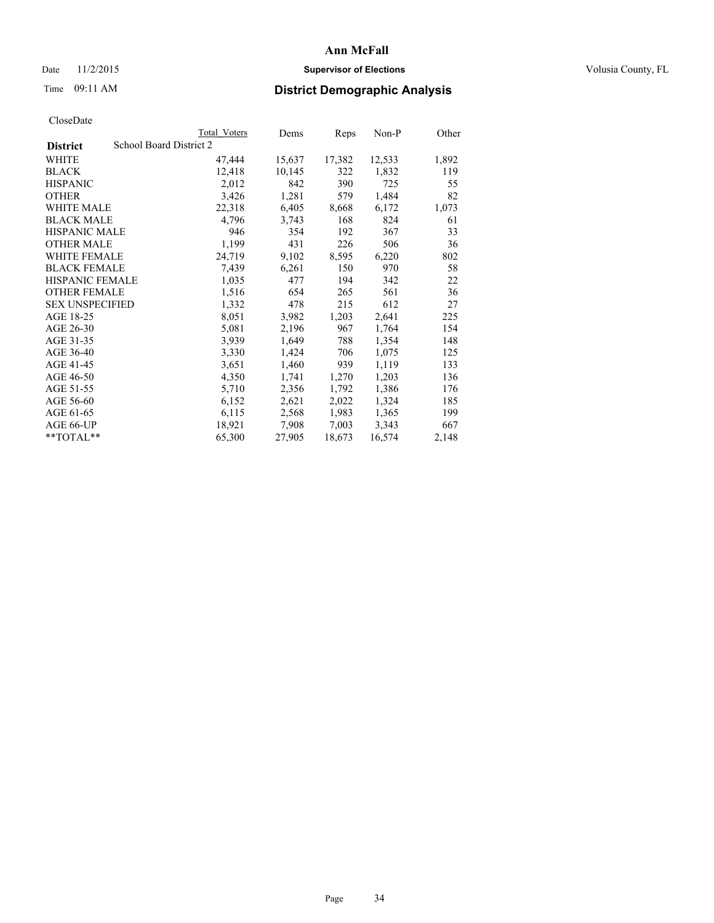# Date 11/2/2015 **Supervisor of Elections Supervisor of Elections** Volusia County, FL

# Time 09:11 AM **District Demographic Analysis**

|                        | Total Voters            | Dems   | Reps   | $Non-P$ | Other |
|------------------------|-------------------------|--------|--------|---------|-------|
| <b>District</b>        | School Board District 2 |        |        |         |       |
| <b>WHITE</b>           | 47,444                  | 15,637 | 17,382 | 12,533  | 1,892 |
| <b>BLACK</b>           | 12,418                  | 10,145 | 322    | 1,832   | 119   |
| <b>HISPANIC</b>        | 2,012                   | 842    | 390    | 725     | 55    |
| <b>OTHER</b>           | 3,426                   | 1,281  | 579    | 1,484   | 82    |
| WHITE MALE             | 22,318                  | 6,405  | 8,668  | 6,172   | 1,073 |
| <b>BLACK MALE</b>      | 4,796                   | 3,743  | 168    | 824     | 61    |
| <b>HISPANIC MALE</b>   | 946                     | 354    | 192    | 367     | 33    |
| <b>OTHER MALE</b>      | 1,199                   | 431    | 226    | 506     | 36    |
| <b>WHITE FEMALE</b>    | 24,719                  | 9,102  | 8,595  | 6,220   | 802   |
| <b>BLACK FEMALE</b>    | 7.439                   | 6,261  | 150    | 970     | 58    |
| <b>HISPANIC FEMALE</b> | 1,035                   | 477    | 194    | 342     | 22    |
| <b>OTHER FEMALE</b>    | 1,516                   | 654    | 265    | 561     | 36    |
| <b>SEX UNSPECIFIED</b> | 1,332                   | 478    | 215    | 612     | 27    |
| AGE 18-25              | 8,051                   | 3,982  | 1,203  | 2,641   | 225   |
| AGE 26-30              | 5,081                   | 2,196  | 967    | 1,764   | 154   |
| AGE 31-35              | 3,939                   | 1,649  | 788    | 1,354   | 148   |
| AGE 36-40              | 3,330                   | 1,424  | 706    | 1,075   | 125   |
| AGE 41-45              | 3,651                   | 1,460  | 939    | 1,119   | 133   |
| AGE 46-50              | 4,350                   | 1,741  | 1,270  | 1,203   | 136   |
| AGE 51-55              | 5,710                   | 2,356  | 1,792  | 1,386   | 176   |
| AGE 56-60              | 6,152                   | 2,621  | 2,022  | 1,324   | 185   |
| AGE 61-65              | 6,115                   | 2,568  | 1,983  | 1,365   | 199   |
| AGE 66-UP              | 18,921                  | 7,908  | 7,003  | 3,343   | 667   |
| $*$ TOTAL $*$          | 65,300                  | 27,905 | 18,673 | 16,574  | 2,148 |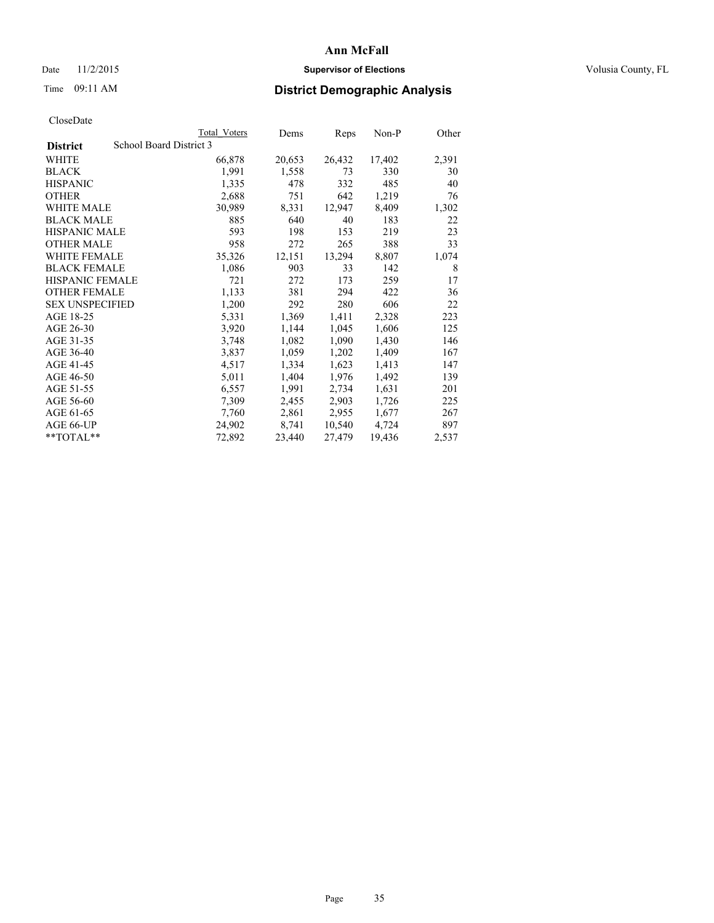# Date 11/2/2015 **Supervisor of Elections Supervisor of Elections** Volusia County, FL

# Time 09:11 AM **District Demographic Analysis**

|                                            | <b>Total Voters</b> | Dems   | Reps   | Non-P  | Other |
|--------------------------------------------|---------------------|--------|--------|--------|-------|
| School Board District 3<br><b>District</b> |                     |        |        |        |       |
| WHITE                                      | 66,878              | 20,653 | 26,432 | 17,402 | 2,391 |
| <b>BLACK</b>                               | 1,991               | 1,558  | 73     | 330    | 30    |
| <b>HISPANIC</b>                            | 1,335               | 478    | 332    | 485    | 40    |
| <b>OTHER</b>                               | 2,688               | 751    | 642    | 1,219  | 76    |
| <b>WHITE MALE</b>                          | 30,989              | 8,331  | 12,947 | 8,409  | 1,302 |
| <b>BLACK MALE</b>                          | 885                 | 640    | 40     | 183    | 22    |
| <b>HISPANIC MALE</b>                       | 593                 | 198    | 153    | 219    | 23    |
| <b>OTHER MALE</b>                          | 958                 | 272    | 265    | 388    | 33    |
| <b>WHITE FEMALE</b>                        | 35,326              | 12,151 | 13,294 | 8,807  | 1,074 |
| <b>BLACK FEMALE</b>                        | 1,086               | 903    | 33     | 142    | 8     |
| HISPANIC FEMALE                            | 721                 | 272    | 173    | 259    | 17    |
| <b>OTHER FEMALE</b>                        | 1,133               | 381    | 294    | 422    | 36    |
| <b>SEX UNSPECIFIED</b>                     | 1,200               | 292    | 280    | 606    | 22    |
| AGE 18-25                                  | 5,331               | 1,369  | 1,411  | 2,328  | 223   |
| AGE 26-30                                  | 3,920               | 1,144  | 1,045  | 1,606  | 125   |
| AGE 31-35                                  | 3,748               | 1,082  | 1,090  | 1,430  | 146   |
| AGE 36-40                                  | 3,837               | 1,059  | 1,202  | 1,409  | 167   |
| AGE 41-45                                  | 4,517               | 1,334  | 1,623  | 1,413  | 147   |
| AGE 46-50                                  | 5,011               | 1,404  | 1,976  | 1,492  | 139   |
| AGE 51-55                                  | 6,557               | 1,991  | 2,734  | 1,631  | 201   |
| AGE 56-60                                  | 7,309               | 2,455  | 2,903  | 1,726  | 225   |
| AGE 61-65                                  | 7,760               | 2,861  | 2,955  | 1,677  | 267   |
| AGE 66-UP                                  | 24,902              | 8,741  | 10,540 | 4,724  | 897   |
| $*$ $TOTAI.**$                             | 72,892              | 23,440 | 27,479 | 19,436 | 2,537 |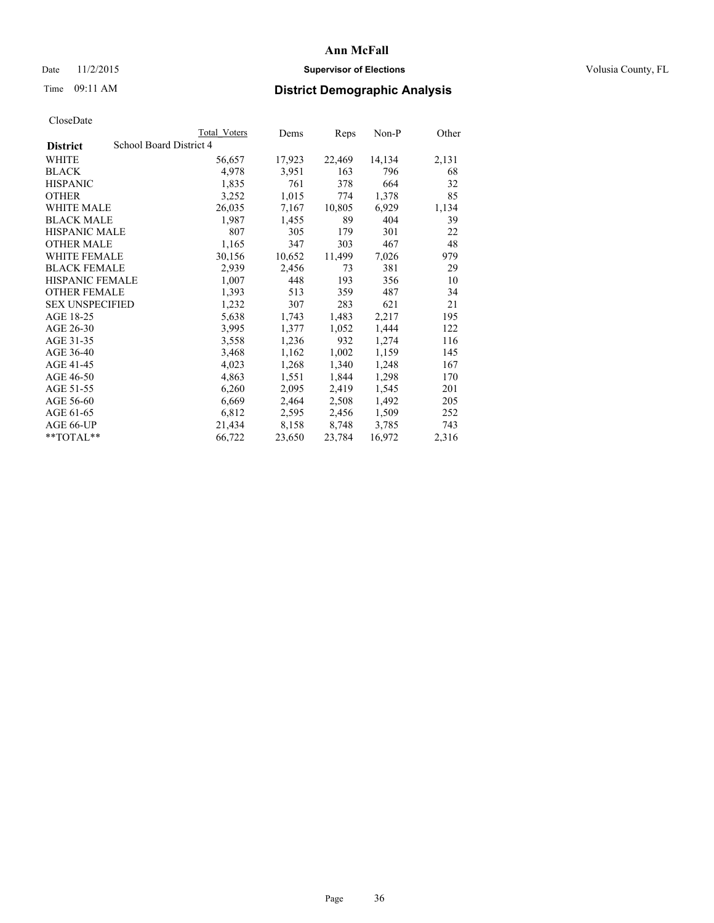# Date 11/2/2015 **Supervisor of Elections Supervisor of Elections** Volusia County, FL

# Time 09:11 AM **District Demographic Analysis**

| School Board District 4<br><b>District</b><br>WHITE<br>17,923<br>22,469<br>56,657<br>14,134<br>4,978<br>163<br>796<br><b>BLACK</b><br>3,951<br>664<br><b>HISPANIC</b><br>1,835<br>761<br>378<br><b>OTHER</b><br>3,252<br>1,015<br>774<br>1,378<br>WHITE MALE<br>6,929<br>26,035<br>7,167<br>10,805<br><b>BLACK MALE</b><br>1,987<br>89<br>404<br>1,455<br><b>HISPANIC MALE</b><br>807<br>301<br>305<br>179<br><b>OTHER MALE</b><br>1,165<br>303<br>467<br>347<br>30,156<br>10,652<br>11,499<br>7,026<br><b>WHITE FEMALE</b><br><b>BLACK FEMALE</b><br>2,456<br>2,939<br>73<br>381<br><b>HISPANIC FEMALE</b><br>193<br>1,007<br>448<br>356<br><b>OTHER FEMALE</b><br>1,393<br>513<br>359<br>487<br><b>SEX UNSPECIFIED</b><br>1,232<br>621<br>307<br>283<br>AGE 18-25<br>5,638<br>1,743<br>1,483<br>2,217<br>AGE 26-30<br>3,995<br>1,377<br>1,444<br>1,052<br>AGE 31-35<br>1,274<br>3,558<br>1,236<br>932<br>AGE 36-40<br>3,468<br>1,162<br>1,002<br>1,159<br>AGE 41-45<br>1,340<br>1,248<br>4,023<br>1,268<br>AGE 46-50<br>4,863<br>1,551<br>1,844<br>1,298<br>AGE 51-55<br>6,260<br>2,095<br>2,419<br>1,545<br>AGE 56-60<br>6,669<br>2,464<br>2,508<br>1,492<br>AGE 61-65<br>6,812<br>2,595<br>2,456<br>1,509<br>AGE 66-UP<br>21,434<br>8,158<br>3,785<br>8,748 |  | Total Voters | Dems | Reps | Non-P | Other |
|-----------------------------------------------------------------------------------------------------------------------------------------------------------------------------------------------------------------------------------------------------------------------------------------------------------------------------------------------------------------------------------------------------------------------------------------------------------------------------------------------------------------------------------------------------------------------------------------------------------------------------------------------------------------------------------------------------------------------------------------------------------------------------------------------------------------------------------------------------------------------------------------------------------------------------------------------------------------------------------------------------------------------------------------------------------------------------------------------------------------------------------------------------------------------------------------------------------------------------------------------------------------|--|--------------|------|------|-------|-------|
|                                                                                                                                                                                                                                                                                                                                                                                                                                                                                                                                                                                                                                                                                                                                                                                                                                                                                                                                                                                                                                                                                                                                                                                                                                                                 |  |              |      |      |       |       |
|                                                                                                                                                                                                                                                                                                                                                                                                                                                                                                                                                                                                                                                                                                                                                                                                                                                                                                                                                                                                                                                                                                                                                                                                                                                                 |  |              |      |      |       | 2,131 |
|                                                                                                                                                                                                                                                                                                                                                                                                                                                                                                                                                                                                                                                                                                                                                                                                                                                                                                                                                                                                                                                                                                                                                                                                                                                                 |  |              |      |      |       | 68    |
|                                                                                                                                                                                                                                                                                                                                                                                                                                                                                                                                                                                                                                                                                                                                                                                                                                                                                                                                                                                                                                                                                                                                                                                                                                                                 |  |              |      |      |       | 32    |
|                                                                                                                                                                                                                                                                                                                                                                                                                                                                                                                                                                                                                                                                                                                                                                                                                                                                                                                                                                                                                                                                                                                                                                                                                                                                 |  |              |      |      |       | 85    |
|                                                                                                                                                                                                                                                                                                                                                                                                                                                                                                                                                                                                                                                                                                                                                                                                                                                                                                                                                                                                                                                                                                                                                                                                                                                                 |  |              |      |      |       | 1,134 |
|                                                                                                                                                                                                                                                                                                                                                                                                                                                                                                                                                                                                                                                                                                                                                                                                                                                                                                                                                                                                                                                                                                                                                                                                                                                                 |  |              |      |      |       | 39    |
|                                                                                                                                                                                                                                                                                                                                                                                                                                                                                                                                                                                                                                                                                                                                                                                                                                                                                                                                                                                                                                                                                                                                                                                                                                                                 |  |              |      |      |       | 22    |
|                                                                                                                                                                                                                                                                                                                                                                                                                                                                                                                                                                                                                                                                                                                                                                                                                                                                                                                                                                                                                                                                                                                                                                                                                                                                 |  |              |      |      |       | 48    |
|                                                                                                                                                                                                                                                                                                                                                                                                                                                                                                                                                                                                                                                                                                                                                                                                                                                                                                                                                                                                                                                                                                                                                                                                                                                                 |  |              |      |      |       | 979   |
|                                                                                                                                                                                                                                                                                                                                                                                                                                                                                                                                                                                                                                                                                                                                                                                                                                                                                                                                                                                                                                                                                                                                                                                                                                                                 |  |              |      |      |       | 29    |
|                                                                                                                                                                                                                                                                                                                                                                                                                                                                                                                                                                                                                                                                                                                                                                                                                                                                                                                                                                                                                                                                                                                                                                                                                                                                 |  |              |      |      |       | 10    |
|                                                                                                                                                                                                                                                                                                                                                                                                                                                                                                                                                                                                                                                                                                                                                                                                                                                                                                                                                                                                                                                                                                                                                                                                                                                                 |  |              |      |      |       | 34    |
|                                                                                                                                                                                                                                                                                                                                                                                                                                                                                                                                                                                                                                                                                                                                                                                                                                                                                                                                                                                                                                                                                                                                                                                                                                                                 |  |              |      |      |       | 21    |
|                                                                                                                                                                                                                                                                                                                                                                                                                                                                                                                                                                                                                                                                                                                                                                                                                                                                                                                                                                                                                                                                                                                                                                                                                                                                 |  |              |      |      |       | 195   |
|                                                                                                                                                                                                                                                                                                                                                                                                                                                                                                                                                                                                                                                                                                                                                                                                                                                                                                                                                                                                                                                                                                                                                                                                                                                                 |  |              |      |      |       | 122   |
|                                                                                                                                                                                                                                                                                                                                                                                                                                                                                                                                                                                                                                                                                                                                                                                                                                                                                                                                                                                                                                                                                                                                                                                                                                                                 |  |              |      |      |       | 116   |
|                                                                                                                                                                                                                                                                                                                                                                                                                                                                                                                                                                                                                                                                                                                                                                                                                                                                                                                                                                                                                                                                                                                                                                                                                                                                 |  |              |      |      |       | 145   |
|                                                                                                                                                                                                                                                                                                                                                                                                                                                                                                                                                                                                                                                                                                                                                                                                                                                                                                                                                                                                                                                                                                                                                                                                                                                                 |  |              |      |      |       | 167   |
|                                                                                                                                                                                                                                                                                                                                                                                                                                                                                                                                                                                                                                                                                                                                                                                                                                                                                                                                                                                                                                                                                                                                                                                                                                                                 |  |              |      |      |       | 170   |
|                                                                                                                                                                                                                                                                                                                                                                                                                                                                                                                                                                                                                                                                                                                                                                                                                                                                                                                                                                                                                                                                                                                                                                                                                                                                 |  |              |      |      |       | 201   |
|                                                                                                                                                                                                                                                                                                                                                                                                                                                                                                                                                                                                                                                                                                                                                                                                                                                                                                                                                                                                                                                                                                                                                                                                                                                                 |  |              |      |      |       | 205   |
|                                                                                                                                                                                                                                                                                                                                                                                                                                                                                                                                                                                                                                                                                                                                                                                                                                                                                                                                                                                                                                                                                                                                                                                                                                                                 |  |              |      |      |       | 252   |
|                                                                                                                                                                                                                                                                                                                                                                                                                                                                                                                                                                                                                                                                                                                                                                                                                                                                                                                                                                                                                                                                                                                                                                                                                                                                 |  |              |      |      |       | 743   |
| 66,722<br>23,784<br>16,972<br>**TOTAL**<br>23,650                                                                                                                                                                                                                                                                                                                                                                                                                                                                                                                                                                                                                                                                                                                                                                                                                                                                                                                                                                                                                                                                                                                                                                                                               |  |              |      |      |       | 2,316 |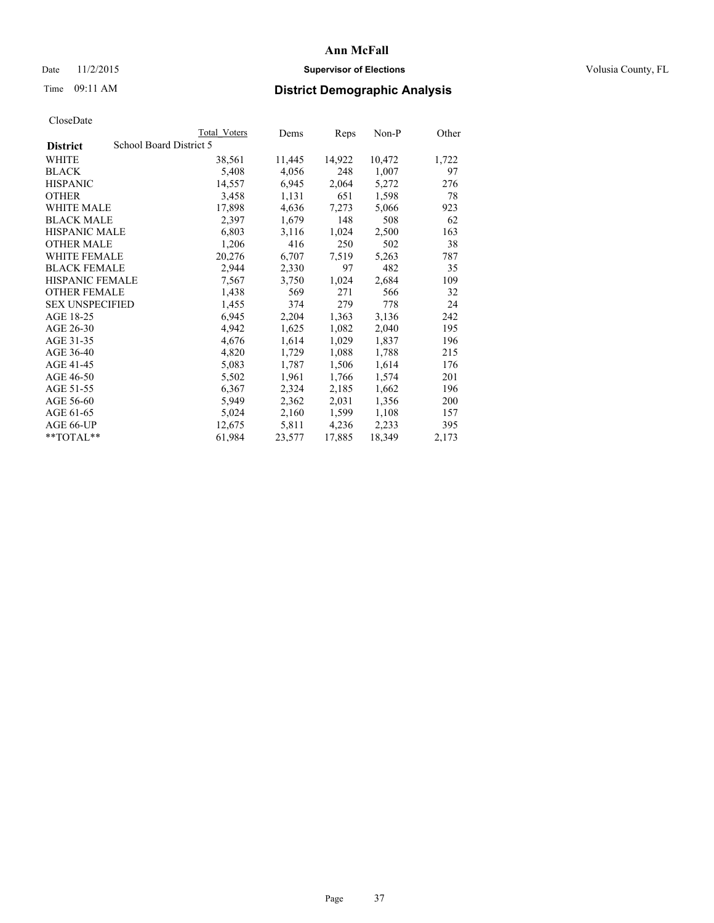### Date 11/2/2015 **Supervisor of Elections Supervisor of Elections** Volusia County, FL

# Time 09:11 AM **District Demographic Analysis**

|                                            | <b>Total Voters</b> | Dems   | Reps   | Non-P  | Other |
|--------------------------------------------|---------------------|--------|--------|--------|-------|
| School Board District 5<br><b>District</b> |                     |        |        |        |       |
| WHITE                                      | 38,561              | 11,445 | 14,922 | 10,472 | 1,722 |
| <b>BLACK</b>                               | 5,408               | 4,056  | 248    | 1,007  | 97    |
| <b>HISPANIC</b>                            | 14,557              | 6,945  | 2,064  | 5,272  | 276   |
| <b>OTHER</b>                               | 3,458               | 1,131  | 651    | 1,598  | 78    |
| WHITE MALE                                 | 17,898              | 4,636  | 7,273  | 5,066  | 923   |
| <b>BLACK MALE</b>                          | 2,397               | 1,679  | 148    | 508    | 62    |
| <b>HISPANIC MALE</b>                       | 6,803               | 3,116  | 1,024  | 2,500  | 163   |
| <b>OTHER MALE</b>                          | 1,206               | 416    | 250    | 502    | 38    |
| <b>WHITE FEMALE</b>                        | 20,276              | 6,707  | 7,519  | 5,263  | 787   |
| <b>BLACK FEMALE</b>                        | 2,944               | 2,330  | 97     | 482    | 35    |
| HISPANIC FEMALE                            | 7,567               | 3,750  | 1,024  | 2,684  | 109   |
| <b>OTHER FEMALE</b>                        | 1,438               | 569    | 271    | 566    | 32    |
| <b>SEX UNSPECIFIED</b>                     | 1,455               | 374    | 279    | 778    | 24    |
| AGE 18-25                                  | 6,945               | 2,204  | 1,363  | 3,136  | 242   |
| AGE 26-30                                  | 4,942               | 1,625  | 1,082  | 2,040  | 195   |
| AGE 31-35                                  | 4,676               | 1,614  | 1,029  | 1,837  | 196   |
| AGE 36-40                                  | 4,820               | 1,729  | 1,088  | 1,788  | 215   |
| AGE 41-45                                  | 5,083               | 1,787  | 1,506  | 1,614  | 176   |
| AGE 46-50                                  | 5,502               | 1,961  | 1,766  | 1,574  | 201   |
| AGE 51-55                                  | 6,367               | 2,324  | 2,185  | 1,662  | 196   |
| AGE 56-60                                  | 5,949               | 2,362  | 2,031  | 1,356  | 200   |
| AGE 61-65                                  | 5,024               | 2,160  | 1,599  | 1,108  | 157   |
| AGE 66-UP                                  | 12,675              | 5,811  | 4,236  | 2,233  | 395   |
| $*$ $TOTAL**$                              | 61,984              | 23,577 | 17,885 | 18,349 | 2,173 |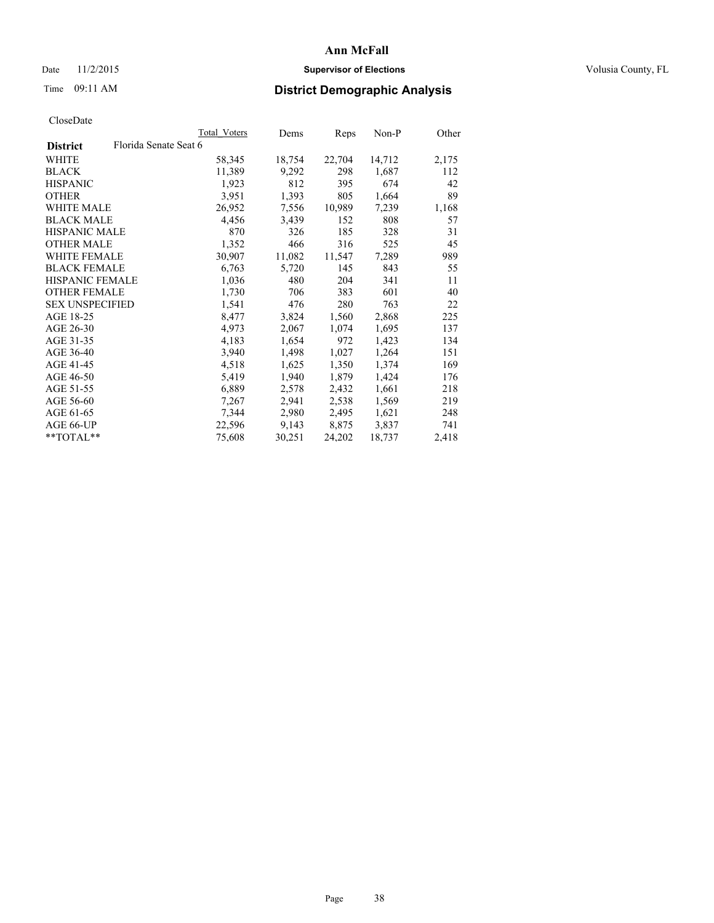### Date 11/2/2015 **Supervisor of Elections Supervisor of Elections** Volusia County, FL

# Time 09:11 AM **District Demographic Analysis**

| Total Voters          | Dems   | Reps   | Non-P  | Other |
|-----------------------|--------|--------|--------|-------|
| Florida Senate Seat 6 |        |        |        |       |
| 58,345                | 18,754 | 22,704 | 14,712 | 2,175 |
| 11,389                | 9,292  | 298    | 1,687  | 112   |
| 1,923                 | 812    | 395    | 674    | 42    |
| 3,951                 | 1,393  | 805    | 1,664  | 89    |
| 26,952                | 7,556  | 10,989 | 7,239  | 1,168 |
| 4,456                 | 3,439  | 152    | 808    | 57    |
| 870                   | 326    | 185    | 328    | 31    |
| 1,352                 | 466    | 316    | 525    | 45    |
| 30,907                | 11,082 | 11,547 | 7,289  | 989   |
| 6,763                 | 5,720  | 145    | 843    | 55    |
| 1,036                 | 480    | 204    | 341    | 11    |
| 1,730                 | 706    | 383    | 601    | 40    |
| 1,541                 | 476    | 280    | 763    | 22    |
| 8,477                 | 3,824  | 1,560  | 2,868  | 225   |
| 4,973                 | 2,067  | 1,074  | 1,695  | 137   |
| 4,183                 | 1,654  | 972    | 1,423  | 134   |
| 3,940                 | 1,498  | 1,027  | 1,264  | 151   |
| 4,518                 | 1,625  | 1,350  | 1,374  | 169   |
| 5,419                 | 1,940  | 1,879  | 1,424  | 176   |
| 6,889                 | 2,578  | 2,432  | 1,661  | 218   |
| 7,267                 | 2,941  | 2,538  | 1,569  | 219   |
| 7,344                 | 2,980  | 2,495  | 1,621  | 248   |
| 22,596                | 9,143  | 8,875  | 3,837  | 741   |
| 75,608                | 30,251 | 24,202 | 18,737 | 2,418 |
|                       |        |        |        |       |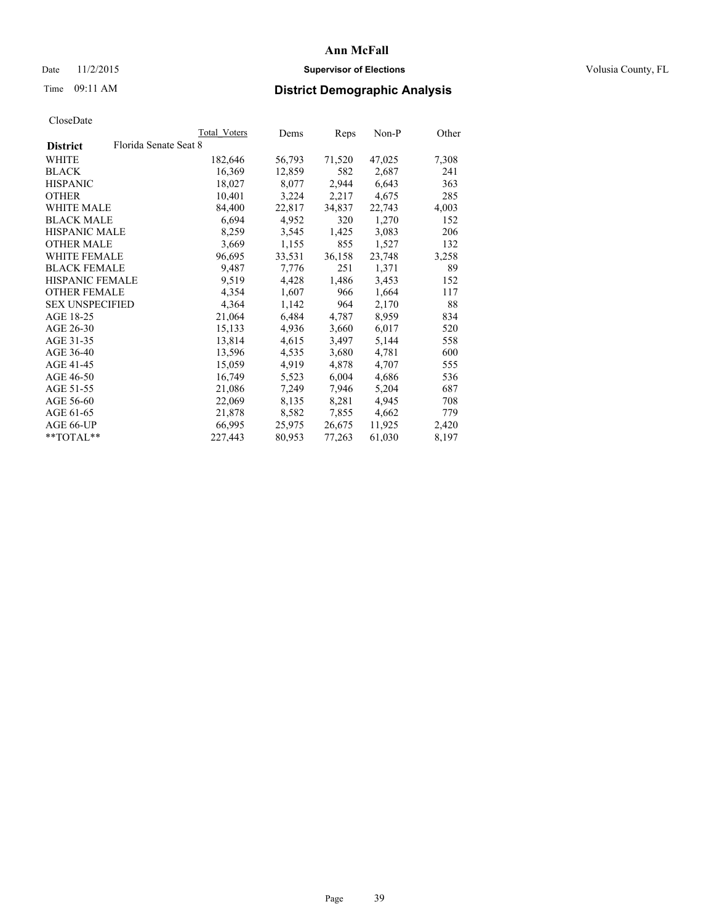### Date 11/2/2015 **Supervisor of Elections Supervisor of Elections** Volusia County, FL

# Time 09:11 AM **District Demographic Analysis**

|                                          | Total Voters | Dems   | <b>Reps</b> | Non-P  | Other |
|------------------------------------------|--------------|--------|-------------|--------|-------|
| Florida Senate Seat 8<br><b>District</b> |              |        |             |        |       |
| WHITE                                    | 182,646      | 56,793 | 71,520      | 47,025 | 7,308 |
| <b>BLACK</b>                             | 16,369       | 12,859 | 582         | 2,687  | 241   |
| <b>HISPANIC</b>                          | 18,027       | 8,077  | 2,944       | 6,643  | 363   |
| <b>OTHER</b>                             | 10,401       | 3,224  | 2,217       | 4,675  | 285   |
| WHITE MALE                               | 84,400       | 22,817 | 34,837      | 22,743 | 4,003 |
| <b>BLACK MALE</b>                        | 6,694        | 4,952  | 320         | 1,270  | 152   |
| <b>HISPANIC MALE</b>                     | 8,259        | 3,545  | 1,425       | 3,083  | 206   |
| <b>OTHER MALE</b>                        | 3,669        | 1,155  | 855         | 1,527  | 132   |
| <b>WHITE FEMALE</b>                      | 96,695       | 33,531 | 36,158      | 23,748 | 3,258 |
| <b>BLACK FEMALE</b>                      | 9,487        | 7,776  | 251         | 1,371  | 89    |
| HISPANIC FEMALE                          | 9,519        | 4,428  | 1,486       | 3,453  | 152   |
| <b>OTHER FEMALE</b>                      | 4,354        | 1,607  | 966         | 1,664  | 117   |
| <b>SEX UNSPECIFIED</b>                   | 4,364        | 1,142  | 964         | 2,170  | 88    |
| AGE 18-25                                | 21,064       | 6,484  | 4,787       | 8,959  | 834   |
| AGE 26-30                                | 15,133       | 4,936  | 3,660       | 6,017  | 520   |
| AGE 31-35                                | 13,814       | 4,615  | 3,497       | 5,144  | 558   |
| AGE 36-40                                | 13,596       | 4,535  | 3,680       | 4,781  | 600   |
| AGE 41-45                                | 15,059       | 4,919  | 4,878       | 4,707  | 555   |
| AGE 46-50                                | 16,749       | 5,523  | 6,004       | 4,686  | 536   |
| AGE 51-55                                | 21,086       | 7,249  | 7,946       | 5,204  | 687   |
| AGE 56-60                                | 22,069       | 8,135  | 8,281       | 4,945  | 708   |
| AGE 61-65                                | 21,878       | 8,582  | 7,855       | 4,662  | 779   |
| AGE 66-UP                                | 66,995       | 25,975 | 26,675      | 11,925 | 2,420 |
| $*$ $TOTAI.**$                           | 227,443      | 80,953 | 77,263      | 61,030 | 8,197 |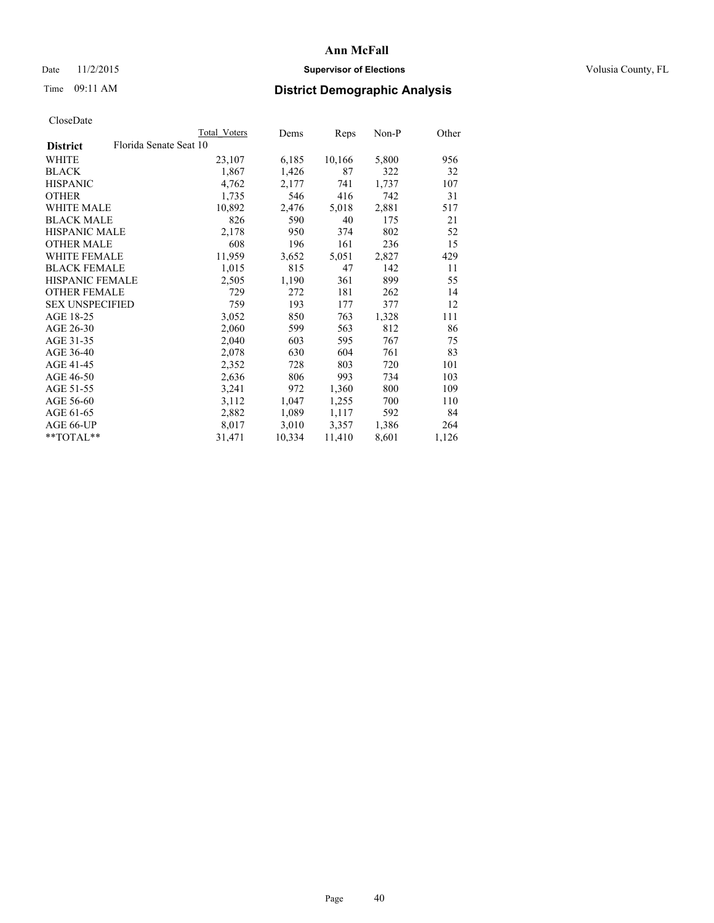### Date 11/2/2015 **Supervisor of Elections Supervisor of Elections** Volusia County, FL

# Time 09:11 AM **District Demographic Analysis**

| Total Voters           | Dems   | <b>Reps</b> | Non-P | Other |
|------------------------|--------|-------------|-------|-------|
| Florida Senate Seat 10 |        |             |       |       |
| 23,107                 | 6,185  | 10,166      | 5,800 | 956   |
| 1,867                  | 1,426  | 87          | 322   | 32    |
| 4,762                  | 2,177  | 741         | 1,737 | 107   |
| 1,735                  | 546    | 416         | 742   | 31    |
| 10,892                 | 2,476  | 5,018       | 2,881 | 517   |
| 826                    | 590    | 40          | 175   | 21    |
| 2,178                  | 950    | 374         | 802   | 52    |
| 608                    | 196    | 161         | 236   | 15    |
| 11,959                 | 3,652  | 5,051       | 2,827 | 429   |
| 1,015                  | 815    | 47          | 142   | 11    |
| 2,505                  | 1,190  | 361         | 899   | 55    |
| 729                    | 272    | 181         | 262   | 14    |
| 759                    | 193    | 177         | 377   | 12    |
| 3,052                  | 850    | 763         | 1,328 | 111   |
| 2,060                  | 599    | 563         | 812   | 86    |
| 2,040                  | 603    | 595         | 767   | 75    |
| 2,078                  | 630    | 604         | 761   | 83    |
| 2,352                  | 728    | 803         | 720   | 101   |
| 2,636                  | 806    | 993         | 734   | 103   |
| 3,241                  | 972    | 1,360       | 800   | 109   |
| 3,112                  | 1,047  | 1,255       | 700   | 110   |
| 2,882                  | 1,089  | 1,117       | 592   | 84    |
| 8,017                  | 3,010  | 3,357       | 1,386 | 264   |
| 31,471                 | 10,334 | 11,410      | 8,601 | 1,126 |
|                        |        |             |       |       |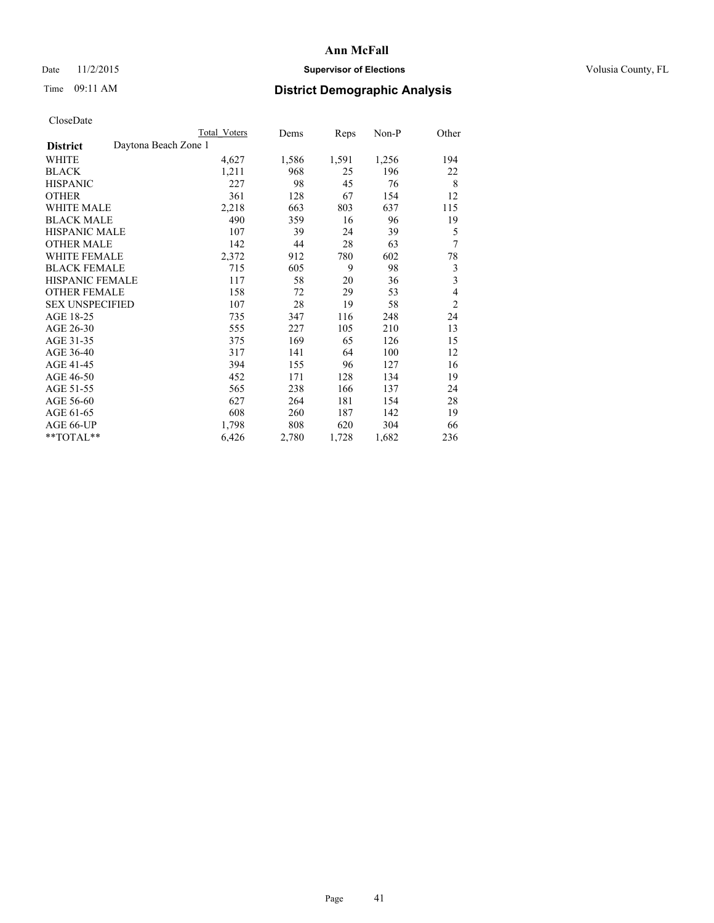### Date 11/2/2015 **Supervisor of Elections Supervisor of Elections** Volusia County, FL

# Time 09:11 AM **District Demographic Analysis**

|                                         | <b>Total Voters</b> | Dems  | Reps  | Non-P | Other                   |
|-----------------------------------------|---------------------|-------|-------|-------|-------------------------|
| Daytona Beach Zone 1<br><b>District</b> |                     |       |       |       |                         |
| WHITE                                   | 4,627               | 1,586 | 1,591 | 1,256 | 194                     |
| <b>BLACK</b>                            | 1,211               | 968   | 25    | 196   | 22                      |
| <b>HISPANIC</b>                         | 227                 | 98    | 45    | 76    | 8                       |
| <b>OTHER</b>                            | 361                 | 128   | 67    | 154   | 12                      |
| <b>WHITE MALE</b>                       | 2,218               | 663   | 803   | 637   | 115                     |
| <b>BLACK MALE</b>                       | 490                 | 359   | 16    | 96    | 19                      |
| <b>HISPANIC MALE</b>                    | 107                 | 39    | 24    | 39    | 5                       |
| <b>OTHER MALE</b>                       | 142                 | 44    | 28    | 63    | 7                       |
| <b>WHITE FEMALE</b>                     | 2,372               | 912   | 780   | 602   | 78                      |
| <b>BLACK FEMALE</b>                     | 715                 | 605   | 9     | 98    | 3                       |
| <b>HISPANIC FEMALE</b>                  | 117                 | 58    | 20    | 36    | $\overline{\mathbf{3}}$ |
| <b>OTHER FEMALE</b>                     | 158                 | 72    | 29    | 53    | $\overline{4}$          |
| <b>SEX UNSPECIFIED</b>                  | 107                 | 28    | 19    | 58    | $\overline{c}$          |
| AGE 18-25                               | 735                 | 347   | 116   | 248   | 24                      |
| AGE 26-30                               | 555                 | 227   | 105   | 210   | 13                      |
| AGE 31-35                               | 375                 | 169   | 65    | 126   | 15                      |
| AGE 36-40                               | 317                 | 141   | 64    | 100   | 12                      |
| AGE 41-45                               | 394                 | 155   | 96    | 127   | 16                      |
| AGE 46-50                               | 452                 | 171   | 128   | 134   | 19                      |
| AGE 51-55                               | 565                 | 238   | 166   | 137   | 24                      |
| AGE 56-60                               | 627                 | 264   | 181   | 154   | 28                      |
| AGE 61-65                               | 608                 | 260   | 187   | 142   | 19                      |
| AGE 66-UP                               | 1,798               | 808   | 620   | 304   | 66                      |
| $*$ $TOTAL**$                           | 6,426               | 2,780 | 1,728 | 1,682 | 236                     |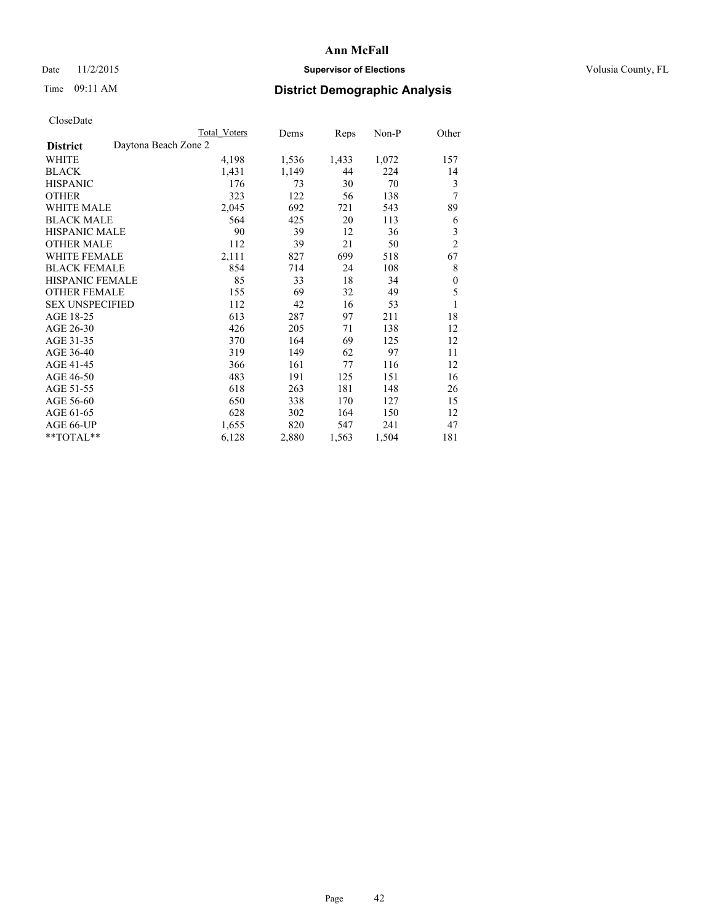### Date 11/2/2015 **Supervisor of Elections Supervisor of Elections** Volusia County, FL

| CloseDate |
|-----------|
|-----------|

|                                         | Total Voters | Dems  | Reps  | Non-P | Other            |
|-----------------------------------------|--------------|-------|-------|-------|------------------|
| Daytona Beach Zone 2<br><b>District</b> |              |       |       |       |                  |
| WHITE                                   | 4,198        | 1,536 | 1,433 | 1,072 | 157              |
| <b>BLACK</b>                            | 1,431        | 1,149 | 44    | 224   | 14               |
| <b>HISPANIC</b>                         | 176          | 73    | 30    | 70    | 3                |
| <b>OTHER</b>                            | 323          | 122   | 56    | 138   | 7                |
| <b>WHITE MALE</b>                       | 2,045        | 692   | 721   | 543   | 89               |
| <b>BLACK MALE</b>                       | 564          | 425   | 20    | 113   | 6                |
| <b>HISPANIC MALE</b>                    | 90           | 39    | 12    | 36    | 3                |
| <b>OTHER MALE</b>                       | 112          | 39    | 21    | 50    | $\overline{2}$   |
| <b>WHITE FEMALE</b>                     | 2,111        | 827   | 699   | 518   | 67               |
| <b>BLACK FEMALE</b>                     | 854          | 714   | 24    | 108   | 8                |
| <b>HISPANIC FEMALE</b>                  | 85           | 33    | 18    | 34    | $\boldsymbol{0}$ |
| <b>OTHER FEMALE</b>                     | 155          | 69    | 32    | 49    | 5                |
| <b>SEX UNSPECIFIED</b>                  | 112          | 42    | 16    | 53    | 1                |
| AGE 18-25                               | 613          | 287   | 97    | 211   | 18               |
| AGE 26-30                               | 426          | 205   | 71    | 138   | 12               |
| AGE 31-35                               | 370          | 164   | 69    | 125   | 12               |
| AGE 36-40                               | 319          | 149   | 62    | 97    | 11               |
| AGE 41-45                               | 366          | 161   | 77    | 116   | 12               |
| AGE 46-50                               | 483          | 191   | 125   | 151   | 16               |
| AGE 51-55                               | 618          | 263   | 181   | 148   | 26               |
| AGE 56-60                               | 650          | 338   | 170   | 127   | 15               |
| AGE 61-65                               | 628          | 302   | 164   | 150   | 12               |
| AGE 66-UP                               | 1,655        | 820   | 547   | 241   | 47               |
| **TOTAL**                               | 6,128        | 2,880 | 1,563 | 1,504 | 181              |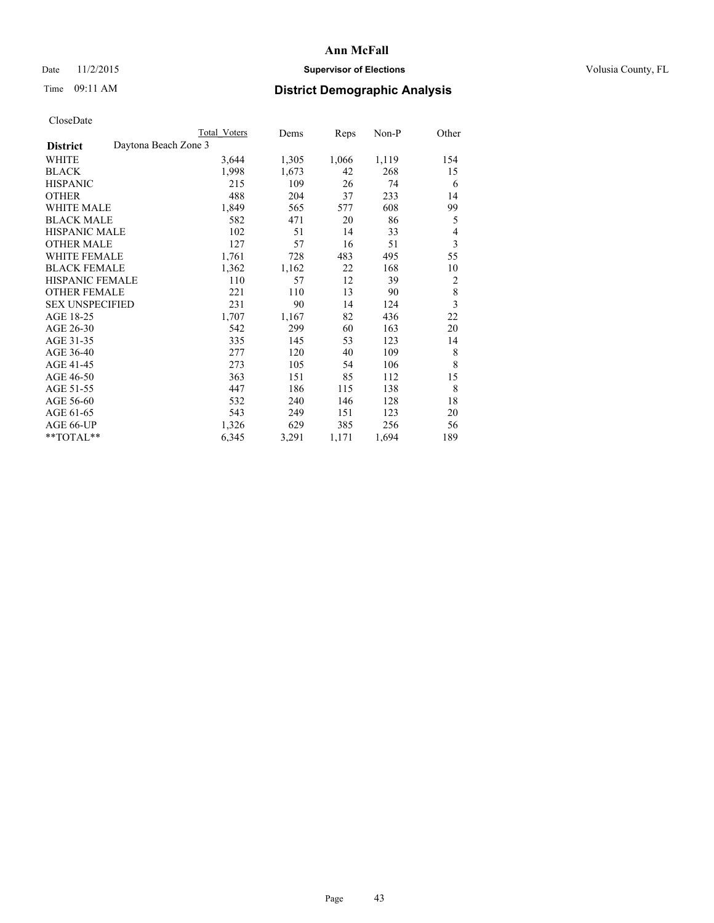### Date 11/2/2015 **Supervisor of Elections Supervisor of Elections** Volusia County, FL

# Time 09:11 AM **District Demographic Analysis**

|                        |                      | Total Voters | Dems  | Reps  | Non-P | Other                   |
|------------------------|----------------------|--------------|-------|-------|-------|-------------------------|
| <b>District</b>        | Daytona Beach Zone 3 |              |       |       |       |                         |
| WHITE                  |                      | 3,644        | 1,305 | 1,066 | 1,119 | 154                     |
| <b>BLACK</b>           |                      | 1,998        | 1,673 | 42    | 268   | 15                      |
| <b>HISPANIC</b>        |                      | 215          | 109   | 26    | 74    | 6                       |
| <b>OTHER</b>           |                      | 488          | 204   | 37    | 233   | 14                      |
| WHITE MALE             |                      | 1,849        | 565   | 577   | 608   | 99                      |
| <b>BLACK MALE</b>      |                      | 582          | 471   | 20    | 86    | 5                       |
| <b>HISPANIC MALE</b>   |                      | 102          | 51    | 14    | 33    | 4                       |
| <b>OTHER MALE</b>      |                      | 127          | 57    | 16    | 51    | 3                       |
| WHITE FEMALE           |                      | 1,761        | 728   | 483   | 495   | 55                      |
| <b>BLACK FEMALE</b>    |                      | 1,362        | 1,162 | 22    | 168   | 10                      |
| HISPANIC FEMALE        |                      | 110          | 57    | 12    | 39    | $\overline{2}$          |
| <b>OTHER FEMALE</b>    |                      | 221          | 110   | 13    | 90    | 8                       |
| <b>SEX UNSPECIFIED</b> |                      | 231          | 90    | 14    | 124   | $\overline{\mathbf{3}}$ |
| AGE 18-25              |                      | 1,707        | 1,167 | 82    | 436   | 22                      |
| AGE 26-30              |                      | 542          | 299   | 60    | 163   | 20                      |
| AGE 31-35              |                      | 335          | 145   | 53    | 123   | 14                      |
| AGE 36-40              |                      | 277          | 120   | 40    | 109   | 8                       |
| AGE 41-45              |                      | 273          | 105   | 54    | 106   | 8                       |
| AGE 46-50              |                      | 363          | 151   | 85    | 112   | 15                      |
| AGE 51-55              |                      | 447          | 186   | 115   | 138   | 8                       |
| AGE 56-60              |                      | 532          | 240   | 146   | 128   | 18                      |
| AGE 61-65              |                      | 543          | 249   | 151   | 123   | 20                      |
| AGE 66-UP              |                      | 1,326        | 629   | 385   | 256   | 56                      |
| **TOTAL**              |                      | 6,345        | 3,291 | 1,171 | 1,694 | 189                     |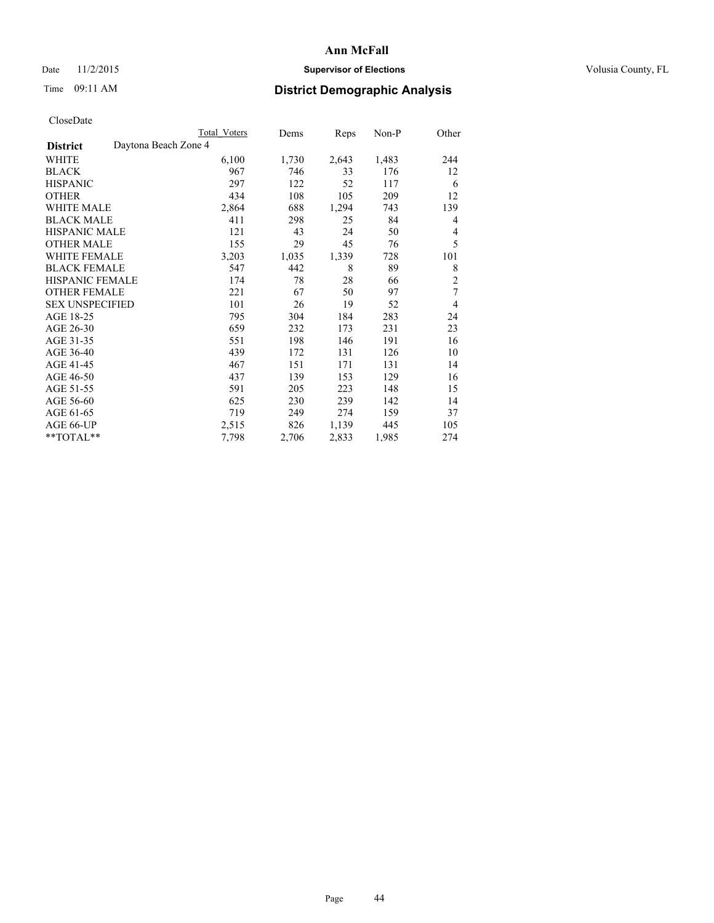# Date 11/2/2015 **Supervisor of Elections Supervisor of Elections** Volusia County, FL

|                        | <b>Total Voters</b>  | Dems  | Reps  | Non-P | Other          |
|------------------------|----------------------|-------|-------|-------|----------------|
| <b>District</b>        | Daytona Beach Zone 4 |       |       |       |                |
| WHITE                  | 6,100                | 1,730 | 2,643 | 1,483 | 244            |
| <b>BLACK</b>           | 967                  | 746   | 33    | 176   | 12             |
| <b>HISPANIC</b>        | 297                  | 122   | 52    | 117   | 6              |
| <b>OTHER</b>           | 434                  | 108   | 105   | 209   | 12             |
| WHITE MALE             | 2,864                | 688   | 1,294 | 743   | 139            |
| <b>BLACK MALE</b>      | 411                  | 298   | 25    | 84    | 4              |
| <b>HISPANIC MALE</b>   | 121                  | 43    | 24    | 50    | 4              |
| <b>OTHER MALE</b>      | 155                  | 29    | 45    | 76    | 5              |
| WHITE FEMALE           | 3,203                | 1,035 | 1,339 | 728   | 101            |
| <b>BLACK FEMALE</b>    | 547                  | 442   | 8     | 89    | 8              |
| <b>HISPANIC FEMALE</b> | 174                  | 78    | 28    | 66    | $\overline{2}$ |
| <b>OTHER FEMALE</b>    | 221                  | 67    | 50    | 97    | 7              |
| <b>SEX UNSPECIFIED</b> | 101                  | 26    | 19    | 52    | 4              |
| AGE 18-25              | 795                  | 304   | 184   | 283   | 24             |
| AGE 26-30              | 659                  | 232   | 173   | 231   | 23             |
| AGE 31-35              | 551                  | 198   | 146   | 191   | 16             |
| AGE 36-40              | 439                  | 172   | 131   | 126   | 10             |
| AGE 41-45              | 467                  | 151   | 171   | 131   | 14             |
| AGE 46-50              | 437                  | 139   | 153   | 129   | 16             |
| AGE 51-55              | 591                  | 205   | 223   | 148   | 15             |
| AGE 56-60              | 625                  | 230   | 239   | 142   | 14             |
| AGE 61-65              | 719                  | 249   | 274   | 159   | 37             |
| AGE 66-UP              | 2,515                | 826   | 1,139 | 445   | 105            |
| **TOTAL**              | 7,798                | 2,706 | 2,833 | 1,985 | 274            |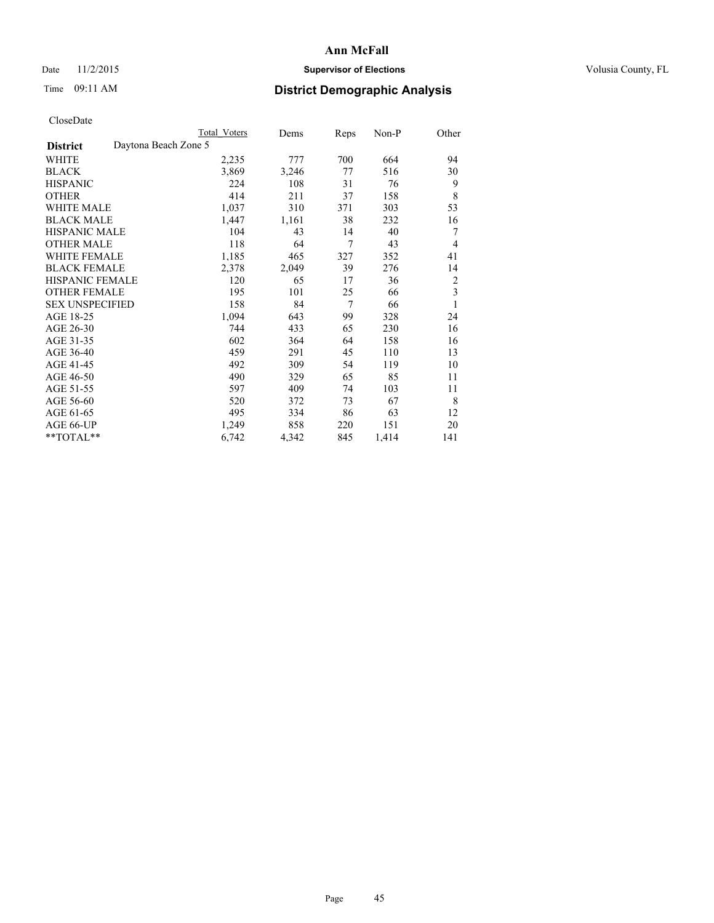# Date 11/2/2015 **Supervisor of Elections Supervisor of Elections** Volusia County, FL

# Time 09:11 AM **District Demographic Analysis**

|                        |                      | Total Voters | Dems  | Reps | Non-P | Other          |
|------------------------|----------------------|--------------|-------|------|-------|----------------|
| <b>District</b>        | Daytona Beach Zone 5 |              |       |      |       |                |
| WHITE                  |                      | 2,235        | 777   | 700  | 664   | 94             |
| <b>BLACK</b>           |                      | 3,869        | 3,246 | 77   | 516   | 30             |
| <b>HISPANIC</b>        |                      | 224          | 108   | 31   | 76    | 9              |
| <b>OTHER</b>           |                      | 414          | 211   | 37   | 158   | 8              |
| WHITE MALE             |                      | 1,037        | 310   | 371  | 303   | 53             |
| <b>BLACK MALE</b>      |                      | 1,447        | 1,161 | 38   | 232   | 16             |
| <b>HISPANIC MALE</b>   |                      | 104          | 43    | 14   | 40    | 7              |
| <b>OTHER MALE</b>      |                      | 118          | 64    | 7    | 43    | $\overline{4}$ |
| WHITE FEMALE           |                      | 1,185        | 465   | 327  | 352   | 41             |
| <b>BLACK FEMALE</b>    |                      | 2,378        | 2,049 | 39   | 276   | 14             |
| <b>HISPANIC FEMALE</b> |                      | 120          | 65    | 17   | 36    | $\overline{2}$ |
| <b>OTHER FEMALE</b>    |                      | 195          | 101   | 25   | 66    | 3              |
| <b>SEX UNSPECIFIED</b> |                      | 158          | 84    | 7    | 66    | 1              |
| AGE 18-25              |                      | 1,094        | 643   | 99   | 328   | 24             |
| AGE 26-30              |                      | 744          | 433   | 65   | 230   | 16             |
| AGE 31-35              |                      | 602          | 364   | 64   | 158   | 16             |
| AGE 36-40              |                      | 459          | 291   | 45   | 110   | 13             |
| AGE 41-45              |                      | 492          | 309   | 54   | 119   | 10             |
| AGE 46-50              |                      | 490          | 329   | 65   | 85    | 11             |
| AGE 51-55              |                      | 597          | 409   | 74   | 103   | 11             |
| AGE 56-60              |                      | 520          | 372   | 73   | 67    | 8              |
| AGE 61-65              |                      | 495          | 334   | 86   | 63    | 12             |
| AGE 66-UP              |                      | 1,249        | 858   | 220  | 151   | 20             |
| **TOTAL**              |                      | 6,742        | 4,342 | 845  | 1,414 | 141            |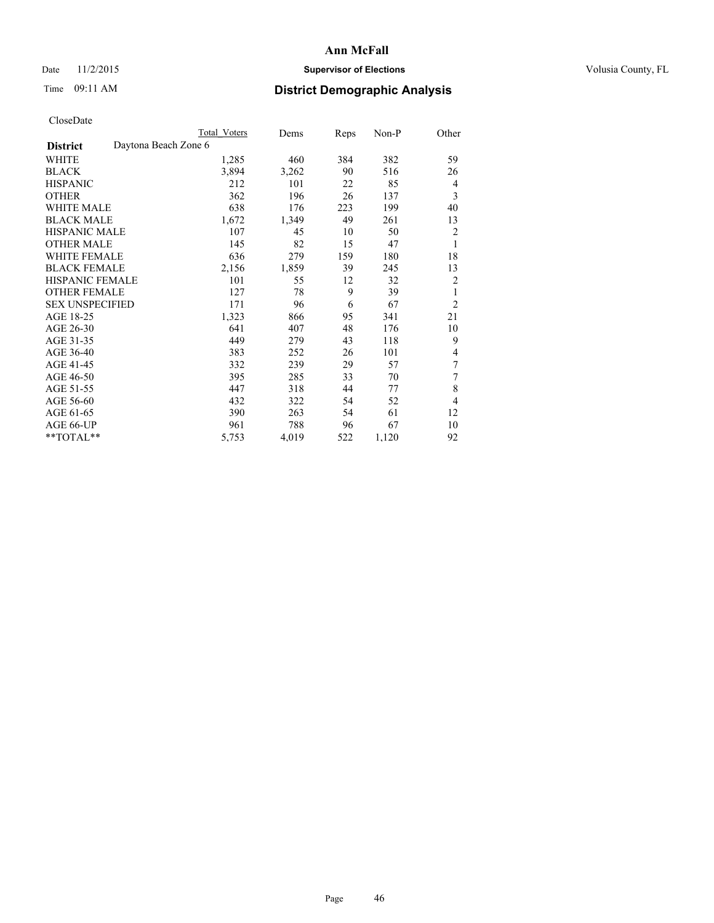### Date 11/2/2015 **Supervisor of Elections Supervisor of Elections** Volusia County, FL

|                        |                      | Total Voters | Dems  | Reps | Non-P | Other          |
|------------------------|----------------------|--------------|-------|------|-------|----------------|
| <b>District</b>        | Daytona Beach Zone 6 |              |       |      |       |                |
| WHITE                  |                      | 1,285        | 460   | 384  | 382   | 59             |
| <b>BLACK</b>           |                      | 3,894        | 3,262 | 90   | 516   | 26             |
| <b>HISPANIC</b>        |                      | 212          | 101   | 22   | 85    | $\overline{4}$ |
| <b>OTHER</b>           |                      | 362          | 196   | 26   | 137   | 3              |
| <b>WHITE MALE</b>      |                      | 638          | 176   | 223  | 199   | 40             |
| <b>BLACK MALE</b>      |                      | 1,672        | 1,349 | 49   | 261   | 13             |
| <b>HISPANIC MALE</b>   |                      | 107          | 45    | 10   | 50    | $\overline{2}$ |
| <b>OTHER MALE</b>      |                      | 145          | 82    | 15   | 47    | 1              |
| <b>WHITE FEMALE</b>    |                      | 636          | 279   | 159  | 180   | 18             |
| <b>BLACK FEMALE</b>    |                      | 2,156        | 1,859 | 39   | 245   | 13             |
| <b>HISPANIC FEMALE</b> |                      | 101          | 55    | 12   | 32    | 2              |
| <b>OTHER FEMALE</b>    |                      | 127          | 78    | 9    | 39    | 1              |
| <b>SEX UNSPECIFIED</b> |                      | 171          | 96    | 6    | 67    | $\overline{2}$ |
| AGE 18-25              |                      | 1,323        | 866   | 95   | 341   | 21             |
| AGE 26-30              |                      | 641          | 407   | 48   | 176   | 10             |
| AGE 31-35              |                      | 449          | 279   | 43   | 118   | 9              |
| AGE 36-40              |                      | 383          | 252   | 26   | 101   | 4              |
| AGE 41-45              |                      | 332          | 239   | 29   | 57    | 7              |
| AGE 46-50              |                      | 395          | 285   | 33   | 70    | 7              |
| AGE 51-55              |                      | 447          | 318   | 44   | 77    | 8              |
| AGE 56-60              |                      | 432          | 322   | 54   | 52    | $\overline{4}$ |
| AGE 61-65              |                      | 390          | 263   | 54   | 61    | 12             |
| AGE 66-UP              |                      | 961          | 788   | 96   | 67    | 10             |
| **TOTAL**              |                      | 5,753        | 4,019 | 522  | 1,120 | 92             |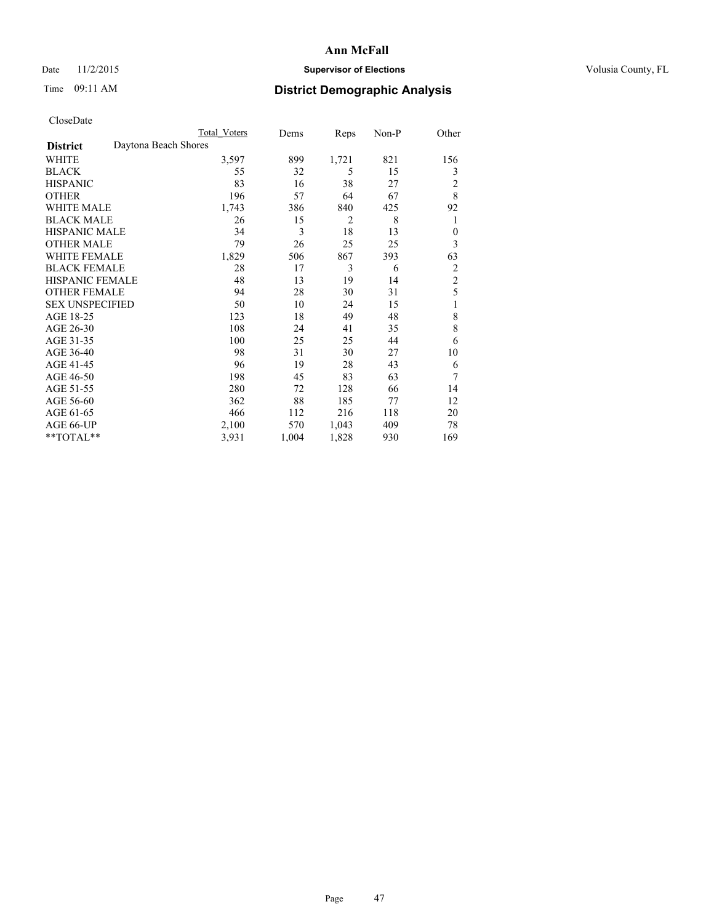### Date 11/2/2015 **Supervisor of Elections Supervisor of Elections** Volusia County, FL

# Time 09:11 AM **District Demographic Analysis**

|                        | <b>Total Voters</b>  | Dems  | Reps           | Non-P | Other          |
|------------------------|----------------------|-------|----------------|-------|----------------|
| <b>District</b>        | Daytona Beach Shores |       |                |       |                |
| WHITE                  | 3,597                | 899   | 1,721          | 821   | 156            |
| <b>BLACK</b>           | 55                   | 32    | 5              | 15    | 3              |
| <b>HISPANIC</b>        | 83                   | 16    | 38             | 27    | 2              |
| <b>OTHER</b>           | 196                  | 57    | 64             | 67    | 8              |
| <b>WHITE MALE</b>      | 1,743                | 386   | 840            | 425   | 92             |
| <b>BLACK MALE</b>      | 26                   | 15    | $\overline{2}$ | 8     | 1              |
| <b>HISPANIC MALE</b>   | 34                   | 3     | 18             | 13    | $\overline{0}$ |
| <b>OTHER MALE</b>      | 79                   | 26    | 25             | 25    | $\mathfrak{Z}$ |
| <b>WHITE FEMALE</b>    | 1,829                | 506   | 867            | 393   | 63             |
| <b>BLACK FEMALE</b>    | 28                   | 17    | 3              | 6     | $\overline{2}$ |
| <b>HISPANIC FEMALE</b> | 48                   | 13    | 19             | 14    | $\overline{2}$ |
| <b>OTHER FEMALE</b>    | 94                   | 28    | 30             | 31    | 5              |
| <b>SEX UNSPECIFIED</b> | 50                   | 10    | 24             | 15    | 1              |
| AGE 18-25              | 123                  | 18    | 49             | 48    | 8              |
| AGE 26-30              | 108                  | 24    | 41             | 35    | 8              |
| AGE 31-35              | 100                  | 25    | 25             | 44    | 6              |
| AGE 36-40              | 98                   | 31    | 30             | 27    | 10             |
| AGE 41-45              | 96                   | 19    | 28             | 43    | 6              |
| AGE 46-50              | 198                  | 45    | 83             | 63    | 7              |
| AGE 51-55              | 280                  | 72    | 128            | 66    | 14             |
| AGE 56-60              | 362                  | 88    | 185            | 77    | 12             |
| AGE 61-65              | 466                  | 112   | 216            | 118   | 20             |
| AGE 66-UP              | 2,100                | 570   | 1,043          | 409   | 78             |
| **TOTAL**              | 3,931                | 1,004 | 1,828          | 930   | 169            |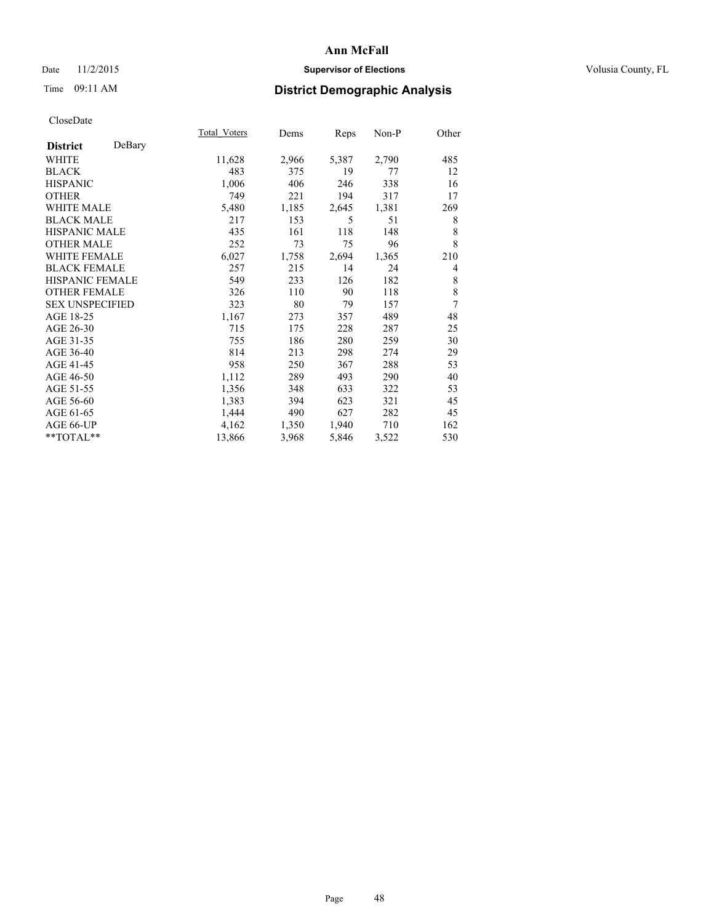### Date 11/2/2015 **Supervisor of Elections Supervisor of Elections** Volusia County, FL

# Time 09:11 AM **District Demographic Analysis**

|                        |        | Total Voters | Dems  | <b>Reps</b> | $Non-P$ | Other |
|------------------------|--------|--------------|-------|-------------|---------|-------|
| <b>District</b>        | DeBary |              |       |             |         |       |
| WHITE                  |        | 11,628       | 2,966 | 5,387       | 2,790   | 485   |
| <b>BLACK</b>           |        | 483          | 375   | 19          | 77      | 12    |
| <b>HISPANIC</b>        |        | 1,006        | 406   | 246         | 338     | 16    |
| <b>OTHER</b>           |        | 749          | 221   | 194         | 317     | 17    |
| WHITE MALE             |        | 5,480        | 1,185 | 2,645       | 1,381   | 269   |
| <b>BLACK MALE</b>      |        | 217          | 153   | 5           | 51      | 8     |
| <b>HISPANIC MALE</b>   |        | 435          | 161   | 118         | 148     | 8     |
| <b>OTHER MALE</b>      |        | 252          | 73    | 75          | 96      | 8     |
| WHITE FEMALE           |        | 6,027        | 1,758 | 2,694       | 1,365   | 210   |
| <b>BLACK FEMALE</b>    |        | 257          | 215   | 14          | 24      | 4     |
| <b>HISPANIC FEMALE</b> |        | 549          | 233   | 126         | 182     | 8     |
| <b>OTHER FEMALE</b>    |        | 326          | 110   | 90          | 118     | 8     |
| <b>SEX UNSPECIFIED</b> |        | 323          | 80    | 79          | 157     | 7     |
| AGE 18-25              |        | 1,167        | 273   | 357         | 489     | 48    |
| AGE 26-30              |        | 715          | 175   | 228         | 287     | 25    |
| AGE 31-35              |        | 755          | 186   | 280         | 259     | 30    |
| AGE 36-40              |        | 814          | 213   | 298         | 274     | 29    |
| AGE 41-45              |        | 958          | 250   | 367         | 288     | 53    |
| AGE 46-50              |        | 1,112        | 289   | 493         | 290     | 40    |
| AGE 51-55              |        | 1,356        | 348   | 633         | 322     | 53    |
| AGE 56-60              |        | 1,383        | 394   | 623         | 321     | 45    |
| AGE 61-65              |        | 1,444        | 490   | 627         | 282     | 45    |
| AGE 66-UP              |        | 4,162        | 1,350 | 1,940       | 710     | 162   |
| **TOTAL**              |        | 13,866       | 3,968 | 5,846       | 3,522   | 530   |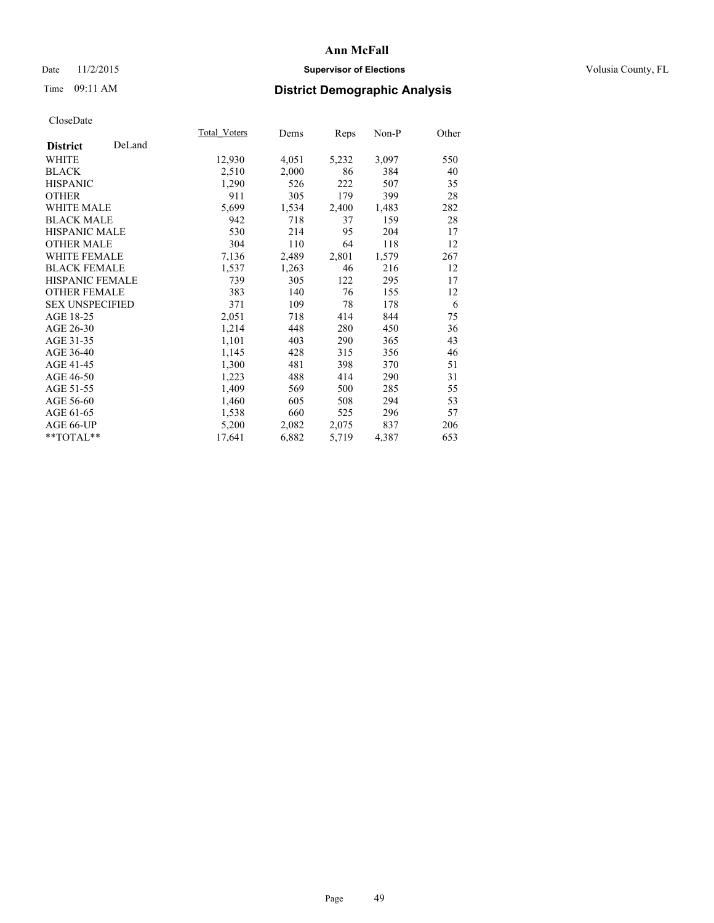### Date 11/2/2015 **Supervisor of Elections Supervisor of Elections** Volusia County, FL

# Time 09:11 AM **District Demographic Analysis**

|                        |        | Total Voters | Dems  | <b>Reps</b> | Non-P | Other |
|------------------------|--------|--------------|-------|-------------|-------|-------|
| <b>District</b>        | DeLand |              |       |             |       |       |
| WHITE                  |        | 12,930       | 4,051 | 5,232       | 3,097 | 550   |
| <b>BLACK</b>           |        | 2,510        | 2,000 | 86          | 384   | 40    |
| <b>HISPANIC</b>        |        | 1,290        | 526   | 222         | 507   | 35    |
| <b>OTHER</b>           |        | 911          | 305   | 179         | 399   | 28    |
| <b>WHITE MALE</b>      |        | 5,699        | 1,534 | 2,400       | 1,483 | 282   |
| <b>BLACK MALE</b>      |        | 942          | 718   | 37          | 159   | 28    |
| <b>HISPANIC MALE</b>   |        | 530          | 214   | 95          | 204   | 17    |
| <b>OTHER MALE</b>      |        | 304          | 110   | 64          | 118   | 12    |
| <b>WHITE FEMALE</b>    |        | 7,136        | 2,489 | 2,801       | 1,579 | 267   |
| <b>BLACK FEMALE</b>    |        | 1,537        | 1,263 | 46          | 216   | 12    |
| <b>HISPANIC FEMALE</b> |        | 739          | 305   | 122         | 295   | 17    |
| <b>OTHER FEMALE</b>    |        | 383          | 140   | 76          | 155   | 12    |
| <b>SEX UNSPECIFIED</b> |        | 371          | 109   | 78          | 178   | 6     |
| AGE 18-25              |        | 2,051        | 718   | 414         | 844   | 75    |
| AGE 26-30              |        | 1,214        | 448   | 280         | 450   | 36    |
| AGE 31-35              |        | 1,101        | 403   | 290         | 365   | 43    |
| AGE 36-40              |        | 1,145        | 428   | 315         | 356   | 46    |
| AGE 41-45              |        | 1,300        | 481   | 398         | 370   | 51    |
| AGE 46-50              |        | 1,223        | 488   | 414         | 290   | 31    |
| AGE 51-55              |        | 1,409        | 569   | 500         | 285   | 55    |
| AGE 56-60              |        | 1,460        | 605   | 508         | 294   | 53    |
| AGE 61-65              |        | 1,538        | 660   | 525         | 296   | 57    |
| AGE 66-UP              |        | 5,200        | 2,082 | 2,075       | 837   | 206   |
| $*$ $TOTAL**$          |        | 17,641       | 6,882 | 5,719       | 4,387 | 653   |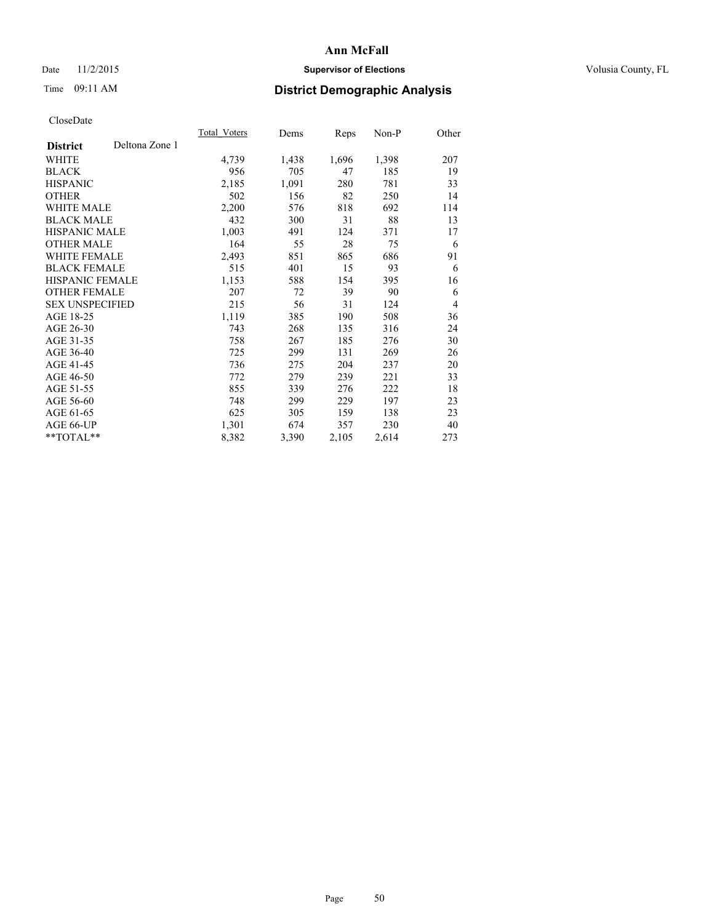### Date 11/2/2015 **Supervisor of Elections Supervisor of Elections** Volusia County, FL

# Time 09:11 AM **District Demographic Analysis**

|                        |                | Total Voters | Dems  | Reps  | Non-P | Other          |
|------------------------|----------------|--------------|-------|-------|-------|----------------|
| <b>District</b>        | Deltona Zone 1 |              |       |       |       |                |
| WHITE                  |                | 4,739        | 1,438 | 1,696 | 1,398 | 207            |
| <b>BLACK</b>           |                | 956          | 705   | 47    | 185   | 19             |
| <b>HISPANIC</b>        |                | 2,185        | 1,091 | 280   | 781   | 33             |
| OTHER                  |                | 502          | 156   | 82    | 250   | 14             |
| WHITE MALE             |                | 2,200        | 576   | 818   | 692   | 114            |
| <b>BLACK MALE</b>      |                | 432          | 300   | 31    | 88    | 13             |
| <b>HISPANIC MALE</b>   |                | 1,003        | 491   | 124   | 371   | 17             |
| OTHER MALE             |                | 164          | 55    | 28    | 75    | 6              |
| <b>WHITE FEMALE</b>    |                | 2,493        | 851   | 865   | 686   | 91             |
| <b>BLACK FEMALE</b>    |                | 515          | 401   | 15    | 93    | 6              |
| HISPANIC FEMALE        |                | 1,153        | 588   | 154   | 395   | 16             |
| <b>OTHER FEMALE</b>    |                | 207          | 72    | 39    | 90    | 6              |
| <b>SEX UNSPECIFIED</b> |                | 215          | 56    | 31    | 124   | $\overline{4}$ |
| AGE 18-25              |                | 1,119        | 385   | 190   | 508   | 36             |
| AGE 26-30              |                | 743          | 268   | 135   | 316   | 24             |
| AGE 31-35              |                | 758          | 267   | 185   | 276   | 30             |
| AGE 36-40              |                | 725          | 299   | 131   | 269   | 26             |
| AGE 41-45              |                | 736          | 275   | 204   | 237   | 20             |
| AGE 46-50              |                | 772          | 279   | 239   | 221   | 33             |
| AGE 51-55              |                | 855          | 339   | 276   | 222   | 18             |
| AGE 56-60              |                | 748          | 299   | 229   | 197   | 23             |
| AGE 61-65              |                | 625          | 305   | 159   | 138   | 23             |
| AGE 66-UP              |                | 1,301        | 674   | 357   | 230   | 40             |
| **TOTAL**              |                | 8,382        | 3,390 | 2,105 | 2,614 | 273            |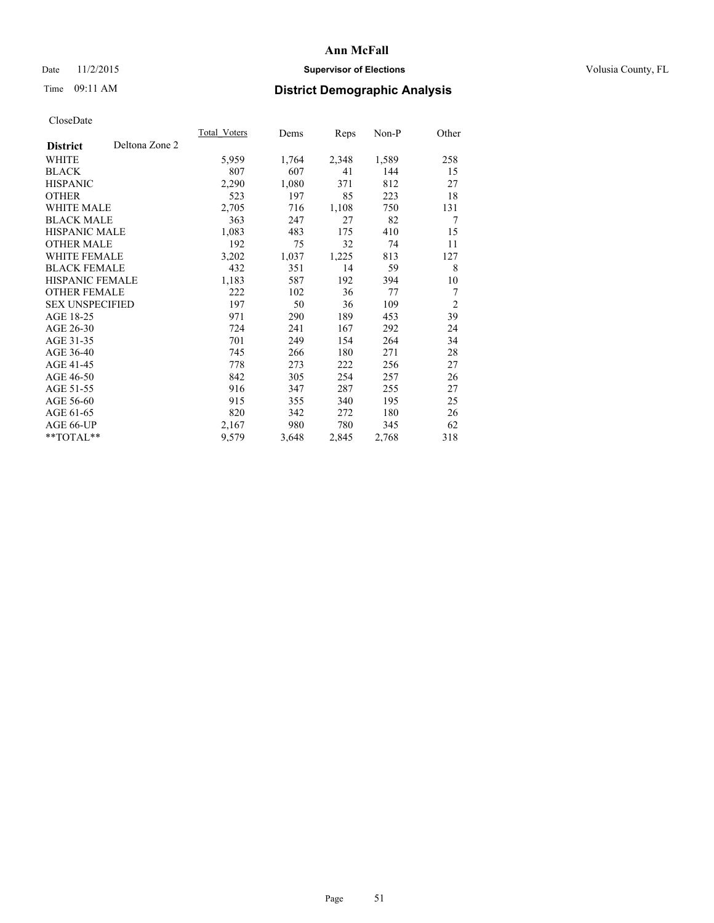### Date 11/2/2015 **Supervisor of Elections Supervisor of Elections** Volusia County, FL

# Time 09:11 AM **District Demographic Analysis**

|                        |                | Total Voters | Dems  | <b>Reps</b> | Non-P | Other          |
|------------------------|----------------|--------------|-------|-------------|-------|----------------|
| <b>District</b>        | Deltona Zone 2 |              |       |             |       |                |
| WHITE                  |                | 5,959        | 1,764 | 2,348       | 1,589 | 258            |
| <b>BLACK</b>           |                | 807          | 607   | 41          | 144   | 15             |
| <b>HISPANIC</b>        |                | 2,290        | 1,080 | 371         | 812   | 27             |
| <b>OTHER</b>           |                | 523          | 197   | 85          | 223   | 18             |
| WHITE MALE             |                | 2,705        | 716   | 1,108       | 750   | 131            |
| <b>BLACK MALE</b>      |                | 363          | 247   | 27          | 82    | 7              |
| <b>HISPANIC MALE</b>   |                | 1,083        | 483   | 175         | 410   | 15             |
| <b>OTHER MALE</b>      |                | 192          | 75    | 32          | 74    | 11             |
| WHITE FEMALE           |                | 3,202        | 1,037 | 1,225       | 813   | 127            |
| <b>BLACK FEMALE</b>    |                | 432          | 351   | 14          | 59    | 8              |
| HISPANIC FEMALE        |                | 1,183        | 587   | 192         | 394   | 10             |
| <b>OTHER FEMALE</b>    |                | 222          | 102   | 36          | 77    | 7              |
| <b>SEX UNSPECIFIED</b> |                | 197          | 50    | 36          | 109   | $\overline{2}$ |
| AGE 18-25              |                | 971          | 290   | 189         | 453   | 39             |
| AGE 26-30              |                | 724          | 241   | 167         | 292   | 24             |
| AGE 31-35              |                | 701          | 249   | 154         | 264   | 34             |
| AGE 36-40              |                | 745          | 266   | 180         | 271   | 28             |
| AGE 41-45              |                | 778          | 273   | 222         | 256   | 27             |
| AGE 46-50              |                | 842          | 305   | 254         | 257   | 26             |
| AGE 51-55              |                | 916          | 347   | 287         | 255   | 27             |
| AGE 56-60              |                | 915          | 355   | 340         | 195   | 25             |
| AGE 61-65              |                | 820          | 342   | 272         | 180   | 26             |
| AGE 66-UP              |                | 2,167        | 980   | 780         | 345   | 62             |
| **TOTAL**              |                | 9,579        | 3,648 | 2,845       | 2,768 | 318            |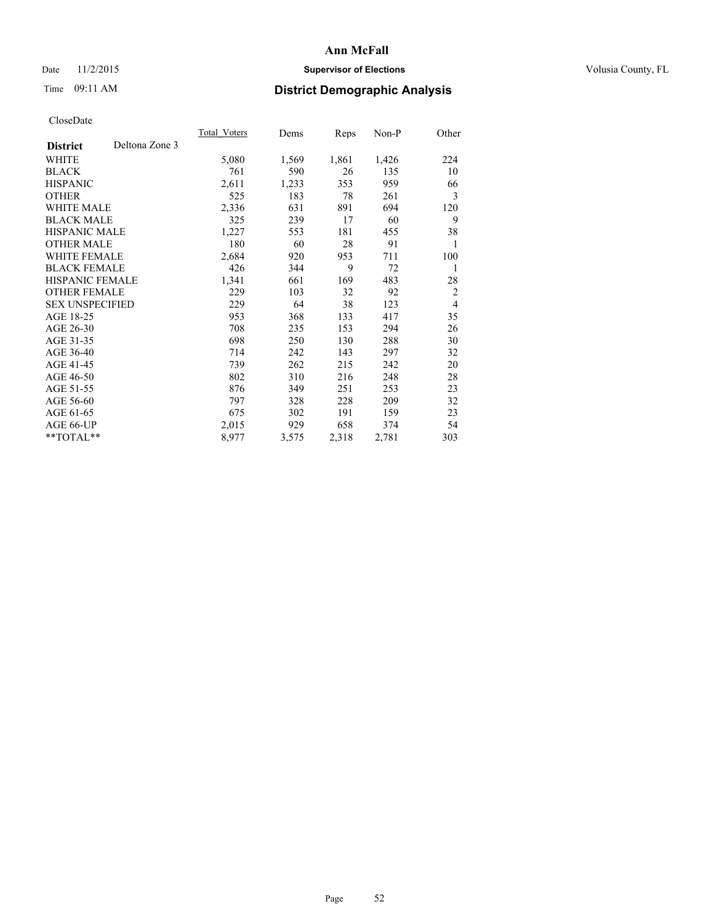### Date 11/2/2015 **Supervisor of Elections Supervisor of Elections** Volusia County, FL

# Time 09:11 AM **District Demographic Analysis**

|                        |                | Total Voters | Dems  | Reps  | Non-P | Other          |
|------------------------|----------------|--------------|-------|-------|-------|----------------|
| <b>District</b>        | Deltona Zone 3 |              |       |       |       |                |
| WHITE                  |                | 5,080        | 1,569 | 1,861 | 1,426 | 224            |
| <b>BLACK</b>           |                | 761          | 590   | 26    | 135   | 10             |
| <b>HISPANIC</b>        |                | 2,611        | 1,233 | 353   | 959   | 66             |
| <b>OTHER</b>           |                | 525          | 183   | 78    | 261   | 3              |
| WHITE MALE             |                | 2,336        | 631   | 891   | 694   | 120            |
| <b>BLACK MALE</b>      |                | 325          | 239   | 17    | 60    | 9              |
| <b>HISPANIC MALE</b>   |                | 1,227        | 553   | 181   | 455   | 38             |
| <b>OTHER MALE</b>      |                | 180          | 60    | 28    | 91    | 1              |
| <b>WHITE FEMALE</b>    |                | 2,684        | 920   | 953   | 711   | 100            |
| <b>BLACK FEMALE</b>    |                | 426          | 344   | 9     | 72    | 1              |
| <b>HISPANIC FEMALE</b> |                | 1,341        | 661   | 169   | 483   | 28             |
| <b>OTHER FEMALE</b>    |                | 229          | 103   | 32    | 92    | $\overline{2}$ |
| <b>SEX UNSPECIFIED</b> |                | 229          | 64    | 38    | 123   | $\overline{4}$ |
| AGE 18-25              |                | 953          | 368   | 133   | 417   | 35             |
| AGE 26-30              |                | 708          | 235   | 153   | 294   | 26             |
| AGE 31-35              |                | 698          | 250   | 130   | 288   | 30             |
| AGE 36-40              |                | 714          | 242   | 143   | 297   | 32             |
| AGE 41-45              |                | 739          | 262   | 215   | 242   | 20             |
| AGE 46-50              |                | 802          | 310   | 216   | 248   | 28             |
| AGE 51-55              |                | 876          | 349   | 251   | 253   | 23             |
| AGE 56-60              |                | 797          | 328   | 228   | 209   | 32             |
| AGE 61-65              |                | 675          | 302   | 191   | 159   | 23             |
| AGE 66-UP              |                | 2,015        | 929   | 658   | 374   | 54             |
| **TOTAL**              |                | 8,977        | 3,575 | 2,318 | 2,781 | 303            |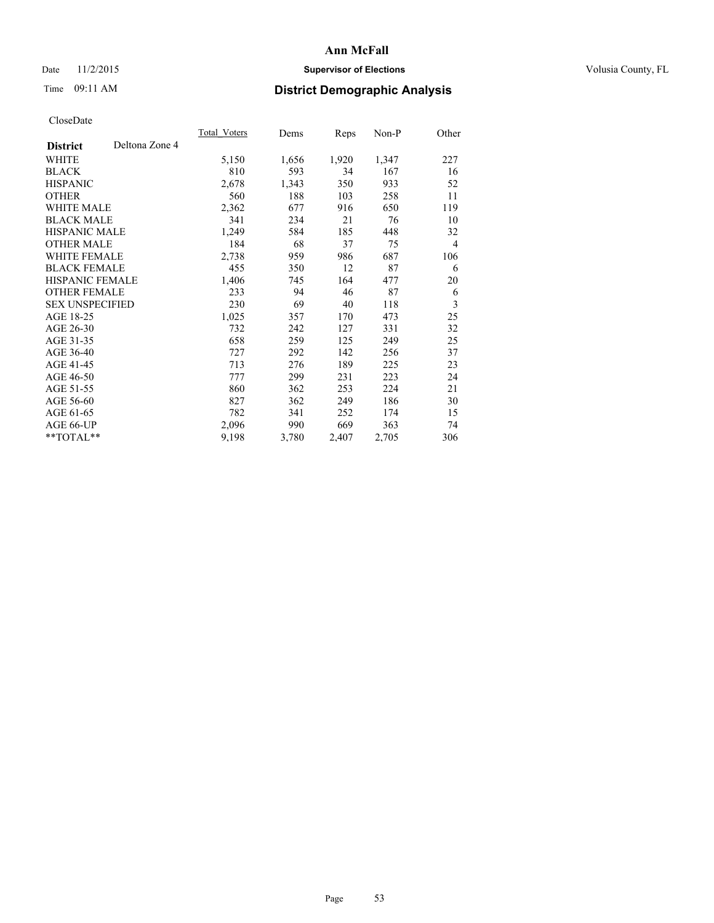### Date 11/2/2015 **Supervisor of Elections Supervisor of Elections** Volusia County, FL

# Time 09:11 AM **District Demographic Analysis**

|                        |                | Total Voters | Dems  | Reps  | Non-P | Other          |
|------------------------|----------------|--------------|-------|-------|-------|----------------|
| <b>District</b>        | Deltona Zone 4 |              |       |       |       |                |
| WHITE                  |                | 5,150        | 1,656 | 1,920 | 1,347 | 227            |
| <b>BLACK</b>           |                | 810          | 593   | 34    | 167   | 16             |
| <b>HISPANIC</b>        |                | 2,678        | 1,343 | 350   | 933   | 52             |
| OTHER                  |                | 560          | 188   | 103   | 258   | 11             |
| WHITE MALE             |                | 2,362        | 677   | 916   | 650   | 119            |
| <b>BLACK MALE</b>      |                | 341          | 234   | 21    | 76    | 10             |
| <b>HISPANIC MALE</b>   |                | 1,249        | 584   | 185   | 448   | 32             |
| OTHER MALE             |                | 184          | 68    | 37    | 75    | $\overline{4}$ |
| <b>WHITE FEMALE</b>    |                | 2,738        | 959   | 986   | 687   | 106            |
| <b>BLACK FEMALE</b>    |                | 455          | 350   | 12    | 87    | 6              |
| HISPANIC FEMALE        |                | 1,406        | 745   | 164   | 477   | 20             |
| <b>OTHER FEMALE</b>    |                | 233          | 94    | 46    | 87    | 6              |
| <b>SEX UNSPECIFIED</b> |                | 230          | 69    | 40    | 118   | 3              |
| AGE 18-25              |                | 1,025        | 357   | 170   | 473   | 25             |
| AGE 26-30              |                | 732          | 242   | 127   | 331   | 32             |
| AGE 31-35              |                | 658          | 259   | 125   | 249   | 25             |
| AGE 36-40              |                | 727          | 292   | 142   | 256   | 37             |
| AGE 41-45              |                | 713          | 276   | 189   | 225   | 23             |
| AGE 46-50              |                | 777          | 299   | 231   | 223   | 24             |
| AGE 51-55              |                | 860          | 362   | 253   | 224   | 21             |
| AGE 56-60              |                | 827          | 362   | 249   | 186   | 30             |
| AGE 61-65              |                | 782          | 341   | 252   | 174   | 15             |
| AGE 66-UP              |                | 2,096        | 990   | 669   | 363   | 74             |
| **TOTAL**              |                | 9,198        | 3,780 | 2,407 | 2,705 | 306            |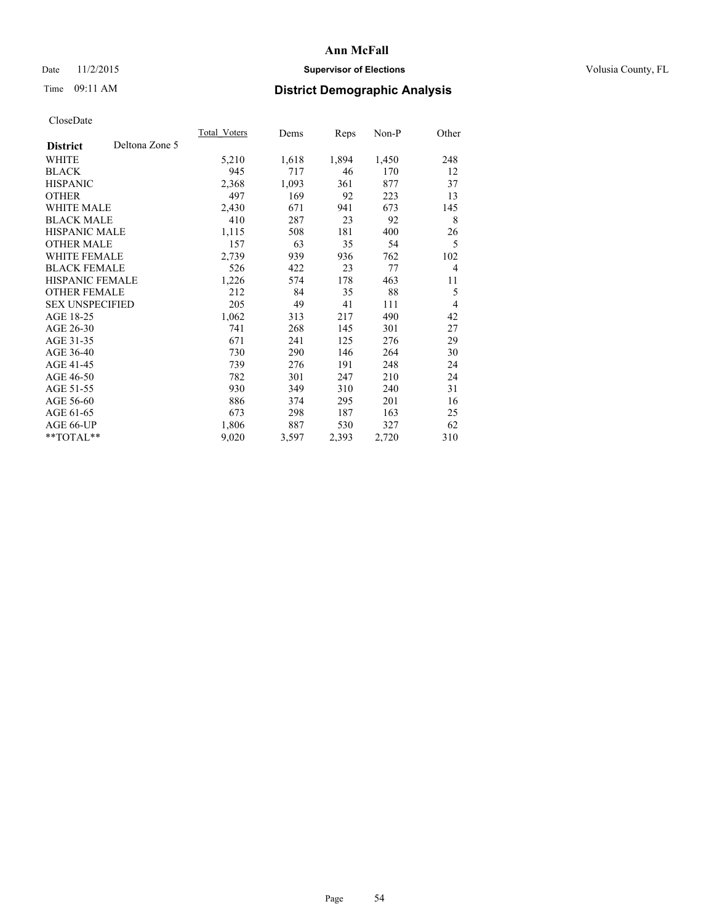### Date 11/2/2015 **Supervisor of Elections Supervisor of Elections** Volusia County, FL

# Time 09:11 AM **District Demographic Analysis**

|                        |                | Total Voters | Dems  | Reps  | Non-P | Other          |
|------------------------|----------------|--------------|-------|-------|-------|----------------|
| <b>District</b>        | Deltona Zone 5 |              |       |       |       |                |
| WHITE                  |                | 5,210        | 1,618 | 1,894 | 1,450 | 248            |
| <b>BLACK</b>           |                | 945          | 717   | 46    | 170   | 12             |
| <b>HISPANIC</b>        |                | 2,368        | 1,093 | 361   | 877   | 37             |
| <b>OTHER</b>           |                | 497          | 169   | 92    | 223   | 13             |
| WHITE MALE             |                | 2,430        | 671   | 941   | 673   | 145            |
| <b>BLACK MALE</b>      |                | 410          | 287   | 23    | 92    | 8              |
| <b>HISPANIC MALE</b>   |                | 1,115        | 508   | 181   | 400   | 26             |
| <b>OTHER MALE</b>      |                | 157          | 63    | 35    | 54    | 5              |
| WHITE FEMALE           |                | 2,739        | 939   | 936   | 762   | 102            |
| <b>BLACK FEMALE</b>    |                | 526          | 422   | 23    | 77    | $\overline{4}$ |
| <b>HISPANIC FEMALE</b> |                | 1,226        | 574   | 178   | 463   | 11             |
| <b>OTHER FEMALE</b>    |                | 212          | 84    | 35    | 88    | 5              |
| <b>SEX UNSPECIFIED</b> |                | 205          | 49    | 41    | 111   | $\overline{4}$ |
| AGE 18-25              |                | 1,062        | 313   | 217   | 490   | 42             |
| AGE 26-30              |                | 741          | 268   | 145   | 301   | 27             |
| AGE 31-35              |                | 671          | 241   | 125   | 276   | 29             |
| AGE 36-40              |                | 730          | 290   | 146   | 264   | 30             |
| AGE 41-45              |                | 739          | 276   | 191   | 248   | 24             |
| AGE 46-50              |                | 782          | 301   | 247   | 210   | 24             |
| AGE 51-55              |                | 930          | 349   | 310   | 240   | 31             |
| AGE 56-60              |                | 886          | 374   | 295   | 201   | 16             |
| AGE 61-65              |                | 673          | 298   | 187   | 163   | 25             |
| AGE 66-UP              |                | 1,806        | 887   | 530   | 327   | 62             |
| **TOTAL**              |                | 9,020        | 3,597 | 2,393 | 2,720 | 310            |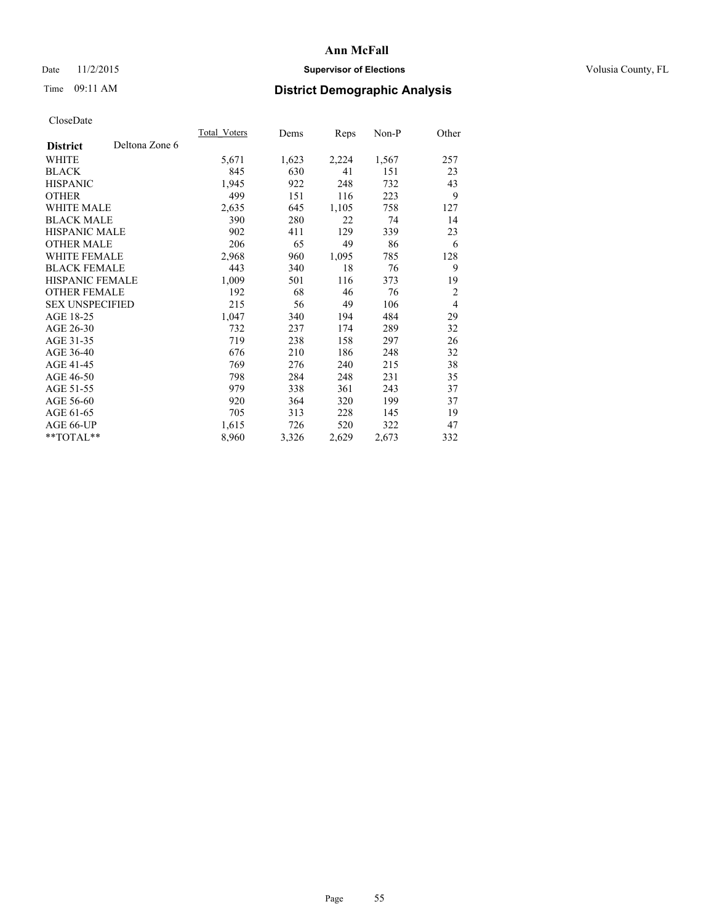### Date 11/2/2015 **Supervisor of Elections Supervisor of Elections** Volusia County, FL

# Time 09:11 AM **District Demographic Analysis**

|                        |                | Total Voters | Dems  | Reps  | Non-P | Other          |
|------------------------|----------------|--------------|-------|-------|-------|----------------|
| <b>District</b>        | Deltona Zone 6 |              |       |       |       |                |
| WHITE                  |                | 5,671        | 1,623 | 2,224 | 1,567 | 257            |
| <b>BLACK</b>           |                | 845          | 630   | 41    | 151   | 23             |
| <b>HISPANIC</b>        |                | 1,945        | 922   | 248   | 732   | 43             |
| <b>OTHER</b>           |                | 499          | 151   | 116   | 223   | 9              |
| WHITE MALE             |                | 2,635        | 645   | 1,105 | 758   | 127            |
| <b>BLACK MALE</b>      |                | 390          | 280   | 22    | 74    | 14             |
| <b>HISPANIC MALE</b>   |                | 902          | 411   | 129   | 339   | 23             |
| <b>OTHER MALE</b>      |                | 206          | 65    | 49    | 86    | 6              |
| WHITE FEMALE           |                | 2,968        | 960   | 1,095 | 785   | 128            |
| <b>BLACK FEMALE</b>    |                | 443          | 340   | 18    | 76    | 9              |
| <b>HISPANIC FEMALE</b> |                | 1,009        | 501   | 116   | 373   | 19             |
| <b>OTHER FEMALE</b>    |                | 192          | 68    | 46    | 76    | $\overline{2}$ |
| <b>SEX UNSPECIFIED</b> |                | 215          | 56    | 49    | 106   | $\overline{4}$ |
| AGE 18-25              |                | 1,047        | 340   | 194   | 484   | 29             |
| AGE 26-30              |                | 732          | 237   | 174   | 289   | 32             |
| AGE 31-35              |                | 719          | 238   | 158   | 297   | 26             |
| AGE 36-40              |                | 676          | 210   | 186   | 248   | 32             |
| AGE 41-45              |                | 769          | 276   | 240   | 215   | 38             |
| AGE 46-50              |                | 798          | 284   | 248   | 231   | 35             |
| AGE 51-55              |                | 979          | 338   | 361   | 243   | 37             |
| AGE 56-60              |                | 920          | 364   | 320   | 199   | 37             |
| AGE 61-65              |                | 705          | 313   | 228   | 145   | 19             |
| AGE 66-UP              |                | 1,615        | 726   | 520   | 322   | 47             |
| **TOTAL**              |                | 8,960        | 3,326 | 2,629 | 2,673 | 332            |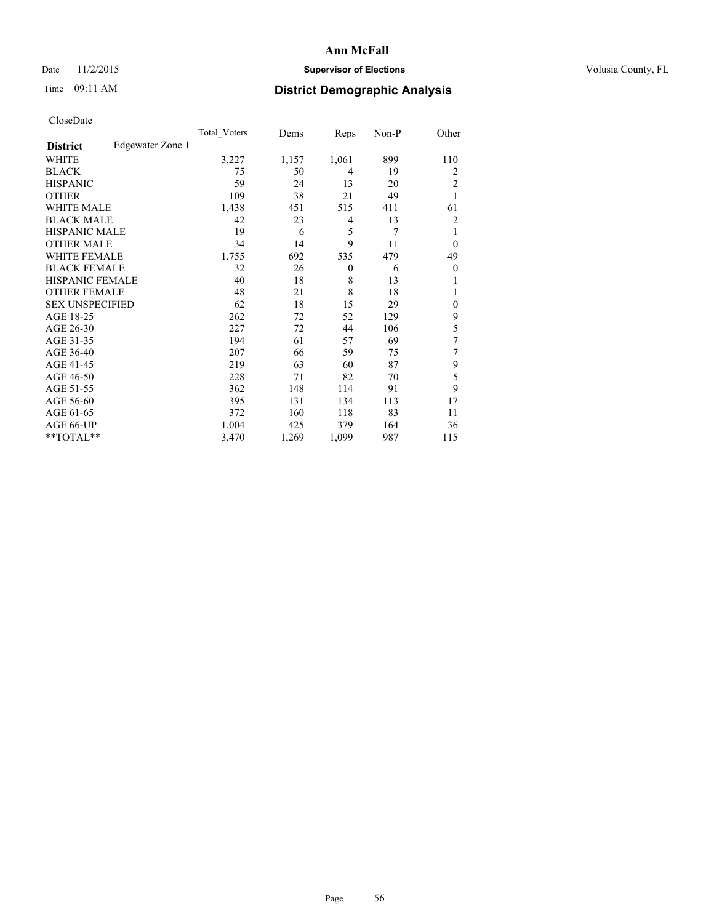# Date 11/2/2015 **Supervisor of Elections Supervisor of Elections** Volusia County, FL

# Time 09:11 AM **District Demographic Analysis**

|                        |                  | <b>Total Voters</b> | Dems  | Reps     | Non-P | Other          |
|------------------------|------------------|---------------------|-------|----------|-------|----------------|
| <b>District</b>        | Edgewater Zone 1 |                     |       |          |       |                |
| WHITE                  |                  | 3,227               | 1,157 | 1,061    | 899   | 110            |
| <b>BLACK</b>           |                  | 75                  | 50    | 4        | 19    | 2              |
| <b>HISPANIC</b>        |                  | 59                  | 24    | 13       | 20    | $\overline{2}$ |
| <b>OTHER</b>           |                  | 109                 | 38    | 21       | 49    | $\mathbf{1}$   |
| WHITE MALE             |                  | 1,438               | 451   | 515      | 411   | 61             |
| <b>BLACK MALE</b>      |                  | 42                  | 23    | 4        | 13    | 2              |
| <b>HISPANIC MALE</b>   |                  | 19                  | 6     | 5        | 7     | 1              |
| <b>OTHER MALE</b>      |                  | 34                  | 14    | 9        | 11    | $\theta$       |
| WHITE FEMALE           |                  | 1,755               | 692   | 535      | 479   | 49             |
| <b>BLACK FEMALE</b>    |                  | 32                  | 26    | $\theta$ | 6     | $\theta$       |
| <b>HISPANIC FEMALE</b> |                  | 40                  | 18    | 8        | 13    | 1              |
| <b>OTHER FEMALE</b>    |                  | 48                  | 21    | 8        | 18    | 1              |
| <b>SEX UNSPECIFIED</b> |                  | 62                  | 18    | 15       | 29    | $\mathbf{0}$   |
| AGE 18-25              |                  | 262                 | 72    | 52       | 129   | 9              |
| AGE 26-30              |                  | 227                 | 72    | 44       | 106   | 5              |
| AGE 31-35              |                  | 194                 | 61    | 57       | 69    | 7              |
| AGE 36-40              |                  | 207                 | 66    | 59       | 75    | 7              |
| AGE 41-45              |                  | 219                 | 63    | 60       | 87    | 9              |
| AGE 46-50              |                  | 228                 | 71    | 82       | 70    | 5              |
| AGE 51-55              |                  | 362                 | 148   | 114      | 91    | 9              |
| AGE 56-60              |                  | 395                 | 131   | 134      | 113   | 17             |
| AGE 61-65              |                  | 372                 | 160   | 118      | 83    | 11             |
| AGE 66-UP              |                  | 1,004               | 425   | 379      | 164   | 36             |
| **TOTAL**              |                  | 3,470               | 1,269 | 1,099    | 987   | 115            |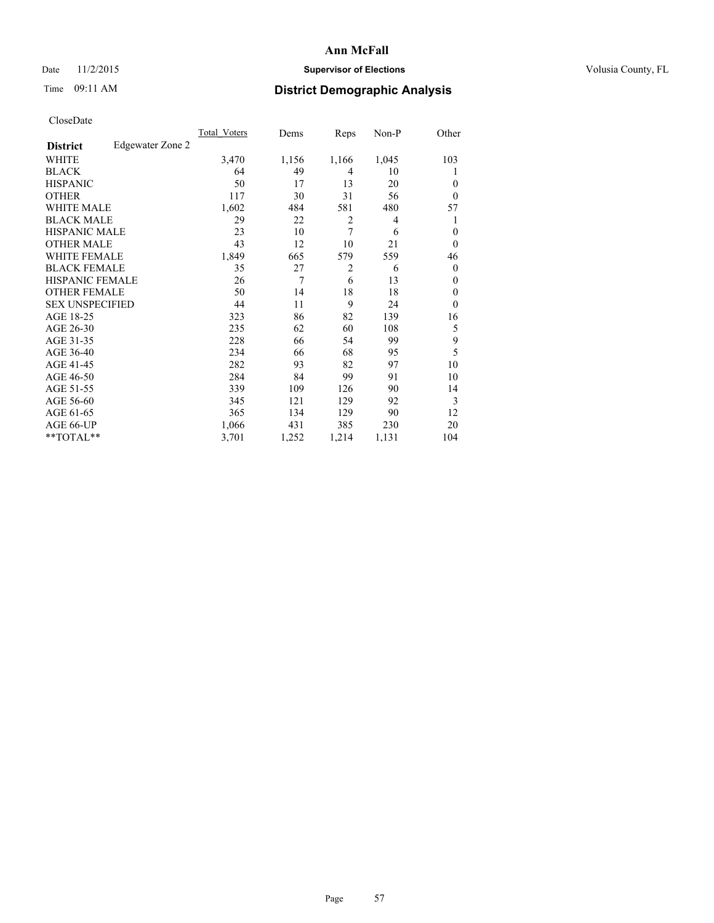# Time 09:11 AM **District Demographic Analysis**

| <b>UIUSUDUI</b> U      |                  |              |       |                |       |                |
|------------------------|------------------|--------------|-------|----------------|-------|----------------|
|                        |                  | Total Voters | Dems  | Reps           | Non-P | Other          |
| <b>District</b>        | Edgewater Zone 2 |              |       |                |       |                |
| WHITE                  |                  | 3,470        | 1,156 | 1,166          | 1,045 | 103            |
| <b>BLACK</b>           |                  | 64           | 49    | $\overline{4}$ | 10    | 1              |
| <b>HISPANIC</b>        |                  | 50           | 17    | 13             | 20    | $\theta$       |
| <b>OTHER</b>           |                  | 117          | 30    | 31             | 56    | $\theta$       |
| WHITE MALE             |                  | 1,602        | 484   | 581            | 480   | 57             |
| <b>BLACK MALE</b>      |                  | 29           | 22    | $\overline{2}$ | 4     |                |
| <b>HISPANIC MALE</b>   |                  | 23           | 10    | 7              | 6     | $\overline{0}$ |
| <b>OTHER MALE</b>      |                  | 43           | 12    | 10             | 21    | $\theta$       |
| WHITE FEMALE           |                  | 1,849        | 665   | 579            | 559   | 46             |
| <b>BLACK FEMALE</b>    |                  | 35           | 27    | 2              | 6     | $\overline{0}$ |
| HISPANIC FEMALE        |                  | 26           | 7     | 6              | 13    | $\theta$       |
| <b>OTHER FEMALE</b>    |                  | 50           | 14    | 18             | 18    | $\mathbf{0}$   |
| <b>SEX UNSPECIFIED</b> |                  | 44           | 11    | 9              | 24    | $\theta$       |
| AGE 18-25              |                  | 323          | 86    | 82             | 139   | 16             |
| AGE 26-30              |                  | 235          | 62    | 60             | 108   | 5              |
| AGE 31-35              |                  | 228          | 66    | 54             | 99    | 9              |
| AGE 36-40              |                  | 234          | 66    | 68             | 95    | 5              |
| AGE 41-45              |                  | 282          | 93    | 82             | 97    | 10             |
| AGE 46-50              |                  | 284          | 84    | 99             | 91    | 10             |
| AGE 51-55              |                  | 339          | 109   | 126            | 90    | 14             |
| AGE 56-60              |                  | 345          | 121   | 129            | 92    | 3              |
| AGE 61-65              |                  | 365          | 134   | 129            | 90    | 12             |
| AGE 66-UP              |                  | 1,066        | 431   | 385            | 230   | 20             |
| $*$ TOTAL $*$          |                  | 3,701        | 1,252 | 1,214          | 1,131 | 104            |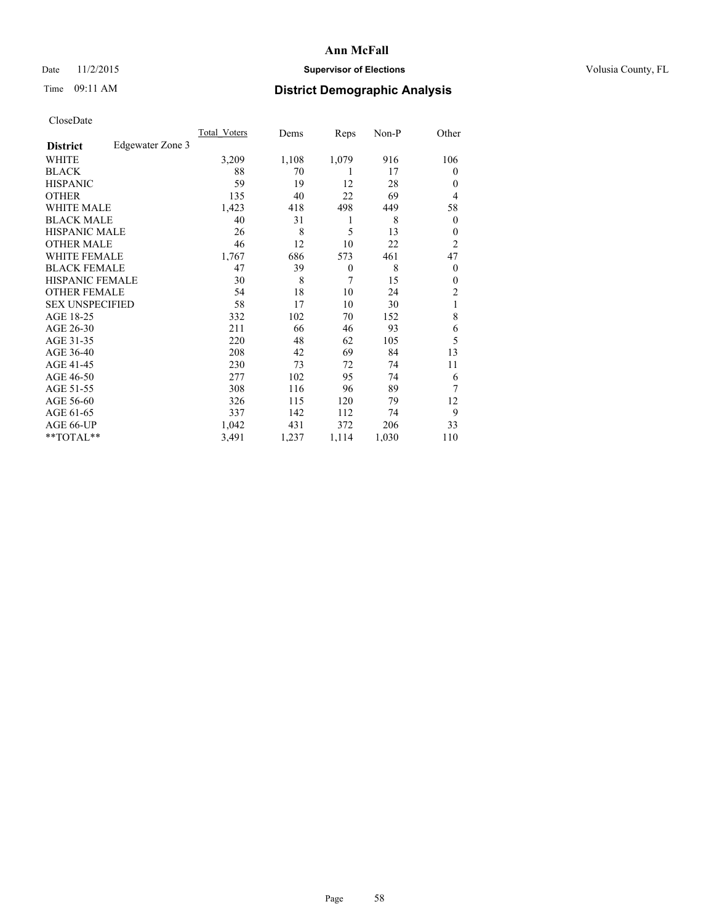### Date 11/2/2015 **Supervisor of Elections Supervisor of Elections** Volusia County, FL

# Time 09:11 AM **District Demographic Analysis**

|                        |                  | Total Voters | Dems  | Reps     | Non-P | Other          |
|------------------------|------------------|--------------|-------|----------|-------|----------------|
| <b>District</b>        | Edgewater Zone 3 |              |       |          |       |                |
| WHITE                  |                  | 3,209        | 1,108 | 1,079    | 916   | 106            |
| <b>BLACK</b>           |                  | 88           | 70    | 1        | 17    | $\overline{0}$ |
| <b>HISPANIC</b>        |                  | 59           | 19    | 12       | 28    | $\Omega$       |
| <b>OTHER</b>           |                  | 135          | 40    | 22       | 69    | $\overline{4}$ |
| <b>WHITE MALE</b>      |                  | 1,423        | 418   | 498      | 449   | 58             |
| <b>BLACK MALE</b>      |                  | 40           | 31    | 1        | 8     | $\overline{0}$ |
| <b>HISPANIC MALE</b>   |                  | 26           | 8     | 5        | 13    | $\overline{0}$ |
| <b>OTHER MALE</b>      |                  | 46           | 12    | 10       | 22    | $\overline{2}$ |
| <b>WHITE FEMALE</b>    |                  | 1,767        | 686   | 573      | 461   | 47             |
| <b>BLACK FEMALE</b>    |                  | 47           | 39    | $\theta$ | 8     | $\overline{0}$ |
| <b>HISPANIC FEMALE</b> |                  | 30           | 8     | 7        | 15    | $\Omega$       |
| <b>OTHER FEMALE</b>    |                  | 54           | 18    | 10       | 24    | 2              |
| <b>SEX UNSPECIFIED</b> |                  | 58           | 17    | 10       | 30    | 1              |
| AGE 18-25              |                  | 332          | 102   | 70       | 152   | 8              |
| AGE 26-30              |                  | 211          | 66    | 46       | 93    | 6              |
| AGE 31-35              |                  | 220          | 48    | 62       | 105   | 5              |
| AGE 36-40              |                  | 208          | 42    | 69       | 84    | 13             |
| AGE 41-45              |                  | 230          | 73    | 72       | 74    | 11             |
| AGE 46-50              |                  | 277          | 102   | 95       | 74    | 6              |
| AGE 51-55              |                  | 308          | 116   | 96       | 89    | 7              |
| AGE 56-60              |                  | 326          | 115   | 120      | 79    | 12             |
| AGE 61-65              |                  | 337          | 142   | 112      | 74    | 9              |
| AGE 66-UP              |                  | 1,042        | 431   | 372      | 206   | 33             |
| **TOTAL**              |                  | 3,491        | 1,237 | 1,114    | 1,030 | 110            |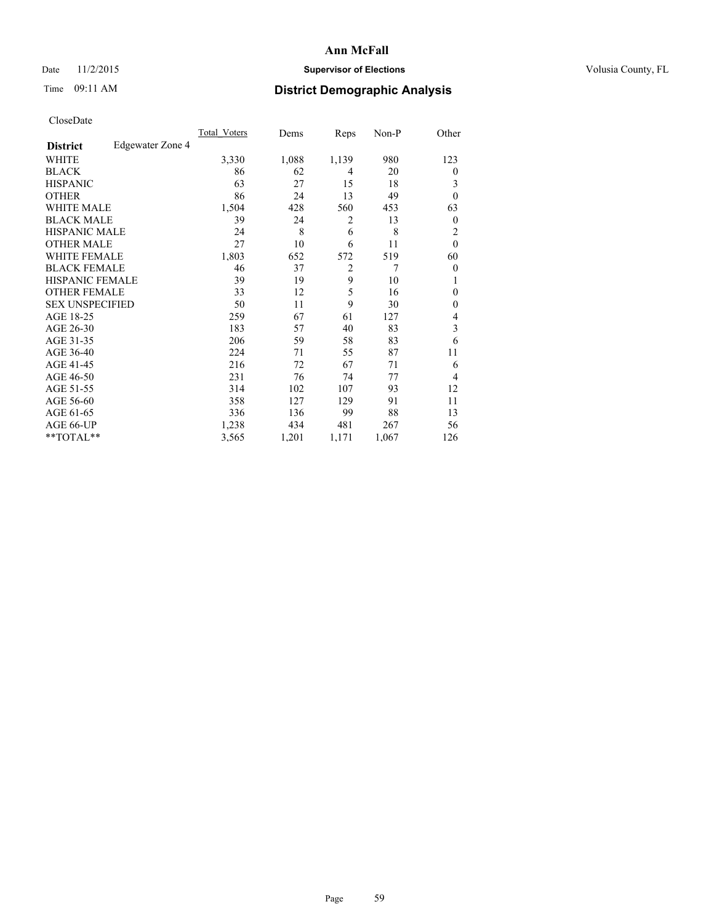### Date 11/2/2015 **Supervisor of Elections Supervisor of Elections** Volusia County, FL

# Time 09:11 AM **District Demographic Analysis**

|                        |                  | Total Voters | Dems  | Reps           | Non-P | Other            |
|------------------------|------------------|--------------|-------|----------------|-------|------------------|
| <b>District</b>        | Edgewater Zone 4 |              |       |                |       |                  |
| WHITE                  |                  | 3,330        | 1,088 | 1,139          | 980   | 123              |
| <b>BLACK</b>           |                  | 86           | 62    | 4              | 20    | $\theta$         |
| <b>HISPANIC</b>        |                  | 63           | 27    | 15             | 18    | 3                |
| <b>OTHER</b>           |                  | 86           | 24    | 13             | 49    | $\theta$         |
| <b>WHITE MALE</b>      |                  | 1,504        | 428   | 560            | 453   | 63               |
| <b>BLACK MALE</b>      |                  | 39           | 24    | 2              | 13    | $\boldsymbol{0}$ |
| <b>HISPANIC MALE</b>   |                  | 24           | 8     | 6              | 8     | 2                |
| <b>OTHER MALE</b>      |                  | 27           | 10    | 6              | 11    | $\mathbf{0}$     |
| <b>WHITE FEMALE</b>    |                  | 1,803        | 652   | 572            | 519   | 60               |
| <b>BLACK FEMALE</b>    |                  | 46           | 37    | $\overline{2}$ | 7     | $\theta$         |
| <b>HISPANIC FEMALE</b> |                  | 39           | 19    | 9              | 10    | 1                |
| <b>OTHER FEMALE</b>    |                  | 33           | 12    | 5              | 16    | $\theta$         |
| <b>SEX UNSPECIFIED</b> |                  | 50           | 11    | 9              | 30    | $\mathbf{0}$     |
| AGE 18-25              |                  | 259          | 67    | 61             | 127   | 4                |
| AGE 26-30              |                  | 183          | 57    | 40             | 83    | 3                |
| AGE 31-35              |                  | 206          | 59    | 58             | 83    | 6                |
| AGE 36-40              |                  | 224          | 71    | 55             | 87    | 11               |
| AGE 41-45              |                  | 216          | 72    | 67             | 71    | 6                |
| AGE 46-50              |                  | 231          | 76    | 74             | 77    | 4                |
| AGE 51-55              |                  | 314          | 102   | 107            | 93    | 12               |
| AGE 56-60              |                  | 358          | 127   | 129            | 91    | 11               |
| AGE 61-65              |                  | 336          | 136   | 99             | 88    | 13               |
| AGE 66-UP              |                  | 1,238        | 434   | 481            | 267   | 56               |
| **TOTAL**              |                  | 3,565        | 1,201 | 1,171          | 1,067 | 126              |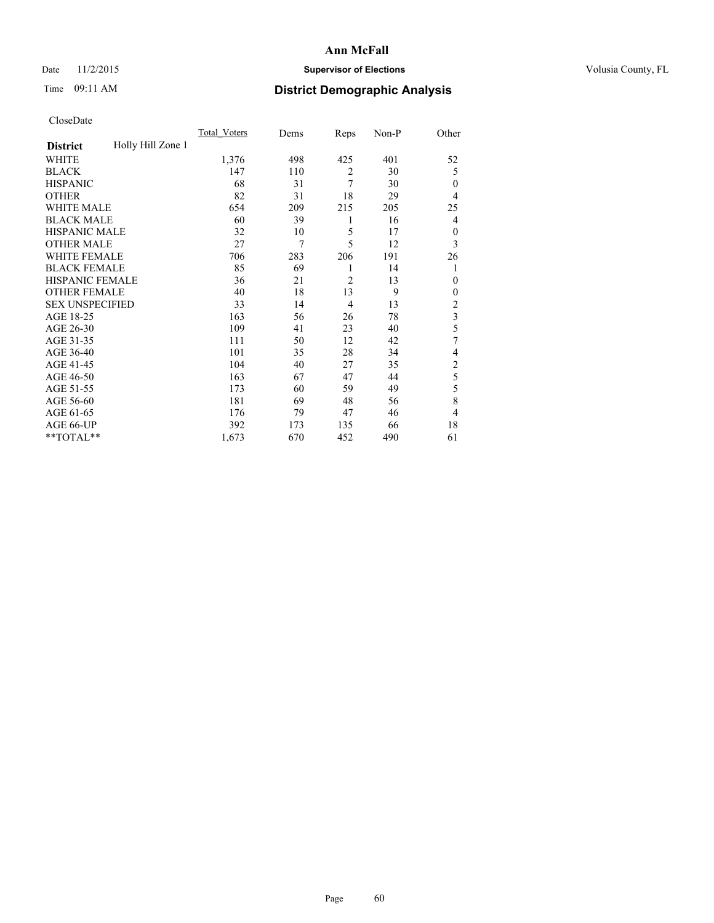### Date 11/2/2015 **Supervisor of Elections Supervisor of Elections** Volusia County, FL

# Time 09:11 AM **District Demographic Analysis**

|                        |                   | <b>Total Voters</b> | Dems | Reps           | Non-P | Other                   |
|------------------------|-------------------|---------------------|------|----------------|-------|-------------------------|
| <b>District</b>        | Holly Hill Zone 1 |                     |      |                |       |                         |
| WHITE                  |                   | 1,376               | 498  | 425            | 401   | 52                      |
| <b>BLACK</b>           |                   | 147                 | 110  | $\overline{2}$ | 30    | 5                       |
| <b>HISPANIC</b>        |                   | 68                  | 31   | 7              | 30    | $\theta$                |
| <b>OTHER</b>           |                   | 82                  | 31   | 18             | 29    | 4                       |
| <b>WHITE MALE</b>      |                   | 654                 | 209  | 215            | 205   | 25                      |
| <b>BLACK MALE</b>      |                   | 60                  | 39   | 1              | 16    | 4                       |
| <b>HISPANIC MALE</b>   |                   | 32                  | 10   | 5              | 17    | $\mathbf{0}$            |
| <b>OTHER MALE</b>      |                   | 27                  | 7    | 5              | 12    | 3                       |
| <b>WHITE FEMALE</b>    |                   | 706                 | 283  | 206            | 191   | 26                      |
| <b>BLACK FEMALE</b>    |                   | 85                  | 69   | 1              | 14    | 1                       |
| <b>HISPANIC FEMALE</b> |                   | 36                  | 21   | $\overline{2}$ | 13    | $\theta$                |
| <b>OTHER FEMALE</b>    |                   | 40                  | 18   | 13             | 9     | $\theta$                |
| <b>SEX UNSPECIFIED</b> |                   | 33                  | 14   | 4              | 13    | $\overline{c}$          |
| AGE 18-25              |                   | 163                 | 56   | 26             | 78    | $\overline{\mathbf{3}}$ |
| AGE 26-30              |                   | 109                 | 41   | 23             | 40    | 5                       |
| AGE 31-35              |                   | 111                 | 50   | 12             | 42    | 7                       |
| AGE 36-40              |                   | 101                 | 35   | 28             | 34    | 4                       |
| AGE 41-45              |                   | 104                 | 40   | 27             | 35    | $\overline{c}$          |
| AGE 46-50              |                   | 163                 | 67   | 47             | 44    | 5                       |
| AGE 51-55              |                   | 173                 | 60   | 59             | 49    | 5                       |
| AGE 56-60              |                   | 181                 | 69   | 48             | 56    | 8                       |
| AGE 61-65              |                   | 176                 | 79   | 47             | 46    | 4                       |
| AGE 66-UP              |                   | 392                 | 173  | 135            | 66    | 18                      |
| **TOTAL**              |                   | 1,673               | 670  | 452            | 490   | 61                      |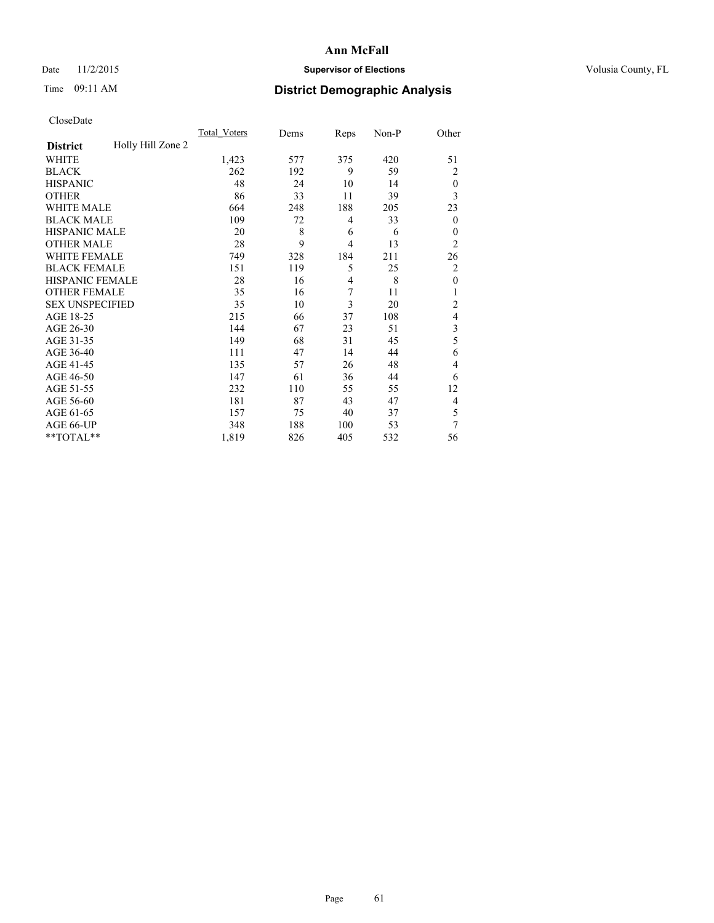### Date 11/2/2015 **Supervisor of Elections Supervisor of Elections** Volusia County, FL

# Time 09:11 AM **District Demographic Analysis**

|                        |                   | <b>Total Voters</b> | Dems | Reps           | Non-P | Other            |
|------------------------|-------------------|---------------------|------|----------------|-------|------------------|
| <b>District</b>        | Holly Hill Zone 2 |                     |      |                |       |                  |
| WHITE                  |                   | 1,423               | 577  | 375            | 420   | 51               |
| <b>BLACK</b>           |                   | 262                 | 192  | 9              | 59    | 2                |
| <b>HISPANIC</b>        |                   | 48                  | 24   | 10             | 14    | $\theta$         |
| <b>OTHER</b>           |                   | 86                  | 33   | 11             | 39    | 3                |
| <b>WHITE MALE</b>      |                   | 664                 | 248  | 188            | 205   | 23               |
| <b>BLACK MALE</b>      |                   | 109                 | 72   | 4              | 33    | $\boldsymbol{0}$ |
| <b>HISPANIC MALE</b>   |                   | 20                  | 8    | 6              | 6     | $\theta$         |
| <b>OTHER MALE</b>      |                   | 28                  | 9    | $\overline{4}$ | 13    | $\overline{2}$   |
| WHITE FEMALE           |                   | 749                 | 328  | 184            | 211   | 26               |
| <b>BLACK FEMALE</b>    |                   | 151                 | 119  | 5              | 25    | $\overline{c}$   |
| <b>HISPANIC FEMALE</b> |                   | 28                  | 16   | $\overline{4}$ | 8     | $\mathbf{0}$     |
| <b>OTHER FEMALE</b>    |                   | 35                  | 16   | 7              | 11    | 1                |
| <b>SEX UNSPECIFIED</b> |                   | 35                  | 10   | 3              | 20    | $\overline{2}$   |
| AGE 18-25              |                   | 215                 | 66   | 37             | 108   | $\overline{4}$   |
| AGE 26-30              |                   | 144                 | 67   | 23             | 51    | 3                |
| AGE 31-35              |                   | 149                 | 68   | 31             | 45    | 5                |
| AGE 36-40              |                   | 111                 | 47   | 14             | 44    | 6                |
| AGE 41-45              |                   | 135                 | 57   | 26             | 48    | 4                |
| AGE 46-50              |                   | 147                 | 61   | 36             | 44    | 6                |
| AGE 51-55              |                   | 232                 | 110  | 55             | 55    | 12               |
| AGE 56-60              |                   | 181                 | 87   | 43             | 47    | 4                |
| AGE 61-65              |                   | 157                 | 75   | 40             | 37    | 5                |
| AGE 66-UP              |                   | 348                 | 188  | 100            | 53    | 7                |
| **TOTAL**              |                   | 1,819               | 826  | 405            | 532   | 56               |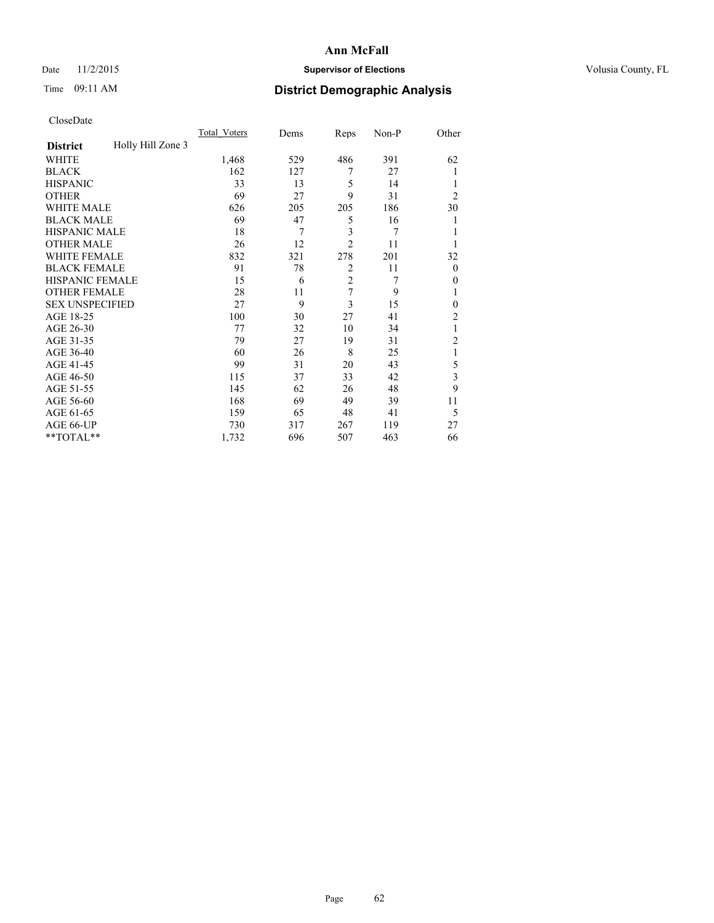### Date 11/2/2015 **Supervisor of Elections Supervisor of Elections** Volusia County, FL

# Time 09:11 AM **District Demographic Analysis**

|                        |                   | <b>Total Voters</b> | Dems | Reps           | Non-P | Other          |
|------------------------|-------------------|---------------------|------|----------------|-------|----------------|
| <b>District</b>        | Holly Hill Zone 3 |                     |      |                |       |                |
| WHITE                  |                   | 1,468               | 529  | 486            | 391   | 62             |
| <b>BLACK</b>           |                   | 162                 | 127  | 7              | 27    |                |
| <b>HISPANIC</b>        |                   | 33                  | 13   | 5              | 14    |                |
| <b>OTHER</b>           |                   | 69                  | 27   | 9              | 31    | $\overline{2}$ |
| <b>WHITE MALE</b>      |                   | 626                 | 205  | 205            | 186   | 30             |
| <b>BLACK MALE</b>      |                   | 69                  | 47   | 5              | 16    | 1              |
| <b>HISPANIC MALE</b>   |                   | 18                  | 7    | 3              | 7     |                |
| <b>OTHER MALE</b>      |                   | 26                  | 12   | $\overline{2}$ | 11    |                |
| <b>WHITE FEMALE</b>    |                   | 832                 | 321  | 278            | 201   | 32             |
| <b>BLACK FEMALE</b>    |                   | 91                  | 78   | $\overline{2}$ | 11    | $\overline{0}$ |
| <b>HISPANIC FEMALE</b> |                   | 15                  | 6    | $\overline{2}$ | 7     | $\Omega$       |
| <b>OTHER FEMALE</b>    |                   | 28                  | 11   | $\overline{7}$ | 9     |                |
| <b>SEX UNSPECIFIED</b> |                   | 27                  | 9    | 3              | 15    | $\theta$       |
| AGE 18-25              |                   | 100                 | 30   | 27             | 41    | 2              |
| AGE 26-30              |                   | 77                  | 32   | 10             | 34    | 1              |
| AGE 31-35              |                   | 79                  | 27   | 19             | 31    | $\overline{c}$ |
| AGE 36-40              |                   | 60                  | 26   | 8              | 25    | 1              |
| AGE 41-45              |                   | 99                  | 31   | 20             | 43    | 5              |
| AGE 46-50              |                   | 115                 | 37   | 33             | 42    | 3              |
| AGE 51-55              |                   | 145                 | 62   | 26             | 48    | 9              |
| AGE 56-60              |                   | 168                 | 69   | 49             | 39    | 11             |
| AGE 61-65              |                   | 159                 | 65   | 48             | 41    | 5              |
| AGE 66-UP              |                   | 730                 | 317  | 267            | 119   | 27             |
| **TOTAL**              |                   | 1,732               | 696  | 507            | 463   | 66             |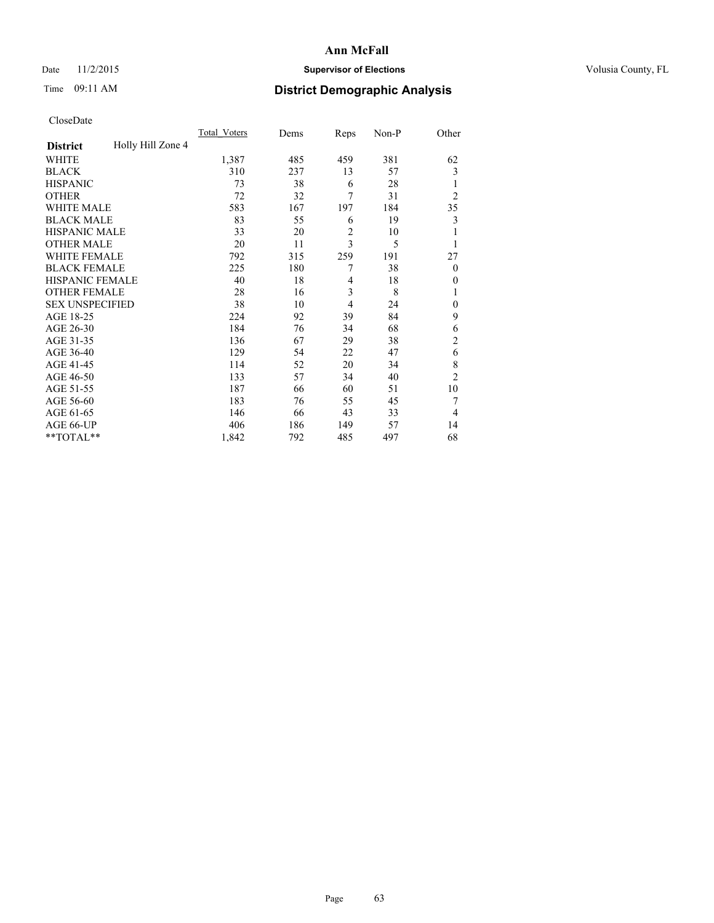### Date 11/2/2015 **Supervisor of Elections Supervisor of Elections** Volusia County, FL

# Time 09:11 AM **District Demographic Analysis**

|                        |                   | <b>Total Voters</b> | Dems | Reps           | Non-P | Other          |
|------------------------|-------------------|---------------------|------|----------------|-------|----------------|
| <b>District</b>        | Holly Hill Zone 4 |                     |      |                |       |                |
| WHITE                  |                   | 1,387               | 485  | 459            | 381   | 62             |
| <b>BLACK</b>           |                   | 310                 | 237  | 13             | 57    | 3              |
| <b>HISPANIC</b>        |                   | 73                  | 38   | 6              | 28    | 1              |
| <b>OTHER</b>           |                   | 72                  | 32   | 7              | 31    | $\overline{2}$ |
| WHITE MALE             |                   | 583                 | 167  | 197            | 184   | 35             |
| <b>BLACK MALE</b>      |                   | 83                  | 55   | 6              | 19    | 3              |
| <b>HISPANIC MALE</b>   |                   | 33                  | 20   | $\overline{c}$ | 10    | 1              |
| <b>OTHER MALE</b>      |                   | 20                  | 11   | $\overline{3}$ | 5     | 1              |
| WHITE FEMALE           |                   | 792                 | 315  | 259            | 191   | 27             |
| <b>BLACK FEMALE</b>    |                   | 225                 | 180  | 7              | 38    | $\overline{0}$ |
| <b>HISPANIC FEMALE</b> |                   | 40                  | 18   | 4              | 18    | $\theta$       |
| <b>OTHER FEMALE</b>    |                   | 28                  | 16   | 3              | 8     | 1              |
| <b>SEX UNSPECIFIED</b> |                   | 38                  | 10   | 4              | 24    | $\mathbf{0}$   |
| AGE 18-25              |                   | 224                 | 92   | 39             | 84    | 9              |
| AGE 26-30              |                   | 184                 | 76   | 34             | 68    | 6              |
| AGE 31-35              |                   | 136                 | 67   | 29             | 38    | $\overline{c}$ |
| AGE 36-40              |                   | 129                 | 54   | 22             | 47    | 6              |
| AGE 41-45              |                   | 114                 | 52   | 20             | 34    | 8              |
| AGE 46-50              |                   | 133                 | 57   | 34             | 40    | $\overline{2}$ |
| AGE 51-55              |                   | 187                 | 66   | 60             | 51    | 10             |
| AGE 56-60              |                   | 183                 | 76   | 55             | 45    | 7              |
| AGE 61-65              |                   | 146                 | 66   | 43             | 33    | 4              |
| AGE 66-UP              |                   | 406                 | 186  | 149            | 57    | 14             |
| **TOTAL**              |                   | 1,842               | 792  | 485            | 497   | 68             |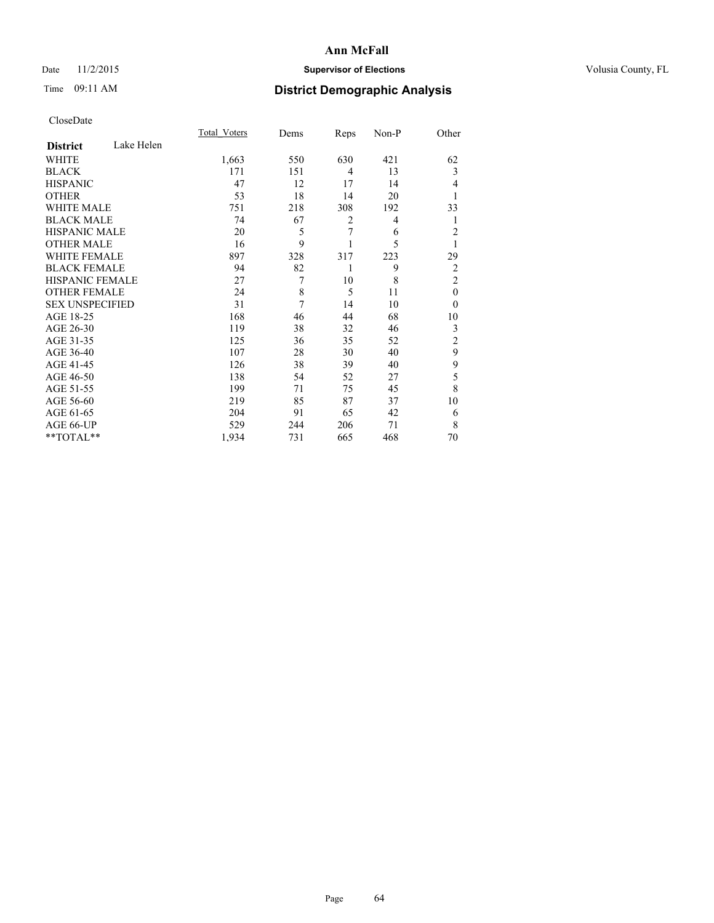### Date 11/2/2015 **Supervisor of Elections Supervisor of Elections** Volusia County, FL

# Time 09:11 AM **District Demographic Analysis**

|                        |            | <b>Total Voters</b> | Dems | Reps | Non-P | Other          |
|------------------------|------------|---------------------|------|------|-------|----------------|
| <b>District</b>        | Lake Helen |                     |      |      |       |                |
| WHITE                  |            | 1,663               | 550  | 630  | 421   | 62             |
| <b>BLACK</b>           |            | 171                 | 151  | 4    | 13    | 3              |
| <b>HISPANIC</b>        |            | 47                  | 12   | 17   | 14    | $\overline{4}$ |
| <b>OTHER</b>           |            | 53                  | 18   | 14   | 20    |                |
| WHITE MALE             |            | 751                 | 218  | 308  | 192   | 33             |
| <b>BLACK MALE</b>      |            | 74                  | 67   | 2    | 4     | 1              |
| <b>HISPANIC MALE</b>   |            | 20                  | 5    | 7    | 6     | $\overline{2}$ |
| <b>OTHER MALE</b>      |            | 16                  | 9    | 1    | 5     | 1              |
| <b>WHITE FEMALE</b>    |            | 897                 | 328  | 317  | 223   | 29             |
| <b>BLACK FEMALE</b>    |            | 94                  | 82   | 1    | 9     | $\overline{2}$ |
| <b>HISPANIC FEMALE</b> |            | 27                  | 7    | 10   | 8     | $\overline{2}$ |
| <b>OTHER FEMALE</b>    |            | 24                  | 8    | 5    | 11    | $\theta$       |
| <b>SEX UNSPECIFIED</b> |            | 31                  | 7    | 14   | 10    | $\theta$       |
| AGE 18-25              |            | 168                 | 46   | 44   | 68    | 10             |
| AGE 26-30              |            | 119                 | 38   | 32   | 46    | 3              |
| AGE 31-35              |            | 125                 | 36   | 35   | 52    | $\overline{c}$ |
| AGE 36-40              |            | 107                 | 28   | 30   | 40    | 9              |
| AGE 41-45              |            | 126                 | 38   | 39   | 40    | 9              |
| AGE 46-50              |            | 138                 | 54   | 52   | 27    | 5              |
| AGE 51-55              |            | 199                 | 71   | 75   | 45    | 8              |
| AGE 56-60              |            | 219                 | 85   | 87   | 37    | 10             |
| AGE 61-65              |            | 204                 | 91   | 65   | 42    | 6              |
| AGE 66-UP              |            | 529                 | 244  | 206  | 71    | 8              |
| **TOTAL**              |            | 1,934               | 731  | 665  | 468   | 70             |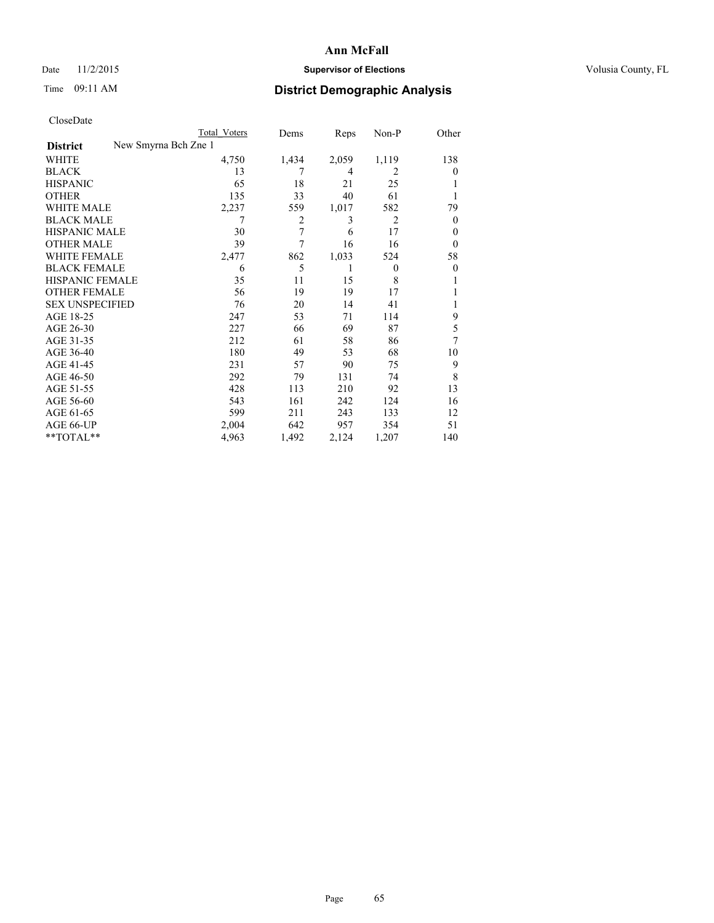### Date 11/2/2015 **Supervisor of Elections Supervisor of Elections** Volusia County, FL

| CloseDate              |                      |                     |       |       |                |                |
|------------------------|----------------------|---------------------|-------|-------|----------------|----------------|
|                        |                      | <b>Total Voters</b> | Dems  | Reps  | $Non-P$        | Other          |
| <b>District</b>        | New Smyrna Bch Zne 1 |                     |       |       |                |                |
| <b>WHITE</b>           |                      | 4,750               | 1,434 | 2,059 | 1,119          | 138            |
| <b>BLACK</b>           |                      | 13                  | 7     | 4     | 2              | $\theta$       |
| <b>HISPANIC</b>        |                      | 65                  | 18    | 21    | 25             | 1              |
| <b>OTHER</b>           |                      | 135                 | 33    | 40    | 61             | 1              |
| WHITE MALE             |                      | 2,237               | 559   | 1,017 | 582            | 79             |
| <b>BLACK MALE</b>      |                      | 7                   | 2     | 3     | $\overline{2}$ | $\mathbf{0}$   |
| <b>HISPANIC MALE</b>   |                      | 30                  | 7     | 6     | 17             | $\theta$       |
| <b>OTHER MALE</b>      |                      | 39                  | 7     | 16    | 16             | $\theta$       |
| <b>WHITE FEMALE</b>    |                      | 2,477               | 862   | 1,033 | 524            | 58             |
| <b>BLACK FEMALE</b>    |                      | 6                   | 5     | 1     | $\theta$       | $\mathbf{0}$   |
| <b>HISPANIC FEMALE</b> |                      | 35                  | 11    | 15    | 8              | 1              |
| <b>OTHER FEMALE</b>    |                      | 56                  | 19    | 19    | 17             | 1              |
| <b>SEX UNSPECIFIED</b> |                      | 76                  | 20    | 14    | 41             | 1              |
| AGE 18-25              |                      | 247                 | 53    | 71    | 114            | 9              |
| AGE 26-30              |                      | 227                 | 66    | 69    | 87             | 5              |
| AGE 31-35              |                      | 212                 | 61    | 58    | 86             | $\overline{7}$ |
| AGE 36-40              |                      | 180                 | 49    | 53    | 68             | 10             |
| AGE 41-45              |                      | 231                 | 57    | 90    | 75             | 9              |
| AGE 46-50              |                      | 292                 | 79    | 131   | 74             | 8              |
| AGE 51-55              |                      | 428                 | 113   | 210   | 92             | 13             |
| AGE 56-60              |                      | 543                 | 161   | 242   | 124            | 16             |
| AGE 61-65              |                      | 599                 | 211   | 243   | 133            | 12             |
| AGE 66-UP              |                      | 2,004               | 642   | 957   | 354            | 51             |
| **TOTAL**              |                      | 4,963               | 1,492 | 2,124 | 1,207          | 140            |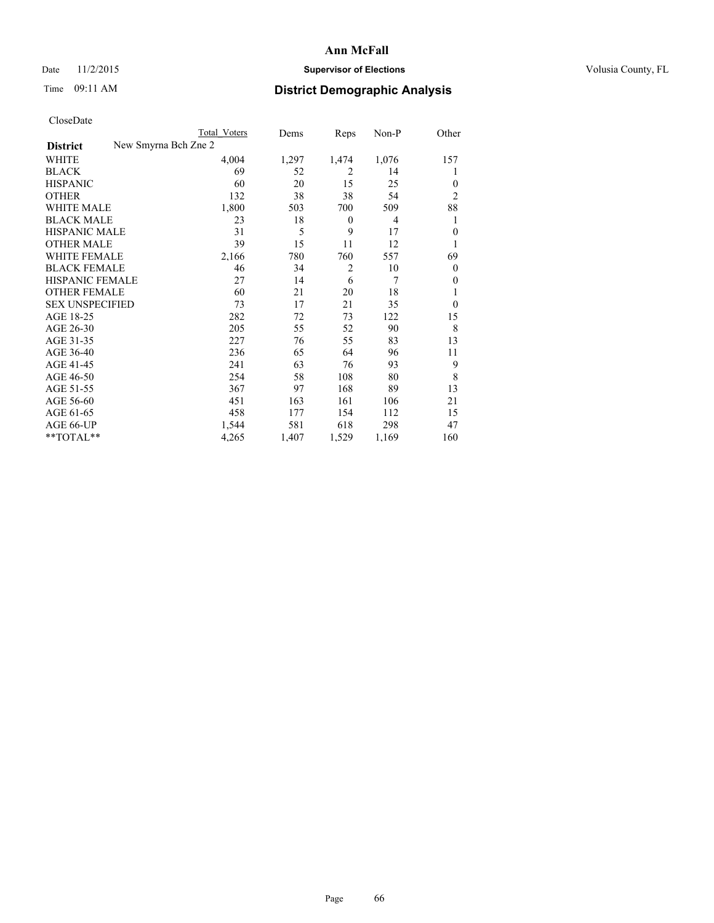### Date 11/2/2015 **Supervisor of Elections Supervisor of Elections** Volusia County, FL

|                        | Total Voters         | Dems  | Reps             | $Non-P$ | Other          |
|------------------------|----------------------|-------|------------------|---------|----------------|
| <b>District</b>        | New Smyrna Bch Zne 2 |       |                  |         |                |
| WHITE                  | 4,004                | 1,297 | 1,474            | 1,076   | 157            |
| <b>BLACK</b>           | 69                   | 52    | 2                | 14      | 1              |
| <b>HISPANIC</b>        | 60                   | 20    | 15               | 25      | $\theta$       |
| <b>OTHER</b>           | 132                  | 38    | 38               | 54      | $\overline{2}$ |
| <b>WHITE MALE</b>      | 1,800                | 503   | 700              | 509     | 88             |
| <b>BLACK MALE</b>      | 23                   | 18    | $\boldsymbol{0}$ | 4       | 1              |
| <b>HISPANIC MALE</b>   | 31                   | 5     | 9                | 17      | $\mathbf{0}$   |
| <b>OTHER MALE</b>      | 39                   | 15    | 11               | 12      | 1              |
| <b>WHITE FEMALE</b>    | 2,166                | 780   | 760              | 557     | 69             |
| <b>BLACK FEMALE</b>    | 46                   | 34    | $\overline{2}$   | 10      | $\Omega$       |
| HISPANIC FEMALE        | 27                   | 14    | 6                | 7       | $\theta$       |
| <b>OTHER FEMALE</b>    | 60                   | 21    | 20               | 18      | 1              |
| <b>SEX UNSPECIFIED</b> | 73                   | 17    | 21               | 35      | $\theta$       |
| AGE 18-25              | 282                  | 72    | 73               | 122     | 15             |
| AGE 26-30              | 205                  | 55    | 52               | 90      | 8              |
| AGE 31-35              | 227                  | 76    | 55               | 83      | 13             |
| AGE 36-40              | 236                  | 65    | 64               | 96      | 11             |
| AGE 41-45              | 241                  | 63    | 76               | 93      | 9              |
| AGE 46-50              | 254                  | 58    | 108              | 80      | 8              |
| AGE 51-55              | 367                  | 97    | 168              | 89      | 13             |
| AGE 56-60              | 451                  | 163   | 161              | 106     | 21             |
| AGE 61-65              | 458                  | 177   | 154              | 112     | 15             |
| AGE 66-UP              | 1,544                | 581   | 618              | 298     | 47             |
| **TOTAL**              | 4,265                | 1,407 | 1,529            | 1,169   | 160            |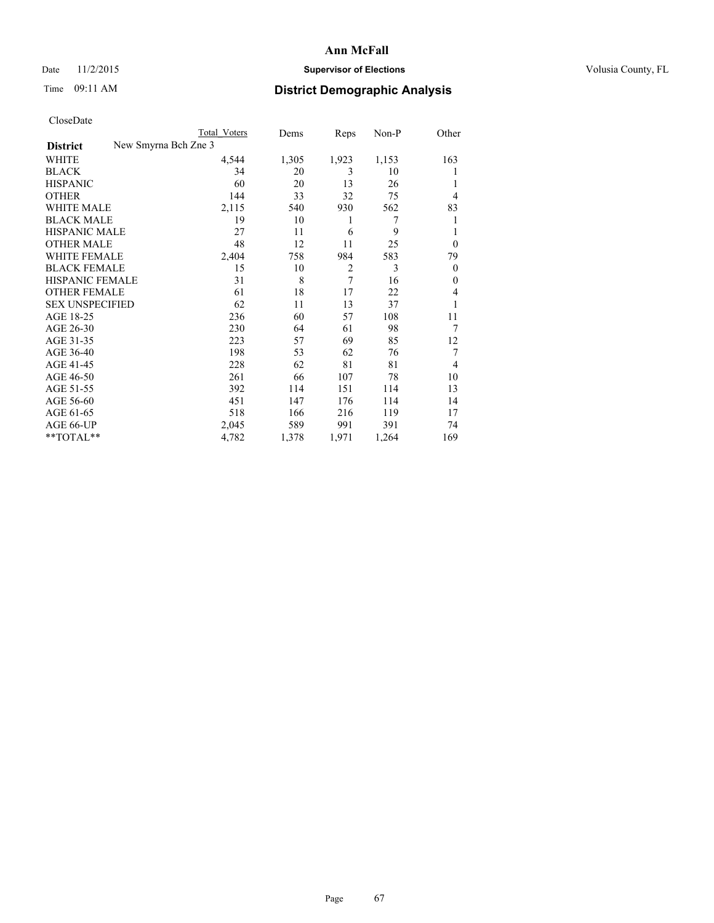# Date 11/2/2015 **Supervisor of Elections Supervisor of Elections** Volusia County, FL

|                        | <b>Total Voters</b>  | Dems  | Reps           | Non-P | Other          |
|------------------------|----------------------|-------|----------------|-------|----------------|
| <b>District</b>        | New Smyrna Bch Zne 3 |       |                |       |                |
| WHITE                  | 4,544                | 1,305 | 1,923          | 1,153 | 163            |
| <b>BLACK</b>           | 34                   | 20    | 3              | 10    |                |
| <b>HISPANIC</b>        | 60                   | 20    | 13             | 26    |                |
| <b>OTHER</b>           | 144                  | 33    | 32             | 75    | $\overline{4}$ |
| <b>WHITE MALE</b>      | 2,115                | 540   | 930            | 562   | 83             |
| <b>BLACK MALE</b>      | 19                   | 10    | 1              | 7     |                |
| <b>HISPANIC MALE</b>   | 27                   | 11    | 6              | 9     |                |
| <b>OTHER MALE</b>      | 48                   | 12    | 11             | 25    | $\overline{0}$ |
| <b>WHITE FEMALE</b>    | 2,404                | 758   | 984            | 583   | 79             |
| <b>BLACK FEMALE</b>    | 15                   | 10    | $\overline{2}$ | 3     | $\overline{0}$ |
| <b>HISPANIC FEMALE</b> | 31                   | 8     | 7              | 16    | $\theta$       |
| <b>OTHER FEMALE</b>    | 61                   | 18    | 17             | 22    | 4              |
| <b>SEX UNSPECIFIED</b> | 62                   | 11    | 13             | 37    |                |
| AGE 18-25              | 236                  | 60    | 57             | 108   | 11             |
| AGE 26-30              | 230                  | 64    | 61             | 98    | 7              |
| AGE 31-35              | 223                  | 57    | 69             | 85    | 12             |
| AGE 36-40              | 198                  | 53    | 62             | 76    | 7              |
| AGE 41-45              | 228                  | 62    | 81             | 81    | 4              |
| AGE 46-50              | 261                  | 66    | 107            | 78    | 10             |
| AGE 51-55              | 392                  | 114   | 151            | 114   | 13             |
| AGE 56-60              | 451                  | 147   | 176            | 114   | 14             |
| AGE 61-65              | 518                  | 166   | 216            | 119   | 17             |
| AGE 66-UP              | 2,045                | 589   | 991            | 391   | 74             |
| $*$ TOTAL $*$          | 4,782                | 1,378 | 1,971          | 1,264 | 169            |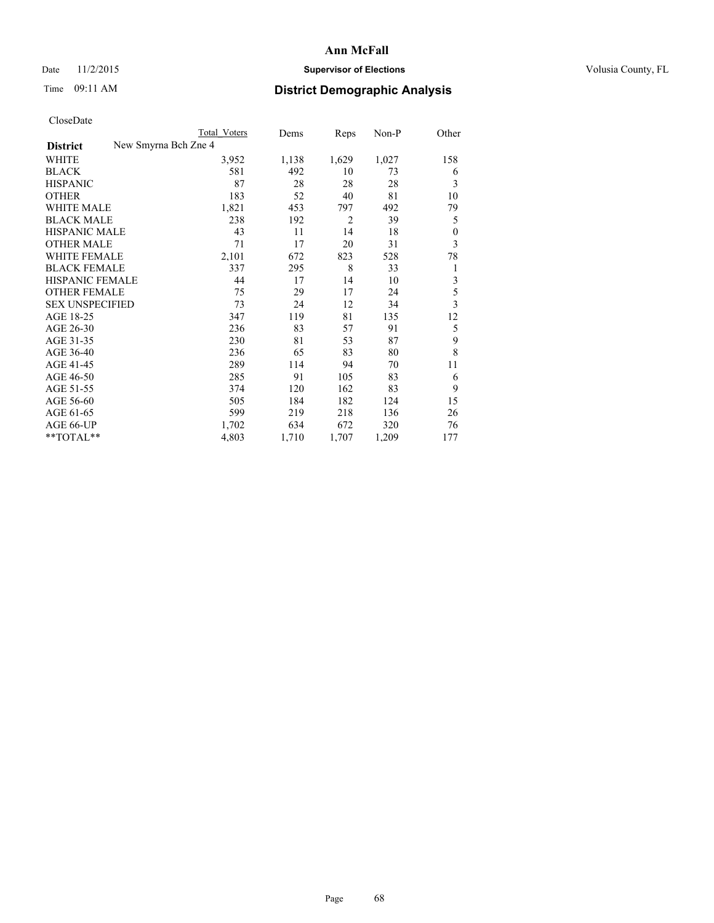### Date 11/2/2015 **Supervisor of Elections Supervisor of Elections** Volusia County, FL

|                                         | <b>Total Voters</b> | Dems  | Reps           | Non-P | Other            |
|-----------------------------------------|---------------------|-------|----------------|-------|------------------|
| New Smyrna Bch Zne 4<br><b>District</b> |                     |       |                |       |                  |
| WHITE                                   | 3,952               | 1,138 | 1,629          | 1,027 | 158              |
| <b>BLACK</b>                            | 581                 | 492   | 10             | 73    | 6                |
| <b>HISPANIC</b>                         | 87                  | 28    | 28             | 28    | 3                |
| <b>OTHER</b>                            | 183                 | 52    | 40             | 81    | 10               |
| <b>WHITE MALE</b>                       | 1,821               | 453   | 797            | 492   | 79               |
| <b>BLACK MALE</b>                       | 238                 | 192   | $\overline{2}$ | 39    | 5                |
| <b>HISPANIC MALE</b>                    | 43                  | 11    | 14             | 18    | $\boldsymbol{0}$ |
| <b>OTHER MALE</b>                       | 71                  | 17    | 20             | 31    | 3                |
| <b>WHITE FEMALE</b>                     | 2,101               | 672   | 823            | 528   | 78               |
| <b>BLACK FEMALE</b>                     | 337                 | 295   | 8              | 33    | 1                |
| <b>HISPANIC FEMALE</b>                  | 44                  | 17    | 14             | 10    | 3                |
| <b>OTHER FEMALE</b>                     | 75                  | 29    | 17             | 24    | 5                |
| <b>SEX UNSPECIFIED</b>                  | 73                  | 24    | 12             | 34    | 3                |
| AGE 18-25                               | 347                 | 119   | 81             | 135   | 12               |
| AGE 26-30                               | 236                 | 83    | 57             | 91    | 5                |
| AGE 31-35                               | 230                 | 81    | 53             | 87    | 9                |
| AGE 36-40                               | 236                 | 65    | 83             | 80    | 8                |
| AGE 41-45                               | 289                 | 114   | 94             | 70    | 11               |
| AGE 46-50                               | 285                 | 91    | 105            | 83    | 6                |
| AGE 51-55                               | 374                 | 120   | 162            | 83    | 9                |
| AGE 56-60                               | 505                 | 184   | 182            | 124   | 15               |
| AGE 61-65                               | 599                 | 219   | 218            | 136   | 26               |
| AGE 66-UP                               | 1,702               | 634   | 672            | 320   | 76               |
| **TOTAL**                               | 4,803               | 1,710 | 1,707          | 1,209 | 177              |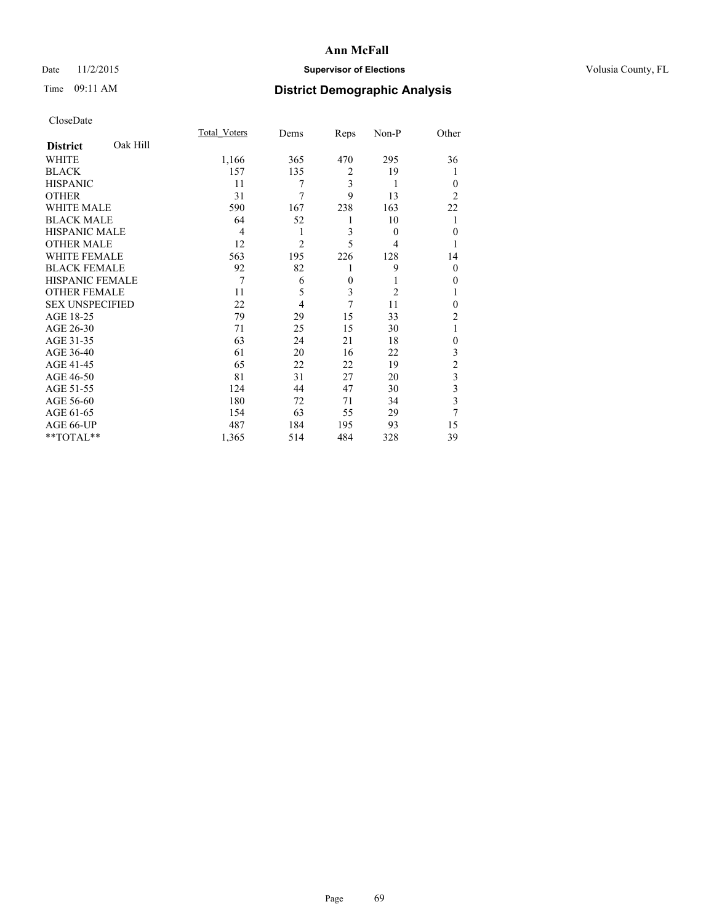### Date 11/2/2015 **Supervisor of Elections Supervisor of Elections** Volusia County, FL

# Time 09:11 AM **District Demographic Analysis**

|                        |          | <b>Total Voters</b> | Dems           | Reps           | Non-P    | Other          |
|------------------------|----------|---------------------|----------------|----------------|----------|----------------|
| <b>District</b>        | Oak Hill |                     |                |                |          |                |
| <b>WHITE</b>           |          | 1,166               | 365            | 470            | 295      | 36             |
| <b>BLACK</b>           |          | 157                 | 135            | $\overline{2}$ | 19       | 1              |
| <b>HISPANIC</b>        |          | 11                  | 7              | 3              | 1        | $\Omega$       |
| <b>OTHER</b>           |          | 31                  | 7              | 9              | 13       | $\overline{2}$ |
| WHITE MALE             |          | 590                 | 167            | 238            | 163      | 22             |
| <b>BLACK MALE</b>      |          | 64                  | 52             | 1              | 10       | 1              |
| <b>HISPANIC MALE</b>   |          | 4                   | 1              | 3              | $\theta$ | $\overline{0}$ |
| <b>OTHER MALE</b>      |          | 12                  | $\overline{c}$ | 5              | 4        |                |
| <b>WHITE FEMALE</b>    |          | 563                 | 195            | 226            | 128      | 14             |
| <b>BLACK FEMALE</b>    |          | 92                  | 82             | 1              | 9        | $\Omega$       |
| <b>HISPANIC FEMALE</b> |          | 7                   | 6              | $\mathbf{0}$   |          | $\theta$       |
| <b>OTHER FEMALE</b>    |          | 11                  | 5              | 3              | 2        |                |
| <b>SEX UNSPECIFIED</b> |          | 22                  | 4              | 7              | 11       | $\theta$       |
| AGE 18-25              |          | 79                  | 29             | 15             | 33       | $\overline{2}$ |
| AGE 26-30              |          | 71                  | 25             | 15             | 30       | 1              |
| AGE 31-35              |          | 63                  | 24             | 21             | 18       | $\theta$       |
| AGE 36-40              |          | 61                  | 20             | 16             | 22       | 3              |
| AGE 41-45              |          | 65                  | 22             | 22             | 19       | $\overline{c}$ |
| AGE 46-50              |          | 81                  | 31             | 27             | 20       | 3              |
| AGE 51-55              |          | 124                 | 44             | 47             | 30       | 3              |
| AGE 56-60              |          | 180                 | 72             | 71             | 34       | 3              |
| AGE 61-65              |          | 154                 | 63             | 55             | 29       | 7              |
| AGE 66-UP              |          | 487                 | 184            | 195            | 93       | 15             |
| **TOTAL**              |          | 1,365               | 514            | 484            | 328      | 39             |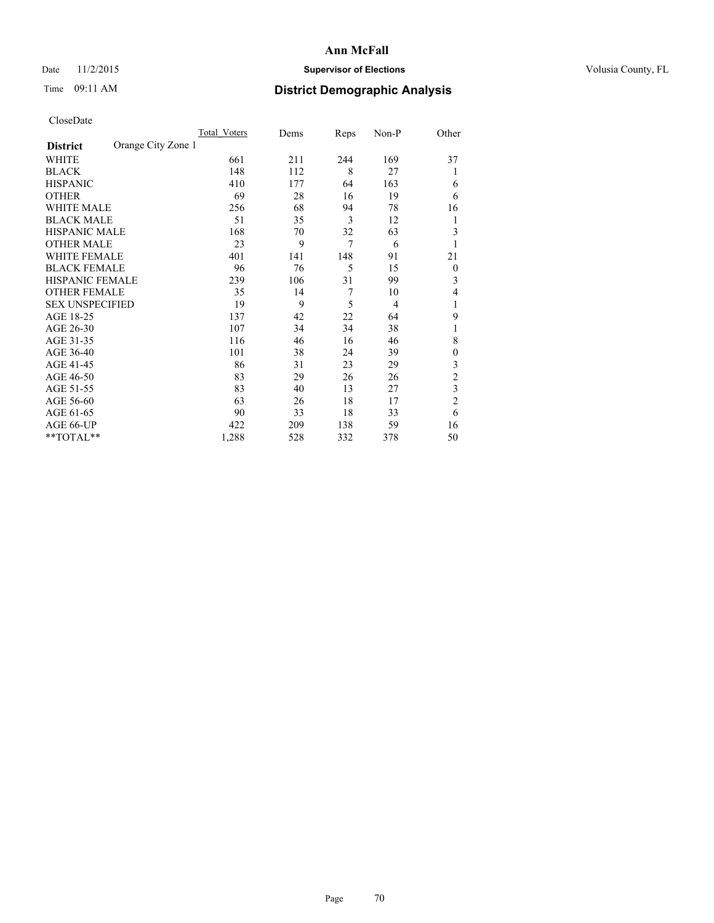### Date 11/2/2015 **Supervisor of Elections Supervisor of Elections** Volusia County, FL

# Time 09:11 AM **District Demographic Analysis**

|                        |                    | <b>Total Voters</b> | Dems | Reps | Non-P          | Other          |
|------------------------|--------------------|---------------------|------|------|----------------|----------------|
| <b>District</b>        | Orange City Zone 1 |                     |      |      |                |                |
| WHITE                  |                    | 661                 | 211  | 244  | 169            | 37             |
| <b>BLACK</b>           |                    | 148                 | 112  | 8    | 27             | 1              |
| <b>HISPANIC</b>        |                    | 410                 | 177  | 64   | 163            | 6              |
| <b>OTHER</b>           |                    | 69                  | 28   | 16   | 19             | 6              |
| WHITE MALE             |                    | 256                 | 68   | 94   | 78             | 16             |
| <b>BLACK MALE</b>      |                    | 51                  | 35   | 3    | 12             | 1              |
| <b>HISPANIC MALE</b>   |                    | 168                 | 70   | 32   | 63             | 3              |
| <b>OTHER MALE</b>      |                    | 23                  | 9    | 7    | 6              | 1              |
| <b>WHITE FEMALE</b>    |                    | 401                 | 141  | 148  | 91             | 21             |
| <b>BLACK FEMALE</b>    |                    | 96                  | 76   | 5    | 15             | $\overline{0}$ |
| <b>HISPANIC FEMALE</b> |                    | 239                 | 106  | 31   | 99             | 3              |
| <b>OTHER FEMALE</b>    |                    | 35                  | 14   | 7    | 10             | 4              |
| <b>SEX UNSPECIFIED</b> |                    | 19                  | 9    | 5    | $\overline{4}$ | 1              |
| AGE 18-25              |                    | 137                 | 42   | 22   | 64             | 9              |
| AGE 26-30              |                    | 107                 | 34   | 34   | 38             | 1              |
| AGE 31-35              |                    | 116                 | 46   | 16   | 46             | 8              |
| AGE 36-40              |                    | 101                 | 38   | 24   | 39             | $\mathbf{0}$   |
| AGE 41-45              |                    | 86                  | 31   | 23   | 29             | 3              |
| AGE 46-50              |                    | 83                  | 29   | 26   | 26             | $\overline{c}$ |
| AGE 51-55              |                    | 83                  | 40   | 13   | 27             | 3              |
| AGE 56-60              |                    | 63                  | 26   | 18   | 17             | $\overline{c}$ |
| AGE 61-65              |                    | 90                  | 33   | 18   | 33             | 6              |
| AGE 66-UP              |                    | 422                 | 209  | 138  | 59             | 16             |
| **TOTAL**              |                    | 1,288               | 528  | 332  | 378            | 50             |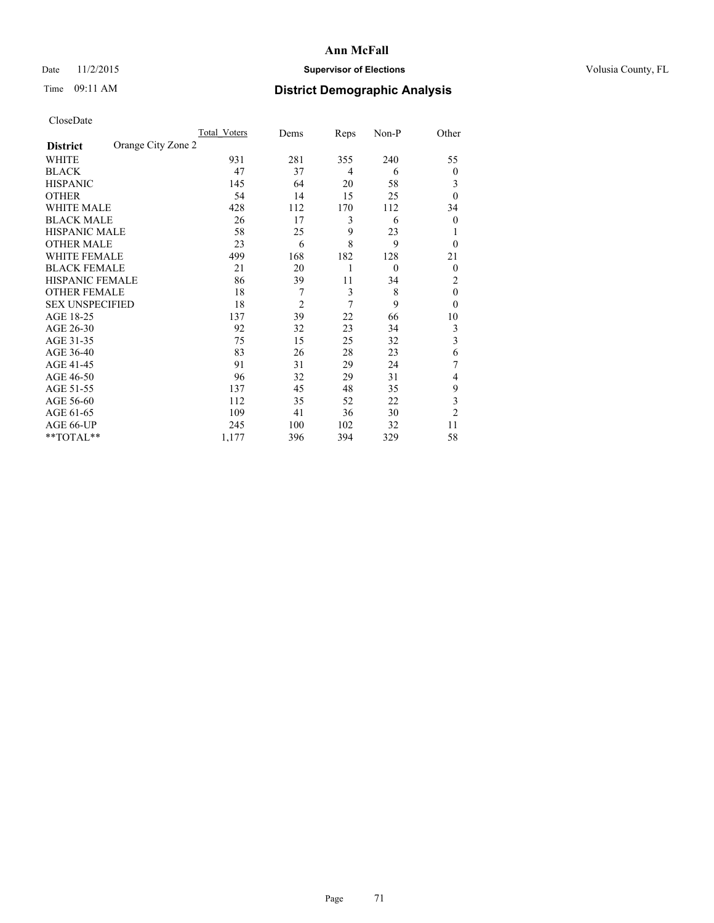### Date 11/2/2015 **Supervisor of Elections Supervisor of Elections** Volusia County, FL

# Time 09:11 AM **District Demographic Analysis**

|                        |                    | Total Voters | Dems           | Reps | Non-P    | Other          |
|------------------------|--------------------|--------------|----------------|------|----------|----------------|
| <b>District</b>        | Orange City Zone 2 |              |                |      |          |                |
| WHITE                  |                    | 931          | 281            | 355  | 240      | 55             |
| <b>BLACK</b>           |                    | 47           | 37             | 4    | 6        | $\theta$       |
| <b>HISPANIC</b>        |                    | 145          | 64             | 20   | 58       | 3              |
| <b>OTHER</b>           |                    | 54           | 14             | 15   | 25       | $\theta$       |
| WHITE MALE             |                    | 428          | 112            | 170  | 112      | 34             |
| <b>BLACK MALE</b>      |                    | 26           | 17             | 3    | 6        | $\theta$       |
| <b>HISPANIC MALE</b>   |                    | 58           | 25             | 9    | 23       | 1              |
| <b>OTHER MALE</b>      |                    | 23           | 6              | 8    | 9        | $\theta$       |
| <b>WHITE FEMALE</b>    |                    | 499          | 168            | 182  | 128      | 21             |
| <b>BLACK FEMALE</b>    |                    | 21           | 20             | 1    | $\theta$ | $\theta$       |
| <b>HISPANIC FEMALE</b> |                    | 86           | 39             | 11   | 34       | 2              |
| <b>OTHER FEMALE</b>    |                    | 18           | 7              | 3    | 8        | $\theta$       |
| <b>SEX UNSPECIFIED</b> |                    | 18           | $\overline{c}$ | 7    | 9        | $\theta$       |
| AGE 18-25              |                    | 137          | 39             | 22   | 66       | 10             |
| AGE 26-30              |                    | 92           | 32             | 23   | 34       | 3              |
| AGE 31-35              |                    | 75           | 15             | 25   | 32       | 3              |
| AGE 36-40              |                    | 83           | 26             | 28   | 23       | 6              |
| AGE 41-45              |                    | 91           | 31             | 29   | 24       | 7              |
| AGE 46-50              |                    | 96           | 32             | 29   | 31       | 4              |
| AGE 51-55              |                    | 137          | 45             | 48   | 35       | 9              |
| AGE 56-60              |                    | 112          | 35             | 52   | 22       | 3              |
| AGE 61-65              |                    | 109          | 41             | 36   | 30       | $\overline{2}$ |
| AGE 66-UP              |                    | 245          | 100            | 102  | 32       | 11             |
| **TOTAL**              |                    | 1,177        | 396            | 394  | 329      | 58             |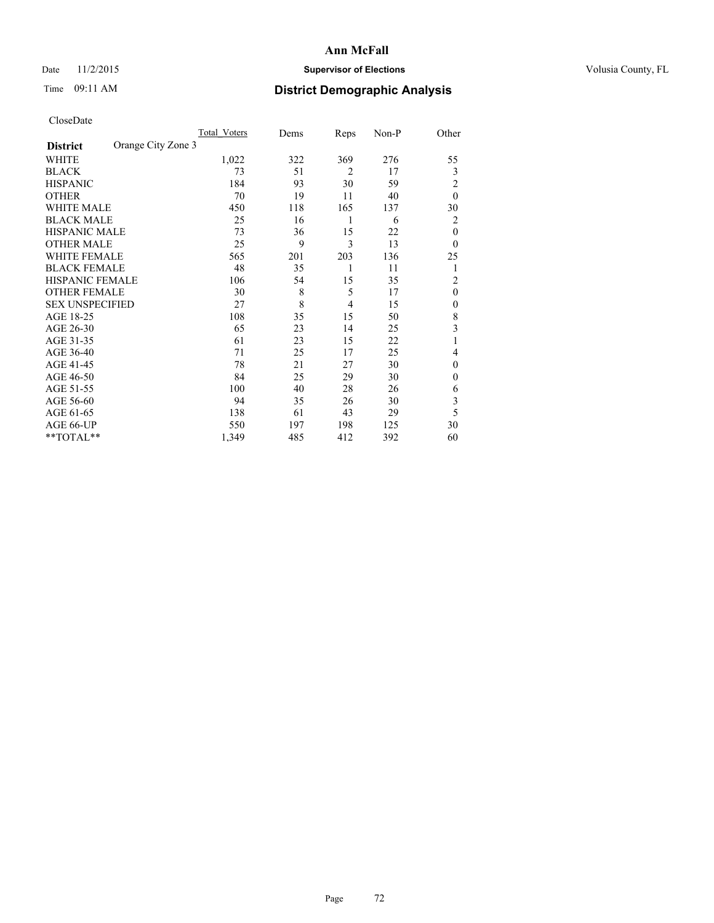### Date 11/2/2015 **Supervisor of Elections Supervisor of Elections** Volusia County, FL

# Time 09:11 AM **District Demographic Analysis**

|                        |                    | <b>Total Voters</b> | Dems | Reps           | Non-P | Other          |
|------------------------|--------------------|---------------------|------|----------------|-------|----------------|
| <b>District</b>        | Orange City Zone 3 |                     |      |                |       |                |
| WHITE                  |                    | 1,022               | 322  | 369            | 276   | 55             |
| <b>BLACK</b>           |                    | 73                  | 51   | $\overline{2}$ | 17    | 3              |
| <b>HISPANIC</b>        |                    | 184                 | 93   | 30             | 59    | $\overline{2}$ |
| <b>OTHER</b>           |                    | 70                  | 19   | 11             | 40    | $\theta$       |
| WHITE MALE             |                    | 450                 | 118  | 165            | 137   | 30             |
| <b>BLACK MALE</b>      |                    | 25                  | 16   | 1              | 6     | 2              |
| <b>HISPANIC MALE</b>   |                    | 73                  | 36   | 15             | 22    | $\theta$       |
| <b>OTHER MALE</b>      |                    | 25                  | 9    | 3              | 13    | $\theta$       |
| WHITE FEMALE           |                    | 565                 | 201  | 203            | 136   | 25             |
| <b>BLACK FEMALE</b>    |                    | 48                  | 35   | 1              | 11    | 1              |
| <b>HISPANIC FEMALE</b> |                    | 106                 | 54   | 15             | 35    | $\overline{2}$ |
| <b>OTHER FEMALE</b>    |                    | 30                  | 8    | 5              | 17    | $\theta$       |
| <b>SEX UNSPECIFIED</b> |                    | 27                  | 8    | 4              | 15    | $\mathbf{0}$   |
| AGE 18-25              |                    | 108                 | 35   | 15             | 50    | 8              |
| AGE 26-30              |                    | 65                  | 23   | 14             | 25    | 3              |
| AGE 31-35              |                    | 61                  | 23   | 15             | 22    |                |
| AGE 36-40              |                    | 71                  | 25   | 17             | 25    | 4              |
| AGE 41-45              |                    | 78                  | 21   | 27             | 30    | $\mathbf{0}$   |
| AGE 46-50              |                    | 84                  | 25   | 29             | 30    | $\Omega$       |
| AGE 51-55              |                    | 100                 | 40   | 28             | 26    | 6              |
| AGE 56-60              |                    | 94                  | 35   | 26             | 30    | 3              |
| AGE 61-65              |                    | 138                 | 61   | 43             | 29    | 5              |
| AGE 66-UP              |                    | 550                 | 197  | 198            | 125   | 30             |
| $*$ TOTAL $**$         |                    | 1,349               | 485  | 412            | 392   | 60             |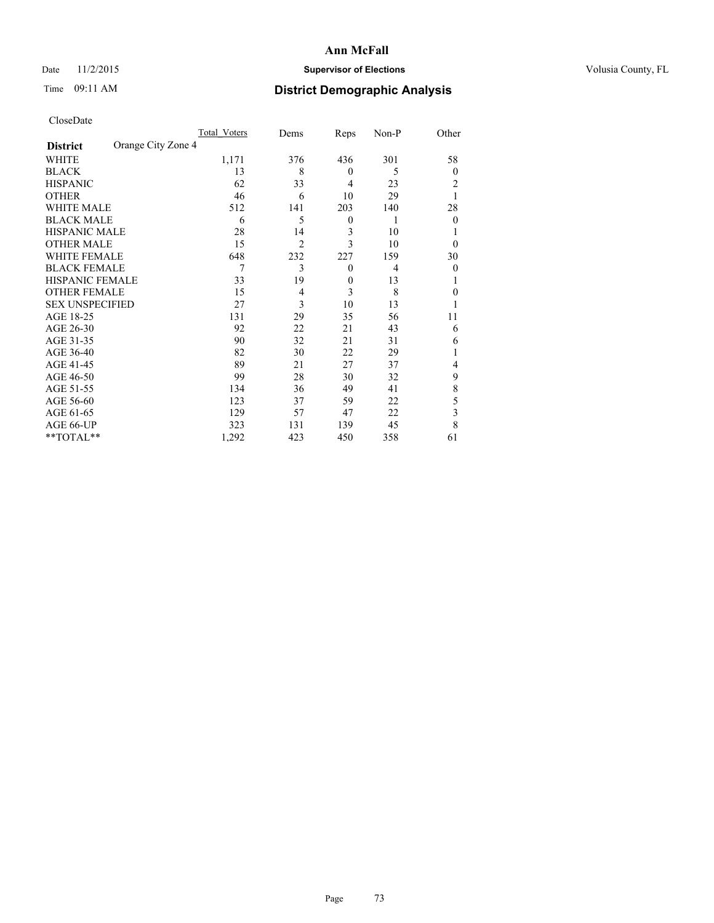# Date 11/2/2015 **Supervisor of Elections Supervisor of Elections** Volusia County, FL

# Time 09:11 AM **District Demographic Analysis**

|                                       | Total Voters | Dems           | Reps             | Non-P          | Other    |
|---------------------------------------|--------------|----------------|------------------|----------------|----------|
| Orange City Zone 4<br><b>District</b> |              |                |                  |                |          |
| WHITE                                 | 1,171        | 376            | 436              | 301            | 58       |
| <b>BLACK</b>                          | 13           | 8              | $\overline{0}$   | 5              | $\theta$ |
| <b>HISPANIC</b>                       | 62           | 33             | 4                | 23             | 2        |
| <b>OTHER</b>                          | 46           | 6              | 10               | 29             |          |
| WHITE MALE                            | 512          | 141            | 203              | 140            | 28       |
| <b>BLACK MALE</b>                     | 6            | 5              | $\boldsymbol{0}$ | 1              | $\theta$ |
| <b>HISPANIC MALE</b>                  | 28           | 14             | 3                | 10             |          |
| <b>OTHER MALE</b>                     | 15           | $\overline{2}$ | 3                | 10             | $\theta$ |
| <b>WHITE FEMALE</b>                   | 648          | 232            | 227              | 159            | 30       |
| <b>BLACK FEMALE</b>                   | 7            | 3              | $\theta$         | $\overline{4}$ | $\theta$ |
| <b>HISPANIC FEMALE</b>                | 33           | 19             | $\mathbf{0}$     | 13             |          |
| <b>OTHER FEMALE</b>                   | 15           | 4              | 3                | 8              | 0        |
| <b>SEX UNSPECIFIED</b>                | 27           | 3              | 10               | 13             |          |
| AGE 18-25                             | 131          | 29             | 35               | 56             | 11       |
| AGE 26-30                             | 92           | 22             | 21               | 43             | 6        |
| AGE 31-35                             | 90           | 32             | 21               | 31             | 6        |
| AGE 36-40                             | 82           | 30             | 22               | 29             |          |
| AGE 41-45                             | 89           | 21             | 27               | 37             | 4        |
| AGE 46-50                             | 99           | 28             | 30               | 32             | 9        |
| AGE 51-55                             | 134          | 36             | 49               | 41             | 8        |
| AGE 56-60                             | 123          | 37             | 59               | 22             | 5        |
| AGE 61-65                             | 129          | 57             | 47               | 22             | 3        |
| AGE 66-UP                             | 323          | 131            | 139              | 45             | 8        |
| **TOTAL**                             | 1,292        | 423            | 450              | 358            | 61       |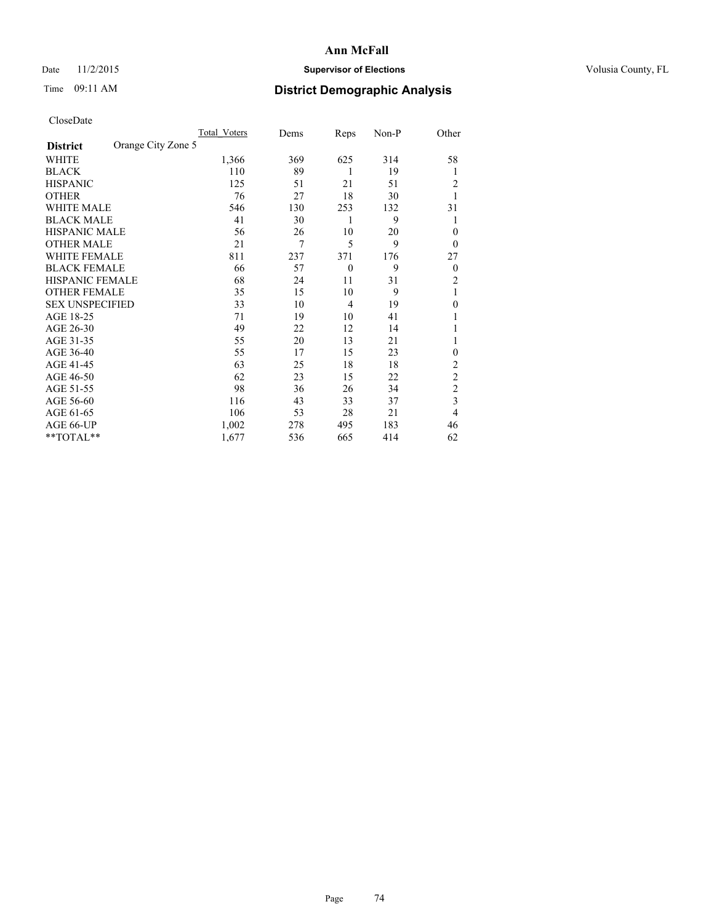# Date 11/2/2015 **Supervisor of Elections Supervisor of Elections** Volusia County, FL

# Time 09:11 AM **District Demographic Analysis**

|                        |                    | Total Voters | Dems | Reps           | Non-P | Other          |
|------------------------|--------------------|--------------|------|----------------|-------|----------------|
| <b>District</b>        | Orange City Zone 5 |              |      |                |       |                |
| WHITE                  |                    | 1,366        | 369  | 625            | 314   | 58             |
| <b>BLACK</b>           |                    | 110          | 89   | 1              | 19    | 1              |
| <b>HISPANIC</b>        |                    | 125          | 51   | 21             | 51    | 2              |
| <b>OTHER</b>           |                    | 76           | 27   | 18             | 30    | 1              |
| WHITE MALE             |                    | 546          | 130  | 253            | 132   | 31             |
| <b>BLACK MALE</b>      |                    | 41           | 30   | 1              | 9     | 1              |
| <b>HISPANIC MALE</b>   |                    | 56           | 26   | 10             | 20    | 0              |
| <b>OTHER MALE</b>      |                    | 21           | 7    | 5              | 9     | $\theta$       |
| <b>WHITE FEMALE</b>    |                    | 811          | 237  | 371            | 176   | 27             |
| <b>BLACK FEMALE</b>    |                    | 66           | 57   | $\mathbf{0}$   | 9     | $\theta$       |
| <b>HISPANIC FEMALE</b> |                    | 68           | 24   | 11             | 31    | 2              |
| <b>OTHER FEMALE</b>    |                    | 35           | 15   | 10             | 9     | 1              |
| <b>SEX UNSPECIFIED</b> |                    | 33           | 10   | $\overline{4}$ | 19    | $\mathbf{0}$   |
| AGE 18-25              |                    | 71           | 19   | 10             | 41    |                |
| AGE 26-30              |                    | 49           | 22   | 12             | 14    | 1              |
| AGE 31-35              |                    | 55           | 20   | 13             | 21    | 1              |
| AGE 36-40              |                    | 55           | 17   | 15             | 23    | $\mathbf{0}$   |
| AGE 41-45              |                    | 63           | 25   | 18             | 18    | 2              |
| AGE 46-50              |                    | 62           | 23   | 15             | 22    | $\overline{2}$ |
| AGE 51-55              |                    | 98           | 36   | 26             | 34    | $\overline{c}$ |
| AGE 56-60              |                    | 116          | 43   | 33             | 37    | $\overline{3}$ |
| AGE 61-65              |                    | 106          | 53   | 28             | 21    | 4              |
| AGE 66-UP              |                    | 1,002        | 278  | 495            | 183   | 46             |
| **TOTAL**              |                    | 1,677        | 536  | 665            | 414   | 62             |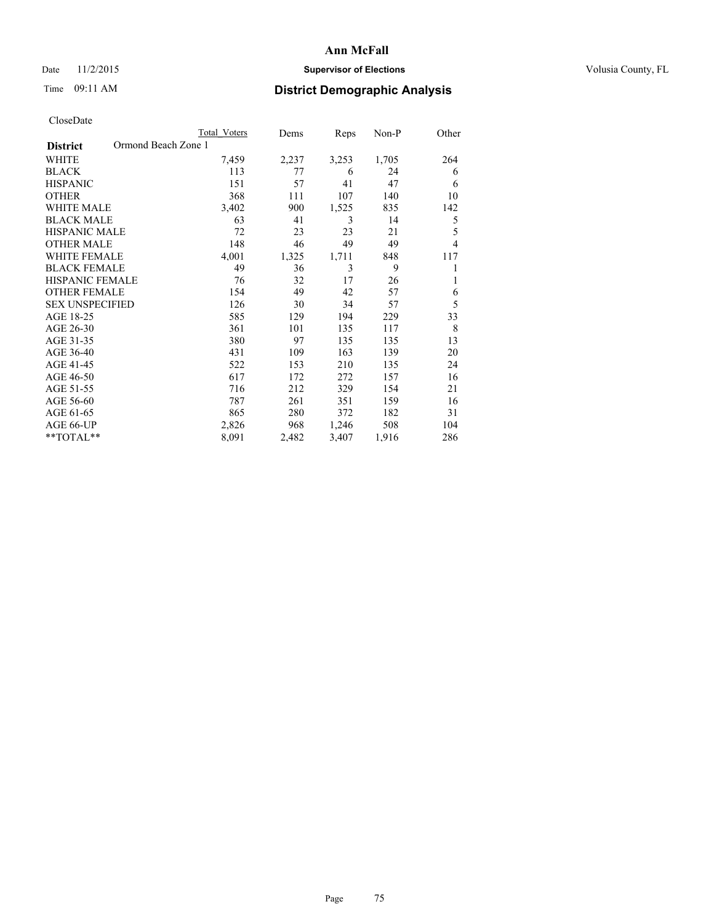# Date 11/2/2015 **Supervisor of Elections Supervisor of Elections** Volusia County, FL

# Time 09:11 AM **District Demographic Analysis**

|                                        | <b>Total Voters</b> | Dems  | Reps  | Non-P | Other |
|----------------------------------------|---------------------|-------|-------|-------|-------|
| Ormond Beach Zone 1<br><b>District</b> |                     |       |       |       |       |
| WHITE                                  | 7,459               | 2,237 | 3,253 | 1,705 | 264   |
| <b>BLACK</b>                           | 113                 | 77    | 6     | 24    | 6     |
| <b>HISPANIC</b>                        | 151                 | 57    | 41    | 47    | 6     |
| <b>OTHER</b>                           | 368                 | 111   | 107   | 140   | 10    |
| <b>WHITE MALE</b>                      | 3,402               | 900   | 1,525 | 835   | 142   |
| <b>BLACK MALE</b>                      | 63                  | 41    | 3     | 14    | 5     |
| <b>HISPANIC MALE</b>                   | 72                  | 23    | 23    | 21    | 5     |
| <b>OTHER MALE</b>                      | 148                 | 46    | 49    | 49    | 4     |
| <b>WHITE FEMALE</b>                    | 4,001               | 1,325 | 1,711 | 848   | 117   |
| <b>BLACK FEMALE</b>                    | 49                  | 36    | 3     | 9     |       |
| <b>HISPANIC FEMALE</b>                 | 76                  | 32    | 17    | 26    | 1     |
| <b>OTHER FEMALE</b>                    | 154                 | 49    | 42    | 57    | 6     |
| <b>SEX UNSPECIFIED</b>                 | 126                 | 30    | 34    | 57    | 5     |
| AGE 18-25                              | 585                 | 129   | 194   | 229   | 33    |
| AGE 26-30                              | 361                 | 101   | 135   | 117   | 8     |
| AGE 31-35                              | 380                 | 97    | 135   | 135   | 13    |
| AGE 36-40                              | 431                 | 109   | 163   | 139   | 20    |
| AGE 41-45                              | 522                 | 153   | 210   | 135   | 24    |
| AGE 46-50                              | 617                 | 172   | 272   | 157   | 16    |
| AGE 51-55                              | 716                 | 212   | 329   | 154   | 21    |
| AGE 56-60                              | 787                 | 261   | 351   | 159   | 16    |
| AGE 61-65                              | 865                 | 280   | 372   | 182   | 31    |
| AGE 66-UP                              | 2,826               | 968   | 1,246 | 508   | 104   |
| **TOTAL**                              | 8,091               | 2,482 | 3,407 | 1,916 | 286   |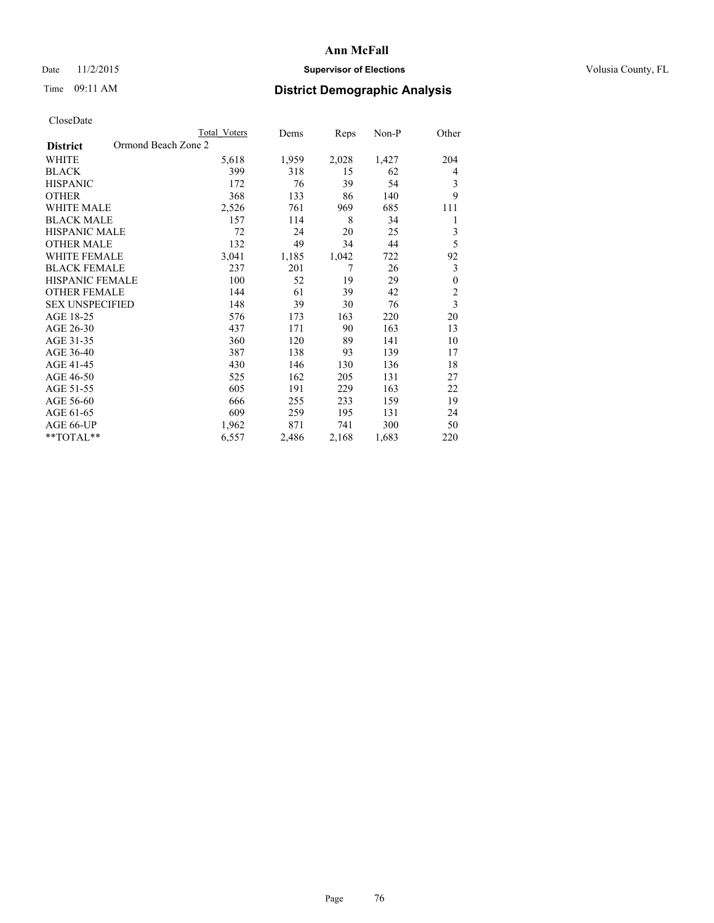# Date 11/2/2015 **Supervisor of Elections Supervisor of Elections** Volusia County, FL

# Time 09:11 AM **District Demographic Analysis**

|                                        | <b>Total Voters</b> | Dems  | Reps  | Non-P | Other                   |
|----------------------------------------|---------------------|-------|-------|-------|-------------------------|
| Ormond Beach Zone 2<br><b>District</b> |                     |       |       |       |                         |
| WHITE                                  | 5,618               | 1,959 | 2,028 | 1,427 | 204                     |
| <b>BLACK</b>                           | 399                 | 318   | 15    | 62    | $\overline{4}$          |
| <b>HISPANIC</b>                        | 172                 | 76    | 39    | 54    | 3                       |
| <b>OTHER</b>                           | 368                 | 133   | 86    | 140   | 9                       |
| <b>WHITE MALE</b>                      | 2,526               | 761   | 969   | 685   | 111                     |
| <b>BLACK MALE</b>                      | 157                 | 114   | 8     | 34    | 1                       |
| <b>HISPANIC MALE</b>                   | 72                  | 24    | 20    | 25    | 3                       |
| <b>OTHER MALE</b>                      | 132                 | 49    | 34    | 44    | 5                       |
| <b>WHITE FEMALE</b>                    | 3,041               | 1,185 | 1,042 | 722   | 92                      |
| <b>BLACK FEMALE</b>                    | 237                 | 201   | 7     | 26    | 3                       |
| <b>HISPANIC FEMALE</b>                 | 100                 | 52    | 19    | 29    | $\theta$                |
| <b>OTHER FEMALE</b>                    | 144                 | 61    | 39    | 42    | $\overline{2}$          |
| <b>SEX UNSPECIFIED</b>                 | 148                 | 39    | 30    | 76    | $\overline{\mathbf{3}}$ |
| AGE 18-25                              | 576                 | 173   | 163   | 220   | 20                      |
| AGE 26-30                              | 437                 | 171   | 90    | 163   | 13                      |
| AGE 31-35                              | 360                 | 120   | 89    | 141   | 10                      |
| AGE 36-40                              | 387                 | 138   | 93    | 139   | 17                      |
| AGE 41-45                              | 430                 | 146   | 130   | 136   | 18                      |
| AGE 46-50                              | 525                 | 162   | 205   | 131   | 27                      |
| AGE 51-55                              | 605                 | 191   | 229   | 163   | 22                      |
| AGE 56-60                              | 666                 | 255   | 233   | 159   | 19                      |
| AGE 61-65                              | 609                 | 259   | 195   | 131   | 24                      |
| AGE 66-UP                              | 1,962               | 871   | 741   | 300   | 50                      |
| **TOTAL**                              | 6,557               | 2,486 | 2,168 | 1,683 | 220                     |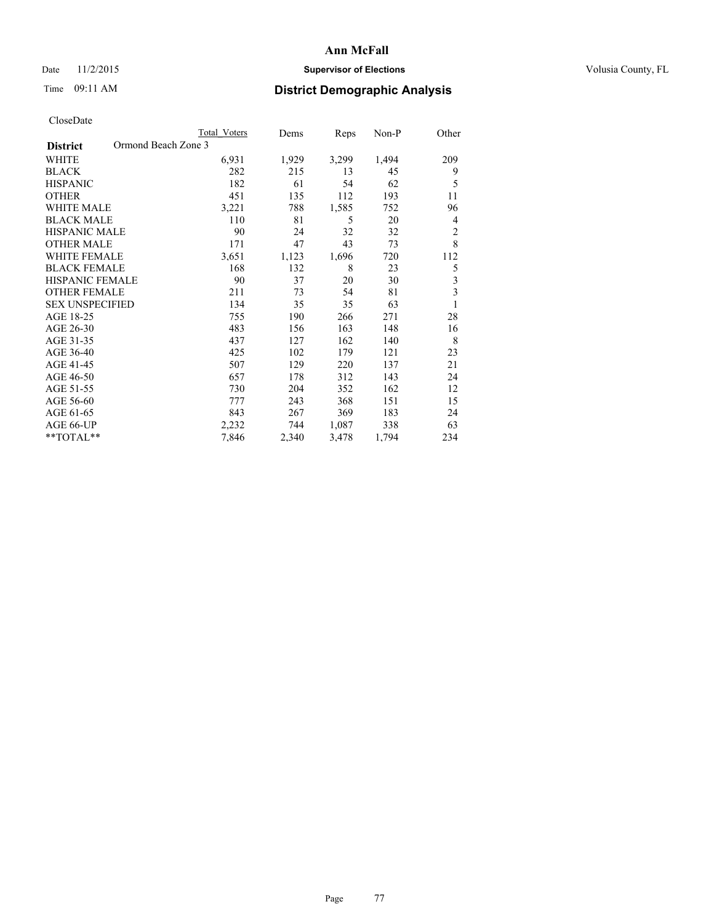# Date 11/2/2015 **Supervisor of Elections Supervisor of Elections** Volusia County, FL

# Time 09:11 AM **District Demographic Analysis**

| CloseDate |
|-----------|
|-----------|

|                                        | <b>Total Voters</b> | Dems  | Reps  | Non-P | Other                   |
|----------------------------------------|---------------------|-------|-------|-------|-------------------------|
| Ormond Beach Zone 3<br><b>District</b> |                     |       |       |       |                         |
| WHITE                                  | 6,931               | 1,929 | 3,299 | 1,494 | 209                     |
| <b>BLACK</b>                           | 282                 | 215   | 13    | 45    | 9                       |
| <b>HISPANIC</b>                        | 182                 | 61    | 54    | 62    | 5                       |
| <b>OTHER</b>                           | 451                 | 135   | 112   | 193   | 11                      |
| <b>WHITE MALE</b>                      | 3,221               | 788   | 1,585 | 752   | 96                      |
| <b>BLACK MALE</b>                      | 110                 | 81    | 5     | 20    | $\overline{4}$          |
| <b>HISPANIC MALE</b>                   | 90                  | 24    | 32    | 32    | $\overline{c}$          |
| <b>OTHER MALE</b>                      | 171                 | 47    | 43    | 73    | 8                       |
| <b>WHITE FEMALE</b>                    | 3,651               | 1,123 | 1,696 | 720   | 112                     |
| <b>BLACK FEMALE</b>                    | 168                 | 132   | 8     | 23    | 5                       |
| HISPANIC FEMALE                        | 90                  | 37    | 20    | 30    | 3                       |
| <b>OTHER FEMALE</b>                    | 211                 | 73    | 54    | 81    | $\overline{\mathbf{3}}$ |
| <b>SEX UNSPECIFIED</b>                 | 134                 | 35    | 35    | 63    | 1                       |
| AGE 18-25                              | 755                 | 190   | 266   | 271   | 28                      |
| AGE 26-30                              | 483                 | 156   | 163   | 148   | 16                      |
| AGE 31-35                              | 437                 | 127   | 162   | 140   | 8                       |
| AGE 36-40                              | 425                 | 102   | 179   | 121   | 23                      |
| AGE 41-45                              | 507                 | 129   | 220   | 137   | 21                      |
| AGE 46-50                              | 657                 | 178   | 312   | 143   | 24                      |
| AGE 51-55                              | 730                 | 204   | 352   | 162   | 12                      |
| AGE 56-60                              | 777                 | 243   | 368   | 151   | 15                      |
| AGE 61-65                              | 843                 | 267   | 369   | 183   | 24                      |
| AGE 66-UP                              | 2,232               | 744   | 1,087 | 338   | 63                      |
| **TOTAL**                              | 7,846               | 2,340 | 3,478 | 1,794 | 234                     |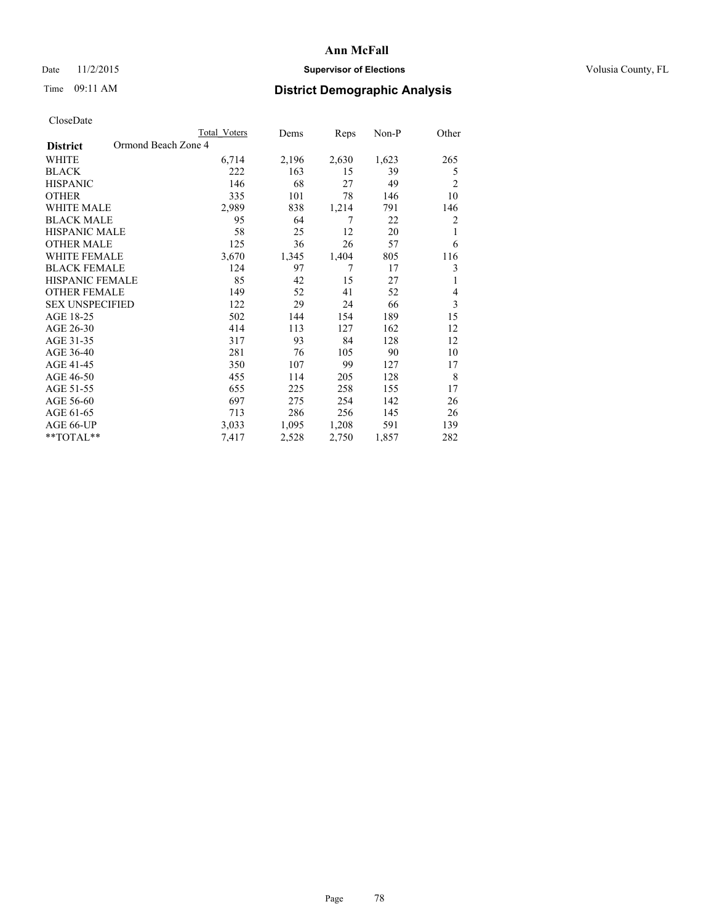# Date 11/2/2015 **Supervisor of Elections Supervisor of Elections** Volusia County, FL

# Time 09:11 AM **District Demographic Analysis**

|                        |                     | Total Voters | Dems  | Reps  | Non-P | Other |
|------------------------|---------------------|--------------|-------|-------|-------|-------|
| <b>District</b>        | Ormond Beach Zone 4 |              |       |       |       |       |
| WHITE                  |                     | 6,714        | 2,196 | 2,630 | 1,623 | 265   |
| <b>BLACK</b>           |                     | 222          | 163   | 15    | 39    | 5     |
| <b>HISPANIC</b>        |                     | 146          | 68    | 27    | 49    | 2     |
| <b>OTHER</b>           |                     | 335          | 101   | 78    | 146   | 10    |
| <b>WHITE MALE</b>      |                     | 2,989        | 838   | 1,214 | 791   | 146   |
| <b>BLACK MALE</b>      |                     | 95           | 64    | 7     | 22    | 2     |
| <b>HISPANIC MALE</b>   |                     | 58           | 25    | 12    | 20    | 1     |
| <b>OTHER MALE</b>      |                     | 125          | 36    | 26    | 57    | 6     |
| <b>WHITE FEMALE</b>    |                     | 3,670        | 1,345 | 1,404 | 805   | 116   |
| <b>BLACK FEMALE</b>    |                     | 124          | 97    | 7     | 17    | 3     |
| <b>HISPANIC FEMALE</b> |                     | 85           | 42    | 15    | 27    | 1     |
| <b>OTHER FEMALE</b>    |                     | 149          | 52    | 41    | 52    | 4     |
| <b>SEX UNSPECIFIED</b> |                     | 122          | 29    | 24    | 66    | 3     |
| AGE 18-25              |                     | 502          | 144   | 154   | 189   | 15    |
| AGE 26-30              |                     | 414          | 113   | 127   | 162   | 12    |
| AGE 31-35              |                     | 317          | 93    | 84    | 128   | 12    |
| AGE 36-40              |                     | 281          | 76    | 105   | 90    | 10    |
| AGE 41-45              |                     | 350          | 107   | 99    | 127   | 17    |
| AGE 46-50              |                     | 455          | 114   | 205   | 128   | 8     |
| AGE 51-55              |                     | 655          | 225   | 258   | 155   | 17    |
| AGE 56-60              |                     | 697          | 275   | 254   | 142   | 26    |
| AGE 61-65              |                     | 713          | 286   | 256   | 145   | 26    |
| AGE 66-UP              |                     | 3,033        | 1,095 | 1,208 | 591   | 139   |
| **TOTAL**              |                     | 7,417        | 2,528 | 2,750 | 1,857 | 282   |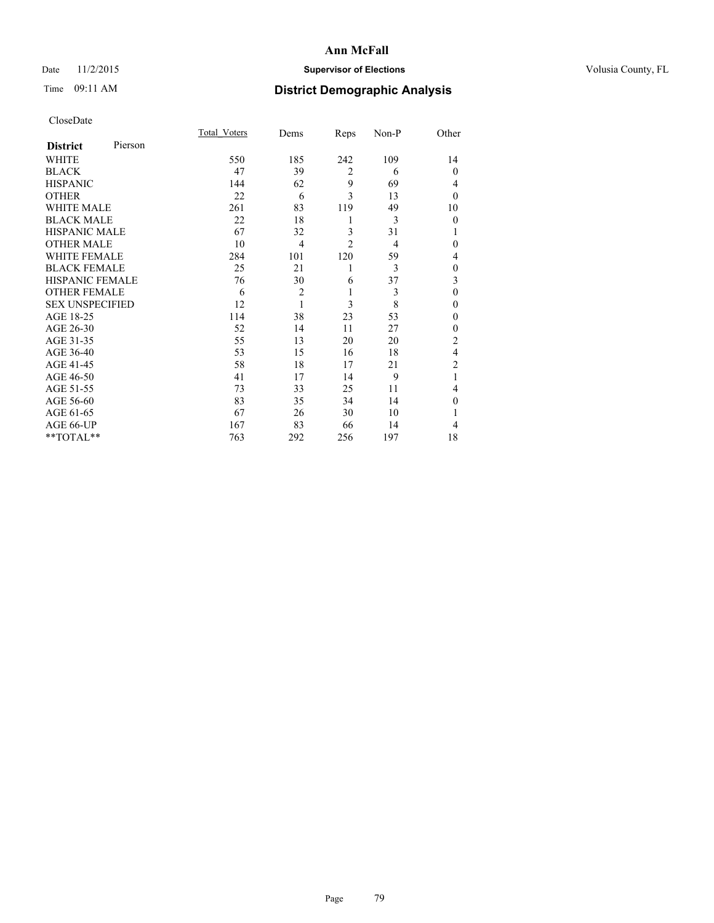# Date 11/2/2015 **Supervisor of Elections Supervisor of Elections** Volusia County, FL

# Time 09:11 AM **District Demographic Analysis**

|                        |         | Total Voters | Dems           | Reps           | Non-P | Other          |
|------------------------|---------|--------------|----------------|----------------|-------|----------------|
| <b>District</b>        | Pierson |              |                |                |       |                |
| WHITE                  |         | 550          | 185            | 242            | 109   | 14             |
| <b>BLACK</b>           |         | 47           | 39             | $\overline{2}$ | 6     | $\mathbf{0}$   |
| <b>HISPANIC</b>        |         | 144          | 62             | 9              | 69    | 4              |
| <b>OTHER</b>           |         | 22           | 6              | 3              | 13    | $\theta$       |
| WHITE MALE             |         | 261          | 83             | 119            | 49    | 10             |
| <b>BLACK MALE</b>      |         | 22           | 18             | 1              | 3     | $\mathbf{0}$   |
| <b>HISPANIC MALE</b>   |         | 67           | 32             | 3              | 31    |                |
| <b>OTHER MALE</b>      |         | 10           | $\overline{4}$ | $\overline{2}$ | 4     | $\theta$       |
| <b>WHITE FEMALE</b>    |         | 284          | 101            | 120            | 59    | 4              |
| <b>BLACK FEMALE</b>    |         | 25           | 21             | 1              | 3     | $\mathbf{0}$   |
| HISPANIC FEMALE        |         | 76           | 30             | 6              | 37    | 3              |
| <b>OTHER FEMALE</b>    |         | 6            | $\overline{2}$ | 1              | 3     | $\mathbf{0}$   |
| <b>SEX UNSPECIFIED</b> |         | 12           | 1              | 3              | 8     | $\theta$       |
| AGE 18-25              |         | 114          | 38             | 23             | 53    | $\theta$       |
| AGE 26-30              |         | 52           | 14             | 11             | 27    | $\mathbf{0}$   |
| AGE 31-35              |         | 55           | 13             | 20             | 20    | $\overline{c}$ |
| AGE 36-40              |         | 53           | 15             | 16             | 18    | 4              |
| AGE 41-45              |         | 58           | 18             | 17             | 21    | $\overline{2}$ |
| AGE 46-50              |         | 41           | 17             | 14             | 9     | 1              |
| AGE 51-55              |         | 73           | 33             | 25             | 11    | 4              |
| AGE 56-60              |         | 83           | 35             | 34             | 14    | $\theta$       |
| AGE 61-65              |         | 67           | 26             | 30             | 10    | 1              |
| AGE 66-UP              |         | 167          | 83             | 66             | 14    | 4              |
| **TOTAL**              |         | 763          | 292            | 256            | 197   | 18             |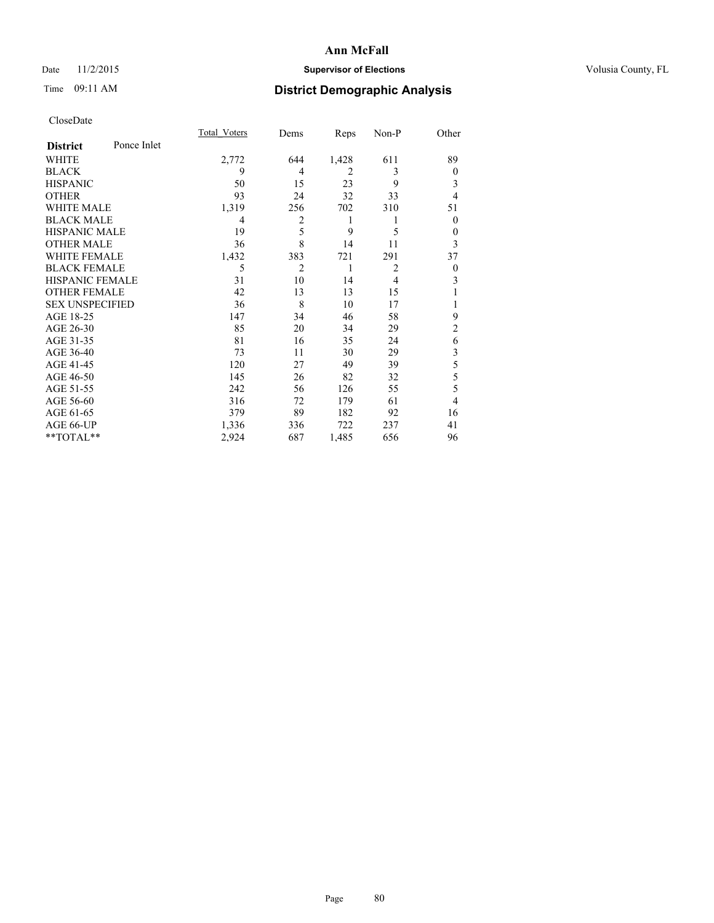# Date 11/2/2015 **Supervisor of Elections Supervisor of Elections** Volusia County, FL

# Time 09:11 AM **District Demographic Analysis**

|                        |             | Total Voters | Dems           | Reps           | Non-P          | Other          |
|------------------------|-------------|--------------|----------------|----------------|----------------|----------------|
| <b>District</b>        | Ponce Inlet |              |                |                |                |                |
| WHITE                  |             | 2,772        | 644            | 1,428          | 611            | 89             |
| <b>BLACK</b>           |             | 9            | 4              | $\overline{2}$ | 3              | $\mathbf{0}$   |
| <b>HISPANIC</b>        |             | 50           | 15             | 23             | 9              | 3              |
| <b>OTHER</b>           |             | 93           | 24             | 32             | 33             | $\overline{4}$ |
| WHITE MALE             |             | 1,319        | 256            | 702            | 310            | 51             |
| <b>BLACK MALE</b>      |             | 4            | $\overline{2}$ | 1              | 1              | $\mathbf{0}$   |
| <b>HISPANIC MALE</b>   |             | 19           | 5              | 9              | 5              | $\mathbf{0}$   |
| <b>OTHER MALE</b>      |             | 36           | 8              | 14             | 11             | 3              |
| <b>WHITE FEMALE</b>    |             | 1,432        | 383            | 721            | 291            | 37             |
| <b>BLACK FEMALE</b>    |             | 5            | $\overline{2}$ | 1              | $\overline{2}$ | $\theta$       |
| <b>HISPANIC FEMALE</b> |             | 31           | 10             | 14             | $\overline{4}$ | 3              |
| <b>OTHER FEMALE</b>    |             | 42           | 13             | 13             | 15             |                |
| <b>SEX UNSPECIFIED</b> |             | 36           | 8              | 10             | 17             |                |
| AGE 18-25              |             | 147          | 34             | 46             | 58             | 9              |
| AGE 26-30              |             | 85           | 20             | 34             | 29             | $\overline{c}$ |
| AGE 31-35              |             | 81           | 16             | 35             | 24             | 6              |
| AGE 36-40              |             | 73           | 11             | 30             | 29             | 3              |
| AGE 41-45              |             | 120          | 27             | 49             | 39             | 5              |
| AGE 46-50              |             | 145          | 26             | 82             | 32             | 5              |
| AGE 51-55              |             | 242          | 56             | 126            | 55             | 5              |
| AGE 56-60              |             | 316          | 72             | 179            | 61             | 4              |
| AGE 61-65              |             | 379          | 89             | 182            | 92             | 16             |
| AGE 66-UP              |             | 1,336        | 336            | 722            | 237            | 41             |
| **TOTAL**              |             | 2,924        | 687            | 1,485          | 656            | 96             |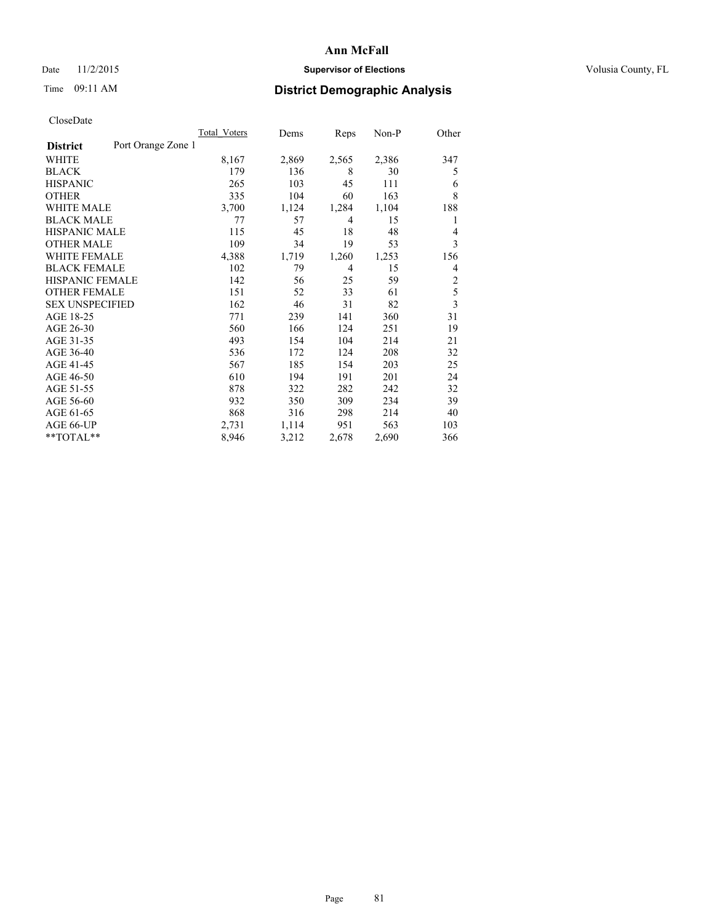# Date 11/2/2015 **Supervisor of Elections Supervisor of Elections** Volusia County, FL

# Time 09:11 AM **District Demographic Analysis**

|                        |                    | Total Voters | Dems  | Reps  | $Non-P$ | Other          |
|------------------------|--------------------|--------------|-------|-------|---------|----------------|
| <b>District</b>        | Port Orange Zone 1 |              |       |       |         |                |
| WHITE                  |                    | 8,167        | 2,869 | 2,565 | 2,386   | 347            |
| <b>BLACK</b>           |                    | 179          | 136   | 8     | 30      | 5              |
| <b>HISPANIC</b>        |                    | 265          | 103   | 45    | 111     | 6              |
| <b>OTHER</b>           |                    | 335          | 104   | 60    | 163     | 8              |
| WHITE MALE             |                    | 3,700        | 1,124 | 1,284 | 1,104   | 188            |
| <b>BLACK MALE</b>      |                    | 77           | 57    | 4     | 15      | 1              |
| <b>HISPANIC MALE</b>   |                    | 115          | 45    | 18    | 48      | 4              |
| <b>OTHER MALE</b>      |                    | 109          | 34    | 19    | 53      | 3              |
| <b>WHITE FEMALE</b>    |                    | 4,388        | 1,719 | 1,260 | 1,253   | 156            |
| <b>BLACK FEMALE</b>    |                    | 102          | 79    | 4     | 15      | 4              |
| HISPANIC FEMALE        |                    | 142          | 56    | 25    | 59      | $\overline{2}$ |
| <b>OTHER FEMALE</b>    |                    | 151          | 52    | 33    | 61      | 5              |
| <b>SEX UNSPECIFIED</b> |                    | 162          | 46    | 31    | 82      | 3              |
| AGE 18-25              |                    | 771          | 239   | 141   | 360     | 31             |
| AGE 26-30              |                    | 560          | 166   | 124   | 251     | 19             |
| AGE 31-35              |                    | 493          | 154   | 104   | 214     | 21             |
| AGE 36-40              |                    | 536          | 172   | 124   | 208     | 32             |
| AGE 41-45              |                    | 567          | 185   | 154   | 203     | 25             |
| AGE 46-50              |                    | 610          | 194   | 191   | 201     | 24             |
| AGE 51-55              |                    | 878          | 322   | 282   | 242     | 32             |
| AGE 56-60              |                    | 932          | 350   | 309   | 234     | 39             |
| AGE 61-65              |                    | 868          | 316   | 298   | 214     | 40             |
| AGE 66-UP              |                    | 2,731        | 1,114 | 951   | 563     | 103            |
| **TOTAL**              |                    | 8,946        | 3,212 | 2,678 | 2,690   | 366            |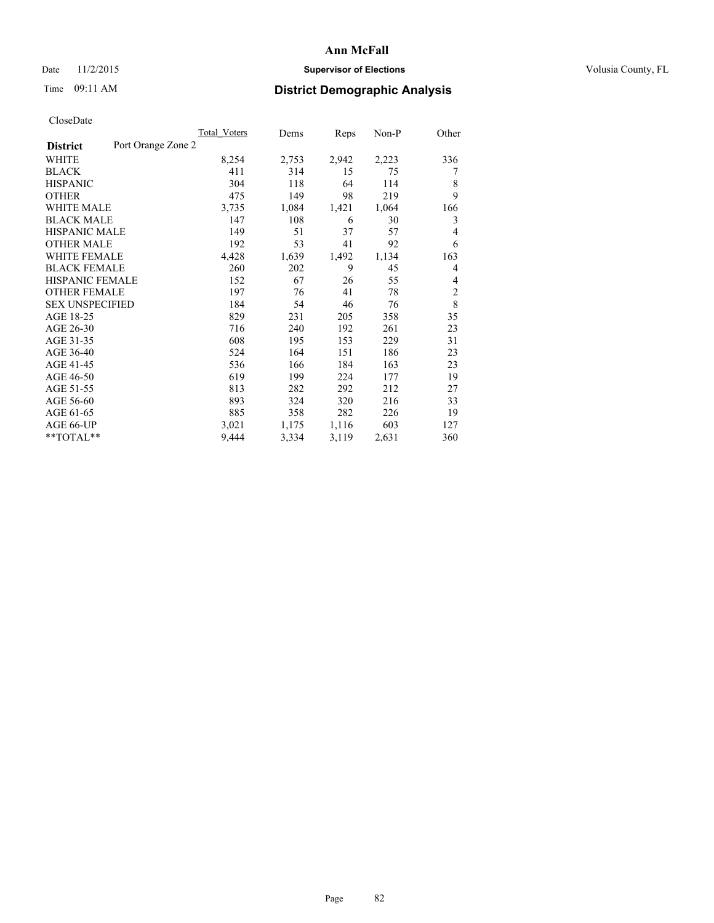# Date 11/2/2015 **Supervisor of Elections Supervisor of Elections** Volusia County, FL

# Time 09:11 AM **District Demographic Analysis**

|                                       | Total Voters | Dems  | Reps  | Non-P | Other          |
|---------------------------------------|--------------|-------|-------|-------|----------------|
| Port Orange Zone 2<br><b>District</b> |              |       |       |       |                |
| WHITE                                 | 8,254        | 2,753 | 2,942 | 2,223 | 336            |
| <b>BLACK</b>                          | 411          | 314   | 15    | 75    | 7              |
| <b>HISPANIC</b>                       | 304          | 118   | 64    | 114   | 8              |
| <b>OTHER</b>                          | 475          | 149   | 98    | 219   | 9              |
| <b>WHITE MALE</b>                     | 3,735        | 1,084 | 1,421 | 1,064 | 166            |
| <b>BLACK MALE</b>                     | 147          | 108   | 6     | 30    | 3              |
| <b>HISPANIC MALE</b>                  | 149          | 51    | 37    | 57    | 4              |
| <b>OTHER MALE</b>                     | 192          | 53    | 41    | 92    | 6              |
| <b>WHITE FEMALE</b>                   | 4,428        | 1,639 | 1,492 | 1,134 | 163            |
| <b>BLACK FEMALE</b>                   | 260          | 202   | 9     | 45    | 4              |
| <b>HISPANIC FEMALE</b>                | 152          | 67    | 26    | 55    | 4              |
| <b>OTHER FEMALE</b>                   | 197          | 76    | 41    | 78    | $\overline{2}$ |
| <b>SEX UNSPECIFIED</b>                | 184          | 54    | 46    | 76    | 8              |
| AGE 18-25                             | 829          | 231   | 205   | 358   | 35             |
| AGE 26-30                             | 716          | 240   | 192   | 261   | 23             |
| AGE 31-35                             | 608          | 195   | 153   | 229   | 31             |
| AGE 36-40                             | 524          | 164   | 151   | 186   | 23             |
| AGE 41-45                             | 536          | 166   | 184   | 163   | 23             |
| AGE 46-50                             | 619          | 199   | 224   | 177   | 19             |
| AGE 51-55                             | 813          | 282   | 292   | 212   | 27             |
| AGE 56-60                             | 893          | 324   | 320   | 216   | 33             |
| AGE 61-65                             | 885          | 358   | 282   | 226   | 19             |
| AGE 66-UP                             | 3,021        | 1,175 | 1,116 | 603   | 127            |
| **TOTAL**                             | 9,444        | 3,334 | 3,119 | 2,631 | 360            |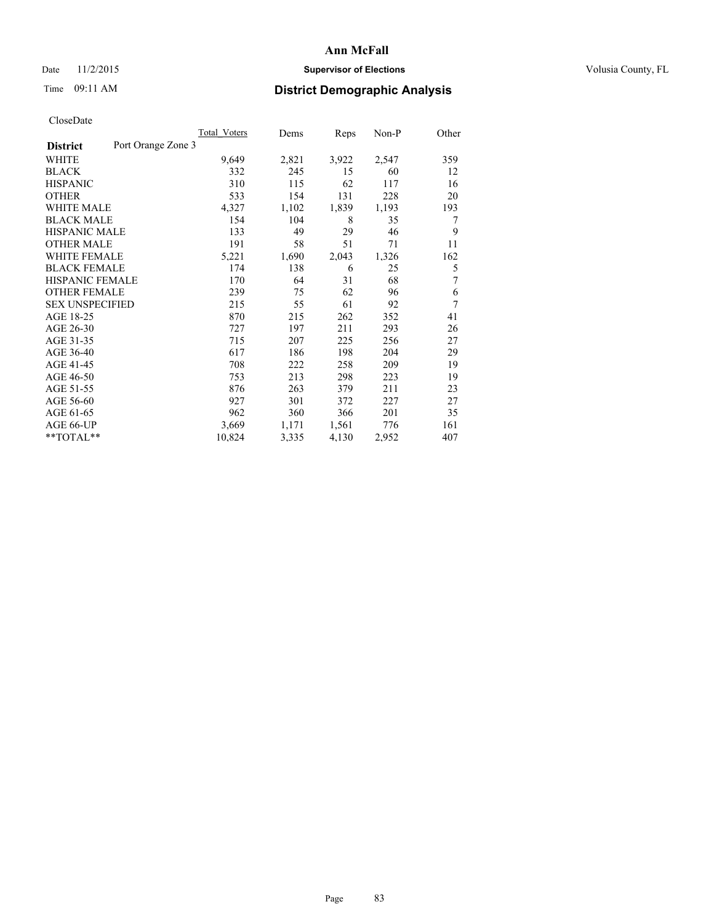# Date 11/2/2015 **Supervisor of Elections Supervisor of Elections** Volusia County, FL

# Time 09:11 AM **District Demographic Analysis**

|                        | Total Voters       | Dems  | Reps  | Non-P | Other |
|------------------------|--------------------|-------|-------|-------|-------|
| <b>District</b>        | Port Orange Zone 3 |       |       |       |       |
| WHITE                  | 9,649              | 2,821 | 3,922 | 2,547 | 359   |
| <b>BLACK</b>           | 332                | 245   | 15    | 60    | 12    |
| <b>HISPANIC</b>        | 310                | 115   | 62    | 117   | 16    |
| <b>OTHER</b>           | 533                | 154   | 131   | 228   | 20    |
| <b>WHITE MALE</b>      | 4,327              | 1,102 | 1,839 | 1,193 | 193   |
| <b>BLACK MALE</b>      | 154                | 104   | 8     | 35    | 7     |
| <b>HISPANIC MALE</b>   | 133                | 49    | 29    | 46    | 9     |
| <b>OTHER MALE</b>      | 191                | 58    | 51    | 71    | 11    |
| <b>WHITE FEMALE</b>    | 5,221              | 1,690 | 2,043 | 1,326 | 162   |
| <b>BLACK FEMALE</b>    | 174                | 138   | 6     | 25    | 5     |
| <b>HISPANIC FEMALE</b> | 170                | 64    | 31    | 68    | 7     |
| <b>OTHER FEMALE</b>    | 239                | 75    | 62    | 96    | 6     |
| <b>SEX UNSPECIFIED</b> | 215                | 55    | 61    | 92    | 7     |
| AGE 18-25              | 870                | 215   | 262   | 352   | 41    |
| AGE 26-30              | 727                | 197   | 211   | 293   | 26    |
| AGE 31-35              | 715                | 207   | 225   | 256   | 27    |
| AGE 36-40              | 617                | 186   | 198   | 204   | 29    |
| AGE 41-45              | 708                | 222   | 258   | 209   | 19    |
| AGE 46-50              | 753                | 213   | 298   | 223   | 19    |
| AGE 51-55              | 876                | 263   | 379   | 211   | 23    |
| AGE 56-60              | 927                | 301   | 372   | 227   | 27    |
| AGE 61-65              | 962                | 360   | 366   | 201   | 35    |
| AGE 66-UP              | 3,669              | 1,171 | 1,561 | 776   | 161   |
| **TOTAL**              | 10,824             | 3,335 | 4,130 | 2,952 | 407   |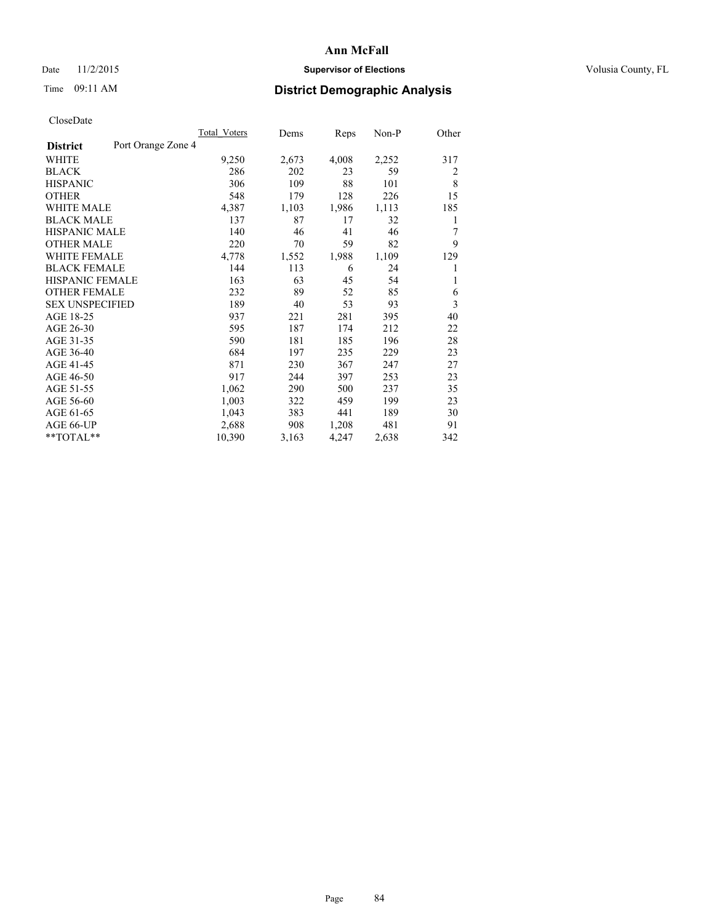# Date 11/2/2015 **Supervisor of Elections Supervisor of Elections** Volusia County, FL

# Time 09:11 AM **District Demographic Analysis**

|                        |                    | Total Voters | Dems  | Reps  | Non-P | Other |
|------------------------|--------------------|--------------|-------|-------|-------|-------|
| <b>District</b>        | Port Orange Zone 4 |              |       |       |       |       |
| WHITE                  |                    | 9,250        | 2,673 | 4,008 | 2,252 | 317   |
| <b>BLACK</b>           |                    | 286          | 202   | 23    | 59    | 2     |
| <b>HISPANIC</b>        |                    | 306          | 109   | 88    | 101   | 8     |
| <b>OTHER</b>           |                    | 548          | 179   | 128   | 226   | 15    |
| WHITE MALE             |                    | 4,387        | 1,103 | 1,986 | 1,113 | 185   |
| <b>BLACK MALE</b>      |                    | 137          | 87    | 17    | 32    | 1     |
| <b>HISPANIC MALE</b>   |                    | 140          | 46    | 41    | 46    | 7     |
| <b>OTHER MALE</b>      |                    | 220          | 70    | 59    | 82    | 9     |
| <b>WHITE FEMALE</b>    |                    | 4,778        | 1,552 | 1,988 | 1,109 | 129   |
| <b>BLACK FEMALE</b>    |                    | 144          | 113   | 6     | 24    | 1     |
| <b>HISPANIC FEMALE</b> |                    | 163          | 63    | 45    | 54    | 1     |
| <b>OTHER FEMALE</b>    |                    | 232          | 89    | 52    | 85    | 6     |
| <b>SEX UNSPECIFIED</b> |                    | 189          | 40    | 53    | 93    | 3     |
| AGE 18-25              |                    | 937          | 221   | 281   | 395   | 40    |
| AGE 26-30              |                    | 595          | 187   | 174   | 212   | 22    |
| AGE 31-35              |                    | 590          | 181   | 185   | 196   | 28    |
| AGE 36-40              |                    | 684          | 197   | 235   | 229   | 23    |
| AGE 41-45              |                    | 871          | 230   | 367   | 247   | 27    |
| AGE 46-50              |                    | 917          | 244   | 397   | 253   | 23    |
| AGE 51-55              |                    | 1,062        | 290   | 500   | 237   | 35    |
| AGE 56-60              |                    | 1,003        | 322   | 459   | 199   | 23    |
| AGE 61-65              |                    | 1,043        | 383   | 441   | 189   | 30    |
| AGE 66-UP              |                    | 2,688        | 908   | 1,208 | 481   | 91    |
| **TOTAL**              |                    | 10,390       | 3,163 | 4,247 | 2,638 | 342   |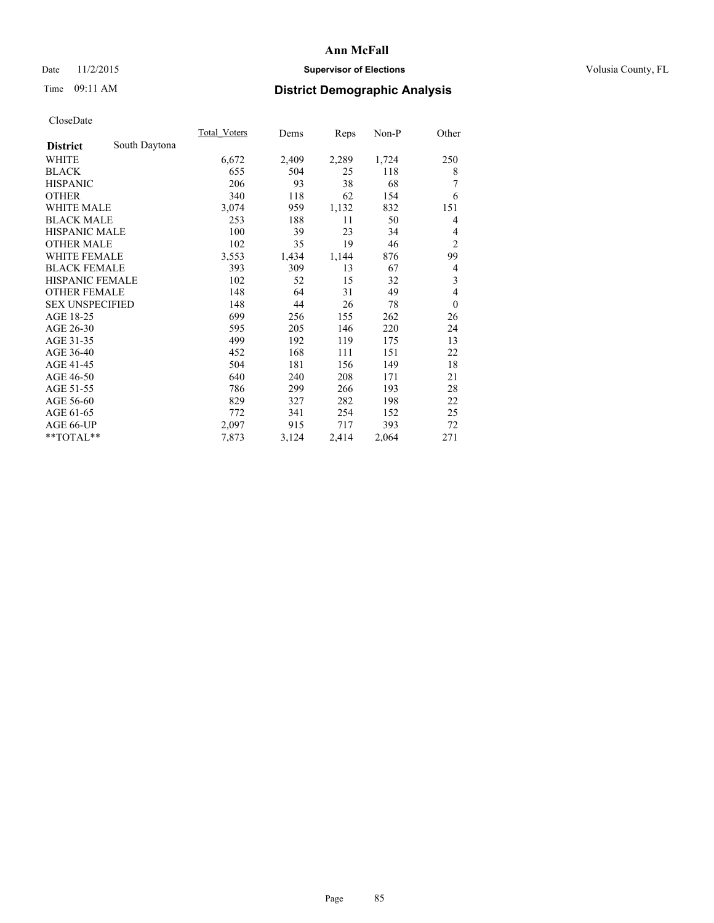# Date 11/2/2015 **Supervisor of Elections Supervisor of Elections** Volusia County, FL

# Time 09:11 AM **District Demographic Analysis**

|                        |               | Total Voters | Dems  | Reps  | Non-P | Other            |
|------------------------|---------------|--------------|-------|-------|-------|------------------|
| <b>District</b>        | South Daytona |              |       |       |       |                  |
| WHITE                  |               | 6,672        | 2,409 | 2,289 | 1,724 | 250              |
| <b>BLACK</b>           |               | 655          | 504   | 25    | 118   | 8                |
| <b>HISPANIC</b>        |               | 206          | 93    | 38    | 68    | 7                |
| <b>OTHER</b>           |               | 340          | 118   | 62    | 154   | 6                |
| <b>WHITE MALE</b>      |               | 3,074        | 959   | 1,132 | 832   | 151              |
| <b>BLACK MALE</b>      |               | 253          | 188   | 11    | 50    | 4                |
| <b>HISPANIC MALE</b>   |               | 100          | 39    | 23    | 34    | 4                |
| <b>OTHER MALE</b>      |               | 102          | 35    | 19    | 46    | $\overline{2}$   |
| <b>WHITE FEMALE</b>    |               | 3,553        | 1,434 | 1,144 | 876   | 99               |
| <b>BLACK FEMALE</b>    |               | 393          | 309   | 13    | 67    | 4                |
| <b>HISPANIC FEMALE</b> |               | 102          | 52    | 15    | 32    | 3                |
| <b>OTHER FEMALE</b>    |               | 148          | 64    | 31    | 49    | $\overline{4}$   |
| <b>SEX UNSPECIFIED</b> |               | 148          | 44    | 26    | 78    | $\boldsymbol{0}$ |
| AGE 18-25              |               | 699          | 256   | 155   | 262   | 26               |
| AGE 26-30              |               | 595          | 205   | 146   | 220   | 24               |
| AGE 31-35              |               | 499          | 192   | 119   | 175   | 13               |
| AGE 36-40              |               | 452          | 168   | 111   | 151   | 22               |
| AGE 41-45              |               | 504          | 181   | 156   | 149   | 18               |
| AGE 46-50              |               | 640          | 240   | 208   | 171   | 21               |
| AGE 51-55              |               | 786          | 299   | 266   | 193   | 28               |
| AGE 56-60              |               | 829          | 327   | 282   | 198   | 22               |
| AGE 61-65              |               | 772          | 341   | 254   | 152   | 25               |
| AGE 66-UP              |               | 2,097        | 915   | 717   | 393   | 72               |
| **TOTAL**              |               | 7,873        | 3,124 | 2,414 | 2,064 | 271              |